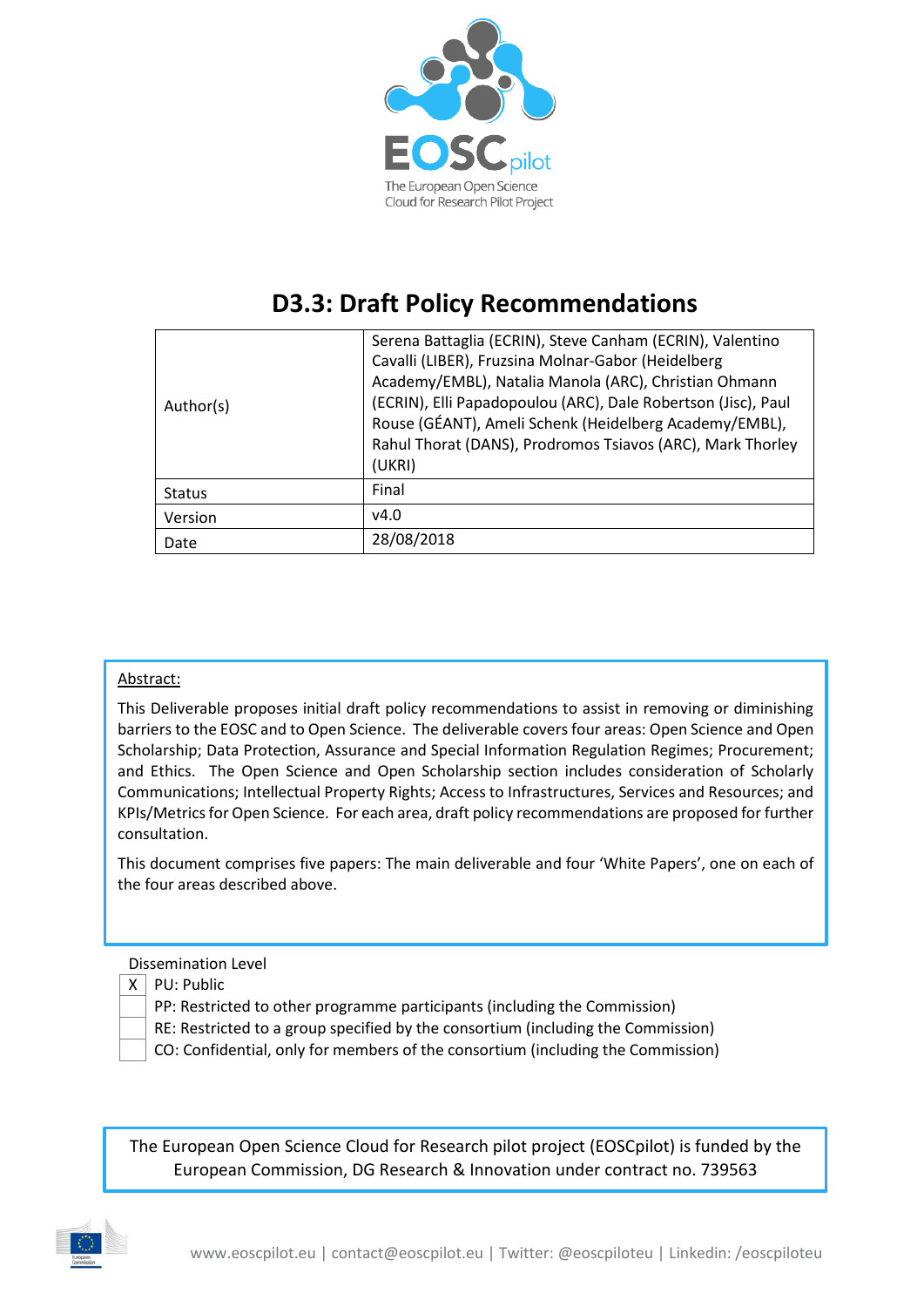

# **D3.3: Draft Policy Recommendations**

| Author(s)     | Serena Battaglia (ECRIN), Steve Canham (ECRIN), Valentino<br>Cavalli (LIBER), Fruzsina Molnar-Gabor (Heidelberg<br>Academy/EMBL), Natalia Manola (ARC), Christian Ohmann<br>(ECRIN), Elli Papadopoulou (ARC), Dale Robertson (Jisc), Paul<br>Rouse (GÉANT), Ameli Schenk (Heidelberg Academy/EMBL),<br>Rahul Thorat (DANS), Prodromos Tsiavos (ARC), Mark Thorley<br>(UKRI) |
|---------------|-----------------------------------------------------------------------------------------------------------------------------------------------------------------------------------------------------------------------------------------------------------------------------------------------------------------------------------------------------------------------------|
| <b>Status</b> | Final                                                                                                                                                                                                                                                                                                                                                                       |
| Version       | v4.0                                                                                                                                                                                                                                                                                                                                                                        |
| Date          | 28/08/2018                                                                                                                                                                                                                                                                                                                                                                  |

#### Abstract:

This Deliverable proposes initial draft policy recommendations to assist in removing or diminishing barriers to the EOSC and to Open Science. The deliverable covers four areas: Open Science and Open Scholarship; Data Protection, Assurance and Special Information Regulation Regimes; Procurement; and Ethics. The Open Science and Open Scholarship section includes consideration of Scholarly Communications; Intellectual Property Rights; Access to Infrastructures, Services and Resources; and KPIs/Metrics for Open Science. For each area, draft policy recommendations are proposed for further consultation.

This document comprises five papers: The main deliverable and four 'White Papers', one on each of the four areas described above.

#### Dissemination Level

- $X \mid PU$ : Public
	- PP: Restricted to other programme participants (including the Commission)
	- RE: Restricted to a group specified by the consortium (including the Commission)
	- CO: Confidential, only for members of the consortium (including the Commission)

The European Open Science Cloud for Research pilot project (EOSCpilot) is funded by the European Commission, DG Research & Innovation under contract no. 739563

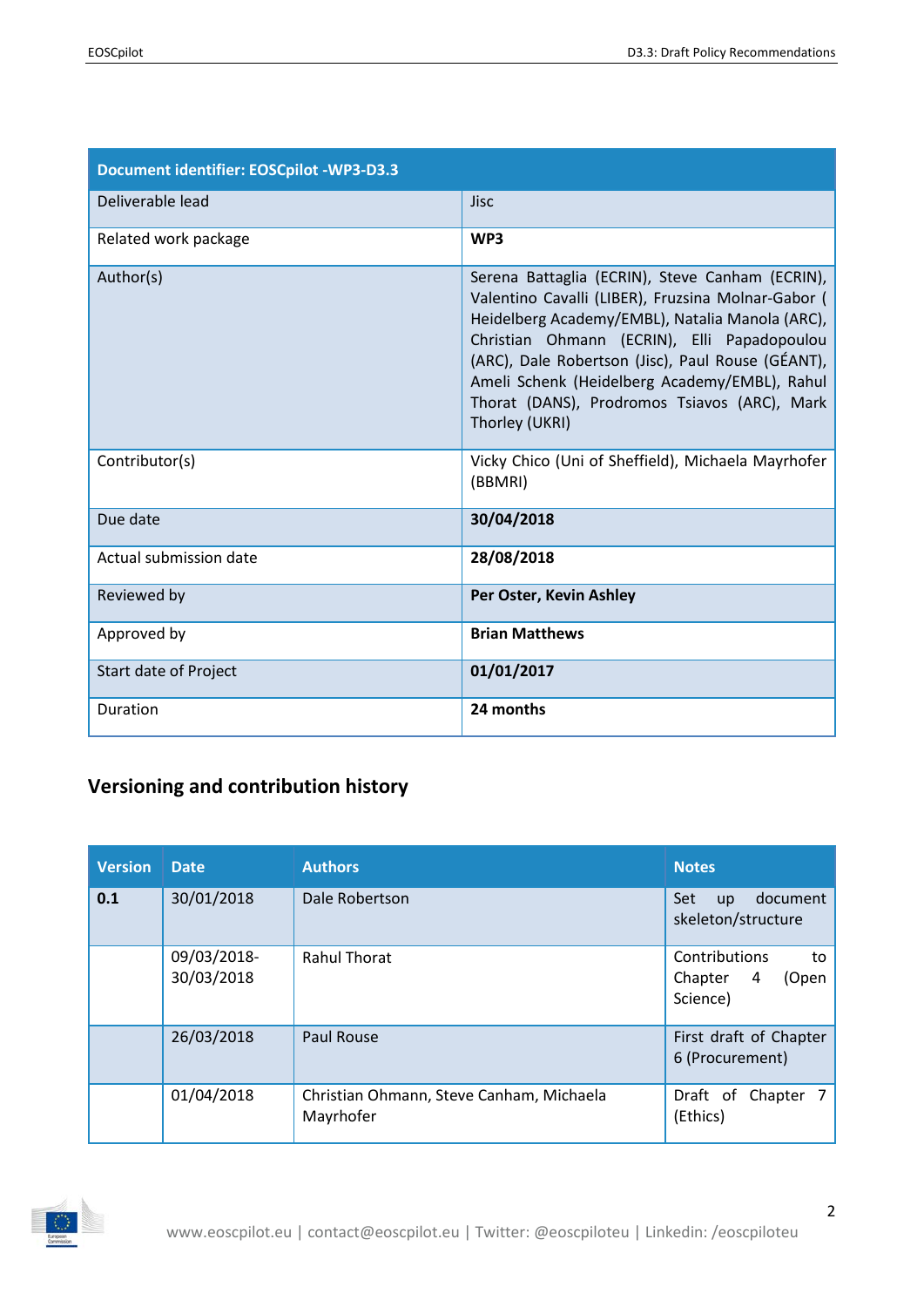| <b>Document identifier: EOSCpilot -WP3-D3.3</b> |                                                                                                                                                                                                                                                                                                                                                                                 |
|-------------------------------------------------|---------------------------------------------------------------------------------------------------------------------------------------------------------------------------------------------------------------------------------------------------------------------------------------------------------------------------------------------------------------------------------|
| Deliverable lead                                | <b>Jisc</b>                                                                                                                                                                                                                                                                                                                                                                     |
| Related work package                            | WP3                                                                                                                                                                                                                                                                                                                                                                             |
| Author(s)                                       | Serena Battaglia (ECRIN), Steve Canham (ECRIN),<br>Valentino Cavalli (LIBER), Fruzsina Molnar-Gabor (<br>Heidelberg Academy/EMBL), Natalia Manola (ARC),<br>Christian Ohmann (ECRIN), Elli Papadopoulou<br>(ARC), Dale Robertson (Jisc), Paul Rouse (GÉANT),<br>Ameli Schenk (Heidelberg Academy/EMBL), Rahul<br>Thorat (DANS), Prodromos Tsiavos (ARC), Mark<br>Thorley (UKRI) |
| Contributor(s)                                  | Vicky Chico (Uni of Sheffield), Michaela Mayrhofer<br>(BBMRI)                                                                                                                                                                                                                                                                                                                   |
| Due date                                        | 30/04/2018                                                                                                                                                                                                                                                                                                                                                                      |
| Actual submission date                          | 28/08/2018                                                                                                                                                                                                                                                                                                                                                                      |
| Reviewed by                                     | Per Oster, Kevin Ashley                                                                                                                                                                                                                                                                                                                                                         |
| Approved by                                     | <b>Brian Matthews</b>                                                                                                                                                                                                                                                                                                                                                           |
| Start date of Project                           | 01/01/2017                                                                                                                                                                                                                                                                                                                                                                      |
| Duration                                        | 24 months                                                                                                                                                                                                                                                                                                                                                                       |

# **Versioning and contribution history**

| <b>Version</b> | <b>Date</b>               | <b>Authors</b>                                        | <b>Notes</b>                                             |
|----------------|---------------------------|-------------------------------------------------------|----------------------------------------------------------|
| 0.1            | 30/01/2018                | Dale Robertson                                        | document<br><b>Set</b><br>up<br>skeleton/structure       |
|                | 09/03/2018-<br>30/03/2018 | <b>Rahul Thorat</b>                                   | Contributions<br>to<br>Chapter<br>(Open<br>4<br>Science) |
|                | 26/03/2018                | <b>Paul Rouse</b>                                     | First draft of Chapter<br>6 (Procurement)                |
|                | 01/04/2018                | Christian Ohmann, Steve Canham, Michaela<br>Mayrhofer | Draft of<br>Chapter 7<br>(Ethics)                        |

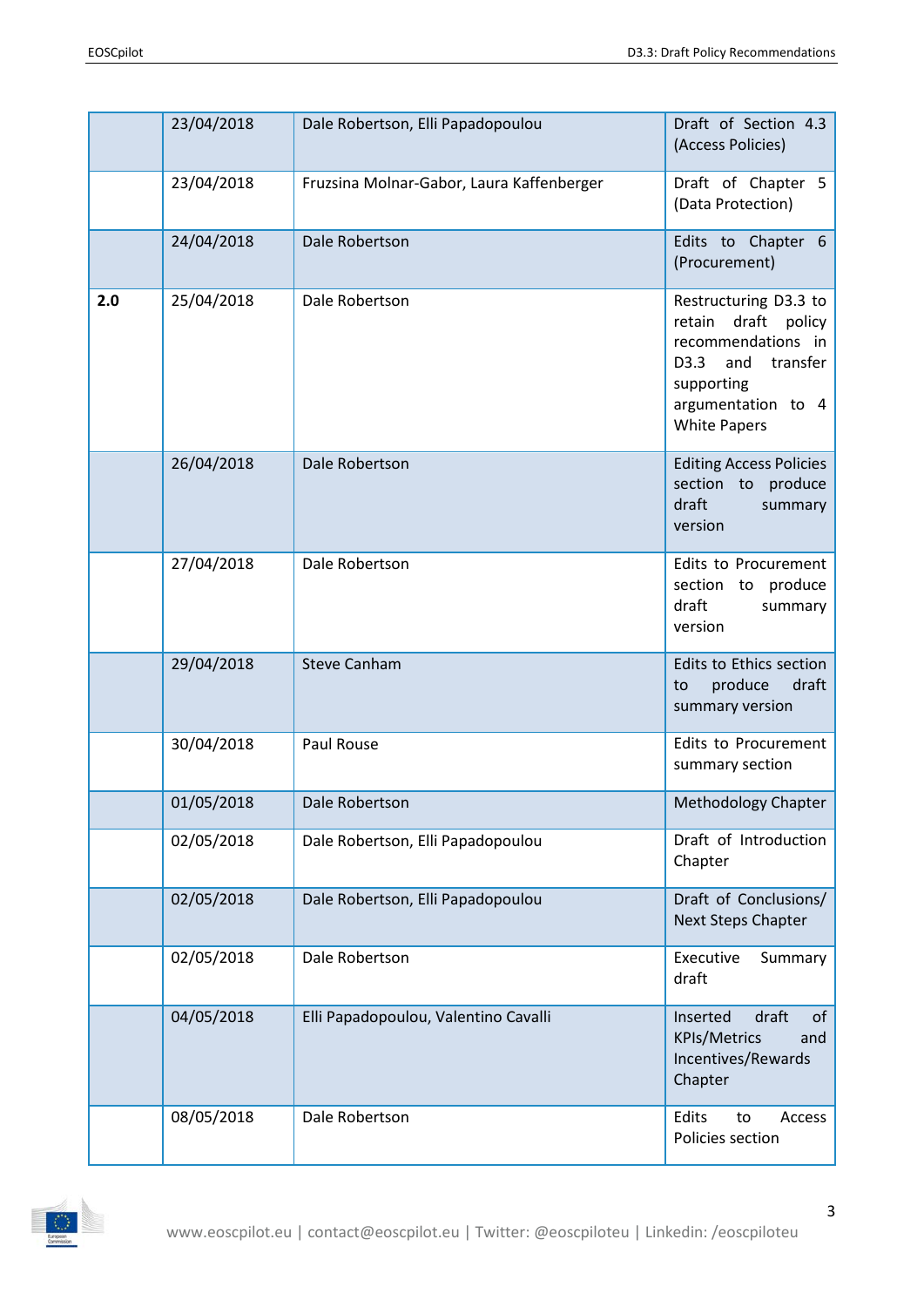|     | 23/04/2018 | Dale Robertson, Elli Papadopoulou         | Draft of Section 4.3<br>(Access Policies)                                                                                                             |
|-----|------------|-------------------------------------------|-------------------------------------------------------------------------------------------------------------------------------------------------------|
|     | 23/04/2018 | Fruzsina Molnar-Gabor, Laura Kaffenberger | Draft of Chapter 5<br>(Data Protection)                                                                                                               |
|     | 24/04/2018 | Dale Robertson                            | Edits to Chapter 6<br>(Procurement)                                                                                                                   |
| 2.0 | 25/04/2018 | Dale Robertson                            | Restructuring D3.3 to<br>retain draft policy<br>recommendations in<br>and transfer<br>D3.3<br>supporting<br>argumentation to 4<br><b>White Papers</b> |
|     | 26/04/2018 | Dale Robertson                            | <b>Editing Access Policies</b><br>section to produce<br>draft<br>summary<br>version                                                                   |
|     | 27/04/2018 | Dale Robertson                            | Edits to Procurement<br>section to produce<br>draft<br>summary<br>version                                                                             |
|     | 29/04/2018 | <b>Steve Canham</b>                       | Edits to Ethics section<br>produce<br>draft<br>to<br>summary version                                                                                  |
|     | 30/04/2018 | Paul Rouse                                | Edits to Procurement<br>summary section                                                                                                               |
|     | 01/05/2018 | Dale Robertson                            | <b>Methodology Chapter</b>                                                                                                                            |
|     | 02/05/2018 | Dale Robertson, Elli Papadopoulou         | Draft of Introduction<br>Chapter                                                                                                                      |
|     | 02/05/2018 | Dale Robertson, Elli Papadopoulou         | Draft of Conclusions/<br><b>Next Steps Chapter</b>                                                                                                    |
|     | 02/05/2018 | Dale Robertson                            | Executive<br>Summary<br>draft                                                                                                                         |
|     | 04/05/2018 | Elli Papadopoulou, Valentino Cavalli      | Inserted<br>draft<br>of<br><b>KPIs/Metrics</b><br>and<br>Incentives/Rewards<br>Chapter                                                                |
|     | 08/05/2018 | Dale Robertson                            | Edits<br>to<br>Access<br>Policies section                                                                                                             |

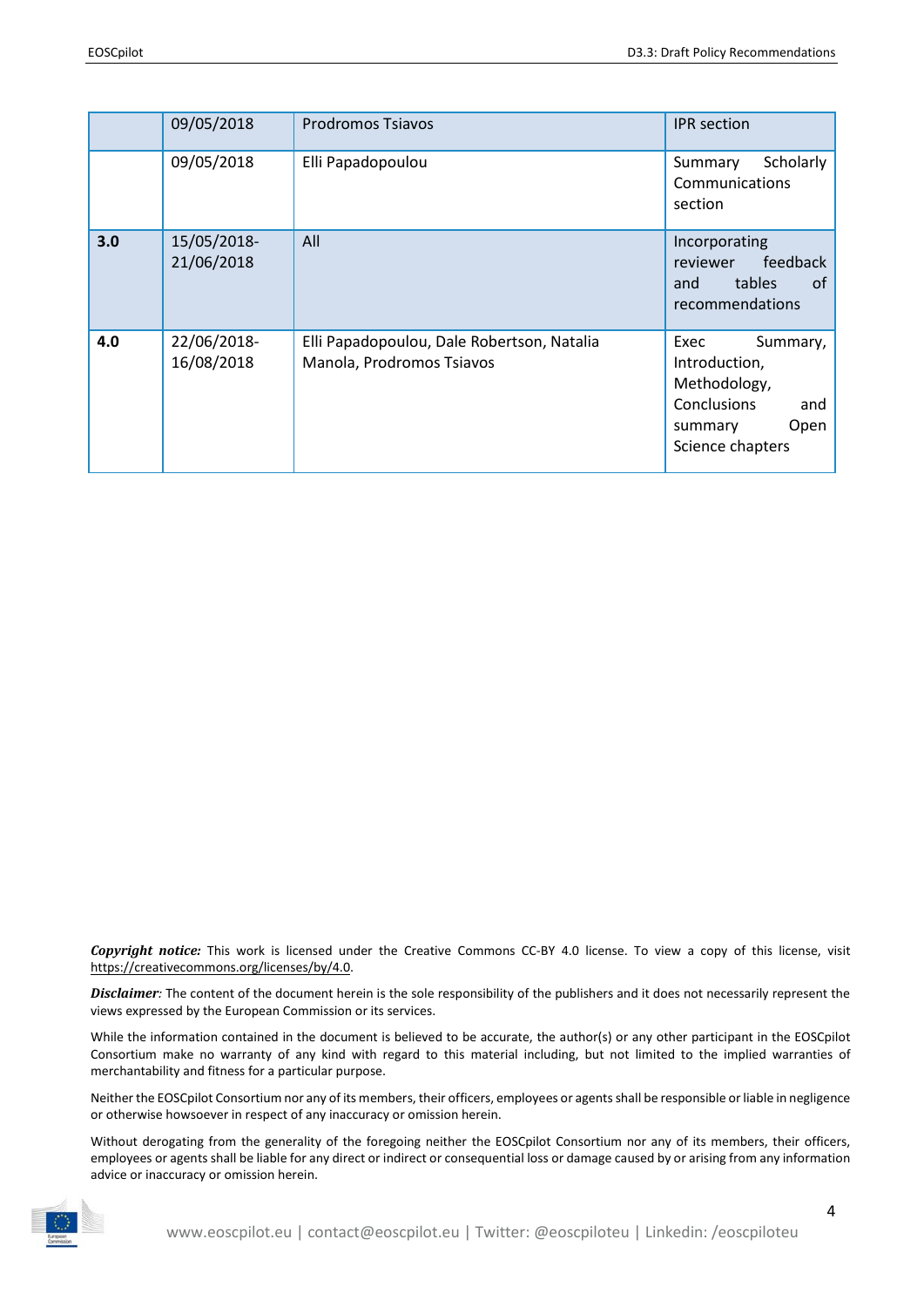|     | 09/05/2018                | <b>Prodromos Tsiavos</b>                                                | <b>IPR</b> section                                                                                                    |
|-----|---------------------------|-------------------------------------------------------------------------|-----------------------------------------------------------------------------------------------------------------------|
|     | 09/05/2018                | Elli Papadopoulou                                                       | Scholarly<br>Summary<br>Communications<br>section                                                                     |
| 3.0 | 15/05/2018-<br>21/06/2018 | All                                                                     | Incorporating<br>feedback<br>reviewer<br><b>tables</b><br>0f<br>and<br>recommendations                                |
| 4.0 | 22/06/2018-<br>16/08/2018 | Elli Papadopoulou, Dale Robertson, Natalia<br>Manola, Prodromos Tsiavos | Exec<br>Summary,<br>Introduction,<br>Methodology,<br><b>Conclusions</b><br>and<br>Open<br>summary<br>Science chapters |

*Copyright notice:* This work is licensed under the Creative Commons CC-BY 4.0 license. To view a copy of this license, visit [https://creativecommons.org/licenses/by/4.0.](https://creativecommons.org/licenses/by/4.0)

*Disclaimer:* The content of the document herein is the sole responsibility of the publishers and it does not necessarily represent the views expressed by the European Commission or its services.

While the information contained in the document is believed to be accurate, the author(s) or any other participant in the EOSCpilot Consortium make no warranty of any kind with regard to this material including, but not limited to the implied warranties of merchantability and fitness for a particular purpose.

Neither the EOSCpilot Consortium nor any of its members, their officers, employees or agents shall be responsible or liable in negligence or otherwise howsoever in respect of any inaccuracy or omission herein.

Without derogating from the generality of the foregoing neither the EOSCpilot Consortium nor any of its members, their officers, employees or agents shall be liable for any direct or indirect or consequential loss or damage caused by or arising from any information advice or inaccuracy or omission herein.

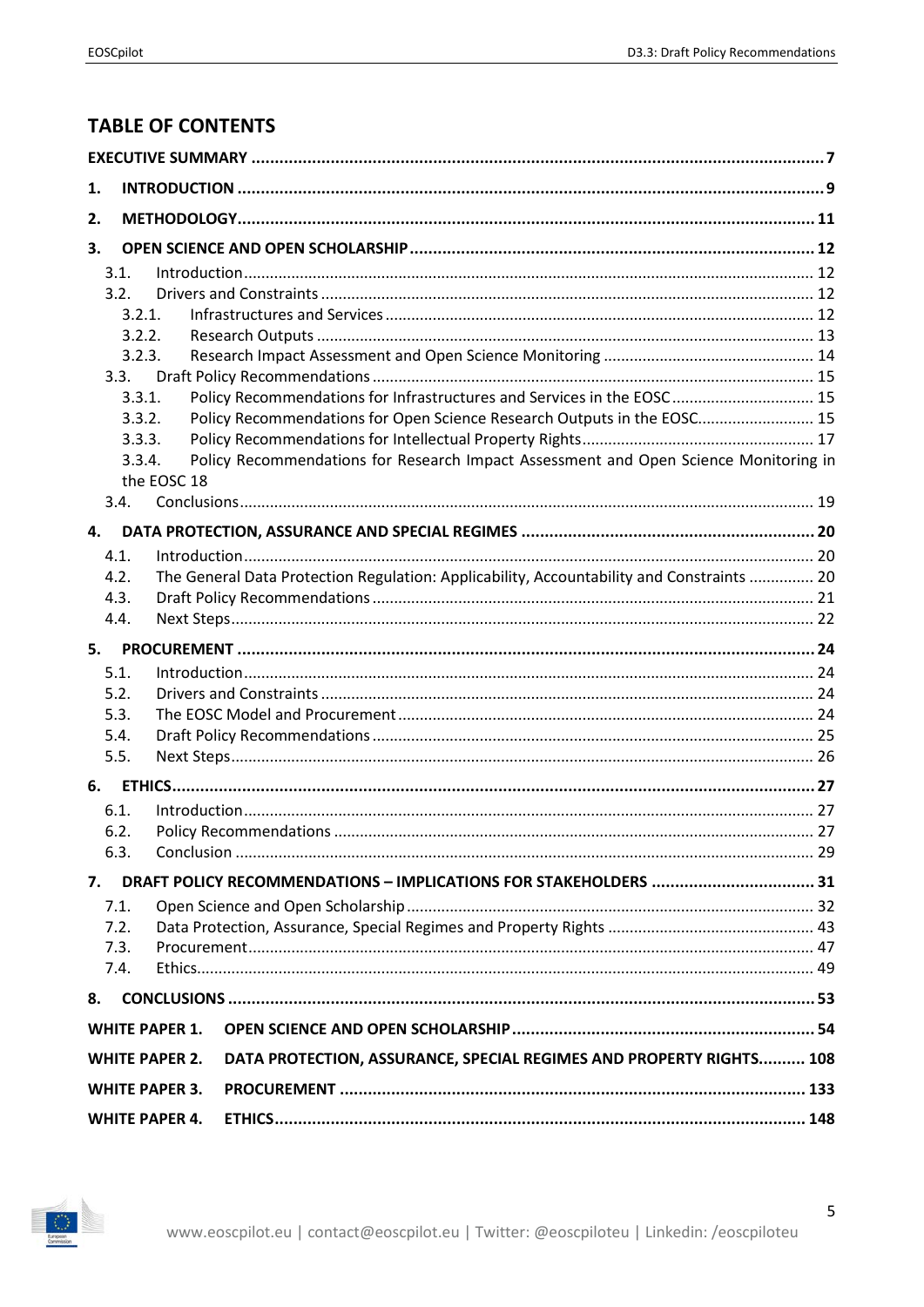# **TABLE OF CONTENTS**

| 1. |        |                       |                                                                                           |  |  |
|----|--------|-----------------------|-------------------------------------------------------------------------------------------|--|--|
| 2. |        |                       |                                                                                           |  |  |
| 3. |        |                       |                                                                                           |  |  |
|    | 3.1.   |                       |                                                                                           |  |  |
|    | 3.2.   |                       |                                                                                           |  |  |
|    | 3.2.1. |                       |                                                                                           |  |  |
|    | 3.2.2. |                       |                                                                                           |  |  |
|    | 3.2.3. |                       |                                                                                           |  |  |
|    | 3.3.   |                       |                                                                                           |  |  |
|    | 3.3.1. |                       | Policy Recommendations for Infrastructures and Services in the EOSC 15                    |  |  |
|    | 3.3.2. |                       | Policy Recommendations for Open Science Research Outputs in the EOSC 15                   |  |  |
|    | 3.3.3. |                       |                                                                                           |  |  |
|    | 3.3.4. | the EOSC 18           | Policy Recommendations for Research Impact Assessment and Open Science Monitoring in      |  |  |
|    | 3.4.   |                       |                                                                                           |  |  |
| 4. |        |                       |                                                                                           |  |  |
|    | 4.1.   |                       |                                                                                           |  |  |
|    | 4.2.   |                       | The General Data Protection Regulation: Applicability, Accountability and Constraints  20 |  |  |
|    | 4.3.   |                       |                                                                                           |  |  |
|    | 4.4.   |                       |                                                                                           |  |  |
| 5. |        |                       |                                                                                           |  |  |
|    | 5.1.   |                       |                                                                                           |  |  |
|    | 5.2.   |                       |                                                                                           |  |  |
|    | 5.3.   |                       |                                                                                           |  |  |
|    | 5.4.   |                       |                                                                                           |  |  |
|    | 5.5.   |                       |                                                                                           |  |  |
|    |        |                       |                                                                                           |  |  |
|    | 6.1.   |                       |                                                                                           |  |  |
|    | 6.2.   |                       |                                                                                           |  |  |
|    | 6.3.   |                       |                                                                                           |  |  |
|    |        |                       |                                                                                           |  |  |
| 7. |        |                       | DRAFT POLICY RECOMMENDATIONS - IMPLICATIONS FOR STAKEHOLDERS  31                          |  |  |
|    | 7.1.   |                       |                                                                                           |  |  |
|    | 7.2.   |                       |                                                                                           |  |  |
|    | 7.3.   |                       |                                                                                           |  |  |
|    | 7.4.   |                       |                                                                                           |  |  |
| 8. |        |                       |                                                                                           |  |  |
|    |        | <b>WHITE PAPER 1.</b> |                                                                                           |  |  |
|    |        | <b>WHITE PAPER 2.</b> | DATA PROTECTION, ASSURANCE, SPECIAL REGIMES AND PROPERTY RIGHTS 108                       |  |  |
|    |        | <b>WHITE PAPER 3.</b> |                                                                                           |  |  |
|    |        | <b>WHITE PAPER 4.</b> |                                                                                           |  |  |

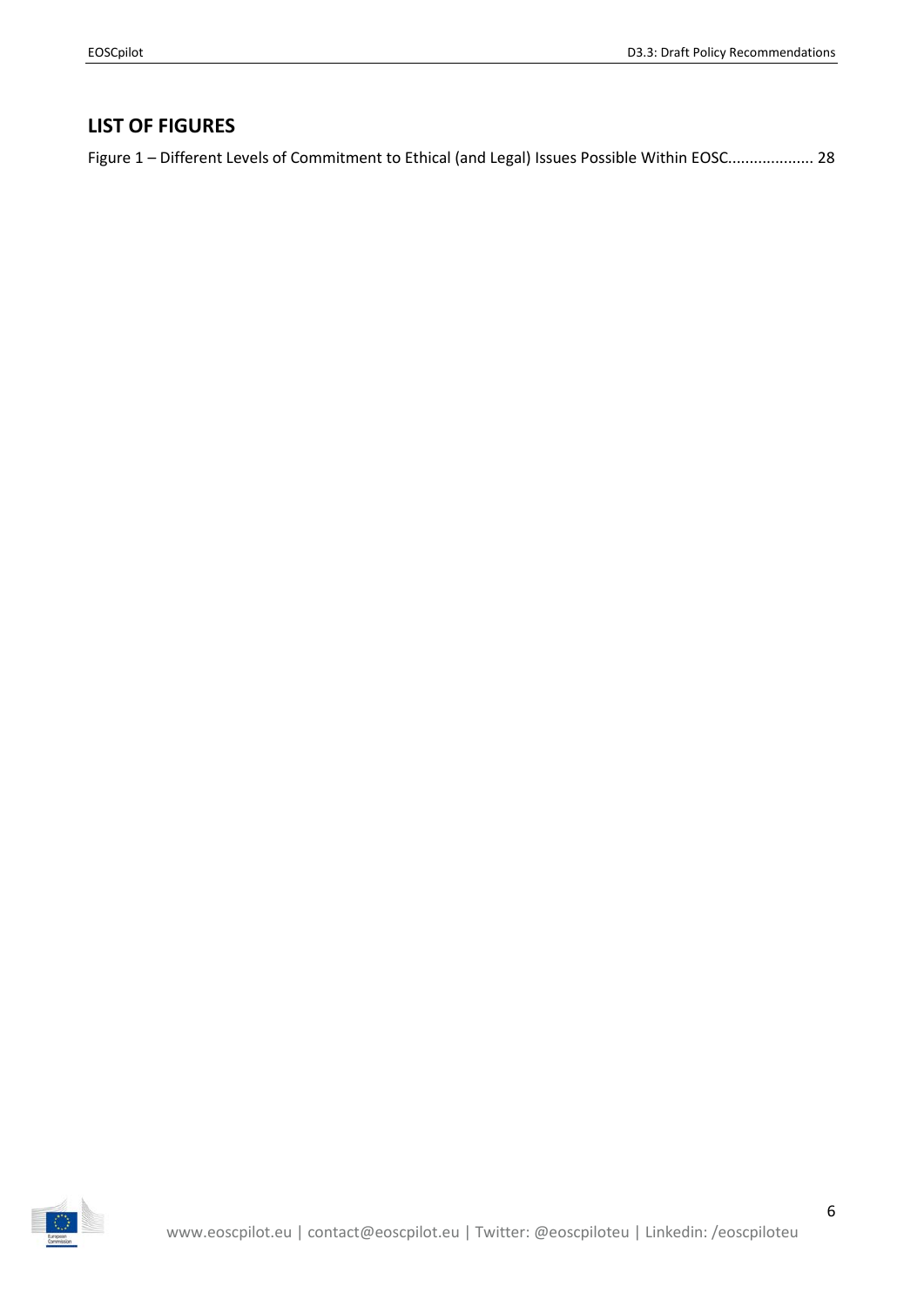## **LIST OF FIGURES**

Figure 1 – [Different Levels of Commitment to Ethical \(and Legal\) Issues Possible Within EOSC....................](#page-27-0) 28

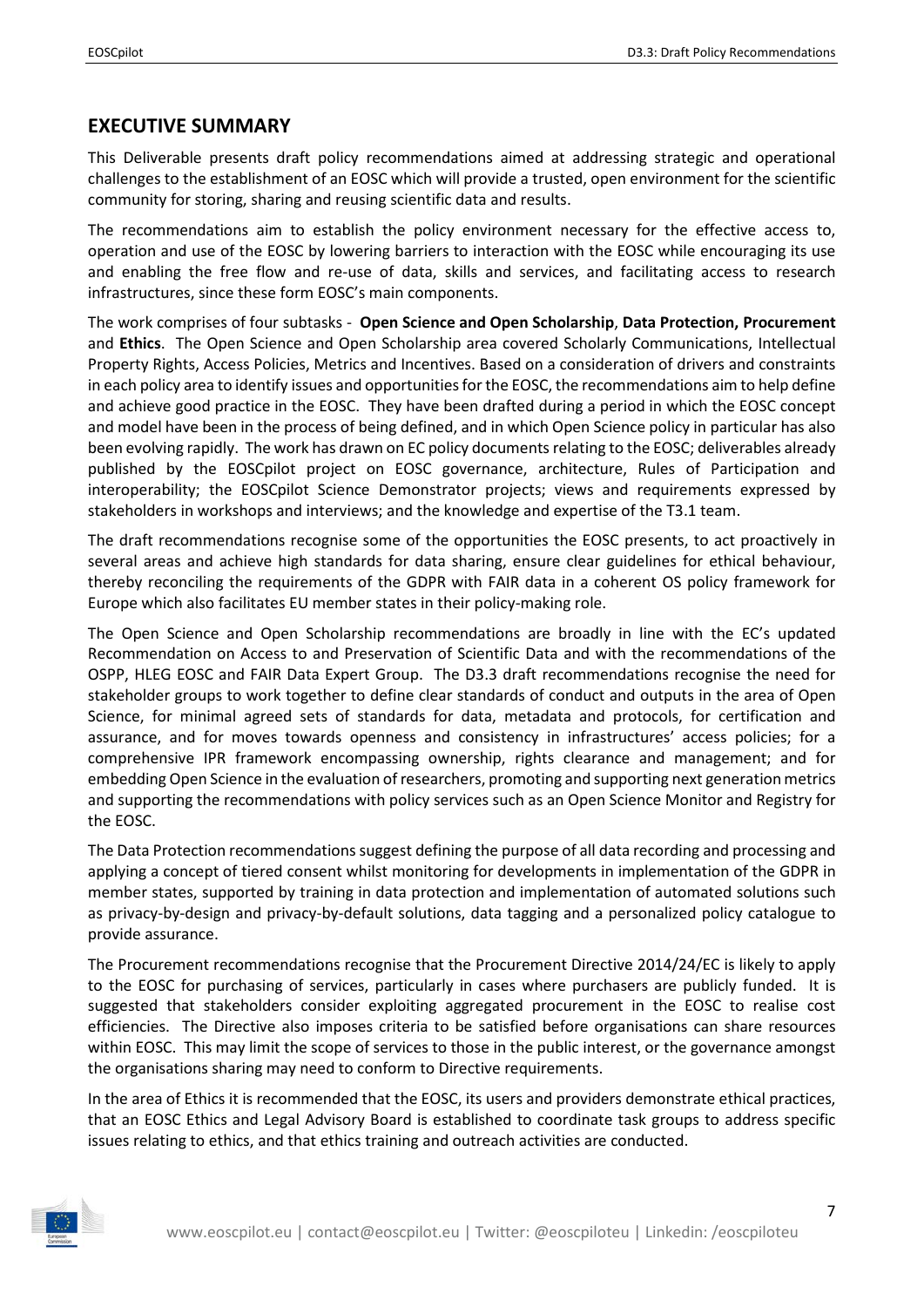## <span id="page-6-0"></span>**EXECUTIVE SUMMARY**

This Deliverable presents draft policy recommendations aimed at addressing strategic and operational challenges to the establishment of an EOSC which will provide a trusted, open environment for the scientific community for storing, sharing and reusing scientific data and results.

The recommendations aim to establish the policy environment necessary for the effective access to, operation and use of the EOSC by lowering barriers to interaction with the EOSC while encouraging its use and enabling the free flow and re-use of data, skills and services, and facilitating access to research infrastructures, since these form EOSC's main components.

The work comprises of four subtasks - **Open Science and Open Scholarship**, **Data Protection, Procurement** and **Ethics**. The Open Science and Open Scholarship area covered Scholarly Communications, Intellectual Property Rights, Access Policies, Metrics and Incentives. Based on a consideration of drivers and constraints in each policy area to identify issues and opportunitiesfor the EOSC, the recommendations aim to help define and achieve good practice in the EOSC. They have been drafted during a period in which the EOSC concept and model have been in the process of being defined, and in which Open Science policy in particular has also been evolving rapidly. The work has drawn on EC policy documents relating to the EOSC; deliverables already published by the EOSCpilot project on EOSC governance, architecture, Rules of Participation and interoperability; the EOSCpilot Science Demonstrator projects; views and requirements expressed by stakeholders in workshops and interviews; and the knowledge and expertise of the T3.1 team.

The draft recommendations recognise some of the opportunities the EOSC presents, to act proactively in several areas and achieve high standards for data sharing, ensure clear guidelines for ethical behaviour, thereby reconciling the requirements of the GDPR with FAIR data in a coherent OS policy framework for Europe which also facilitates EU member states in their policy-making role.

The Open Science and Open Scholarship recommendations are broadly in line with the EC's updated Recommendation on Access to and Preservation of Scientific Data and with the recommendations of the OSPP, HLEG EOSC and FAIR Data Expert Group. The D3.3 draft recommendations recognise the need for stakeholder groups to work together to define clear standards of conduct and outputs in the area of Open Science, for minimal agreed sets of standards for data, metadata and protocols, for certification and assurance, and for moves towards openness and consistency in infrastructures' access policies; for a comprehensive IPR framework encompassing ownership, rights clearance and management; and for embedding Open Science in the evaluation ofresearchers, promoting and supporting next generation metrics and supporting the recommendations with policy services such as an Open Science Monitor and Registry for the EOSC.

The Data Protection recommendations suggest defining the purpose of all data recording and processing and applying a concept of tiered consent whilst monitoring for developments in implementation of the GDPR in member states, supported by training in data protection and implementation of automated solutions such as privacy-by-design and privacy-by-default solutions, data tagging and a personalized policy catalogue to provide assurance.

The Procurement recommendations recognise that the Procurement Directive 2014/24/EC is likely to apply to the EOSC for purchasing of services, particularly in cases where purchasers are publicly funded. It is suggested that stakeholders consider exploiting aggregated procurement in the EOSC to realise cost efficiencies. The Directive also imposes criteria to be satisfied before organisations can share resources within EOSC. This may limit the scope of services to those in the public interest, or the governance amongst the organisations sharing may need to conform to Directive requirements.

In the area of Ethics it is recommended that the EOSC, its users and providers demonstrate ethical practices, that an EOSC Ethics and Legal Advisory Board is established to coordinate task groups to address specific issues relating to ethics, and that ethics training and outreach activities are conducted.

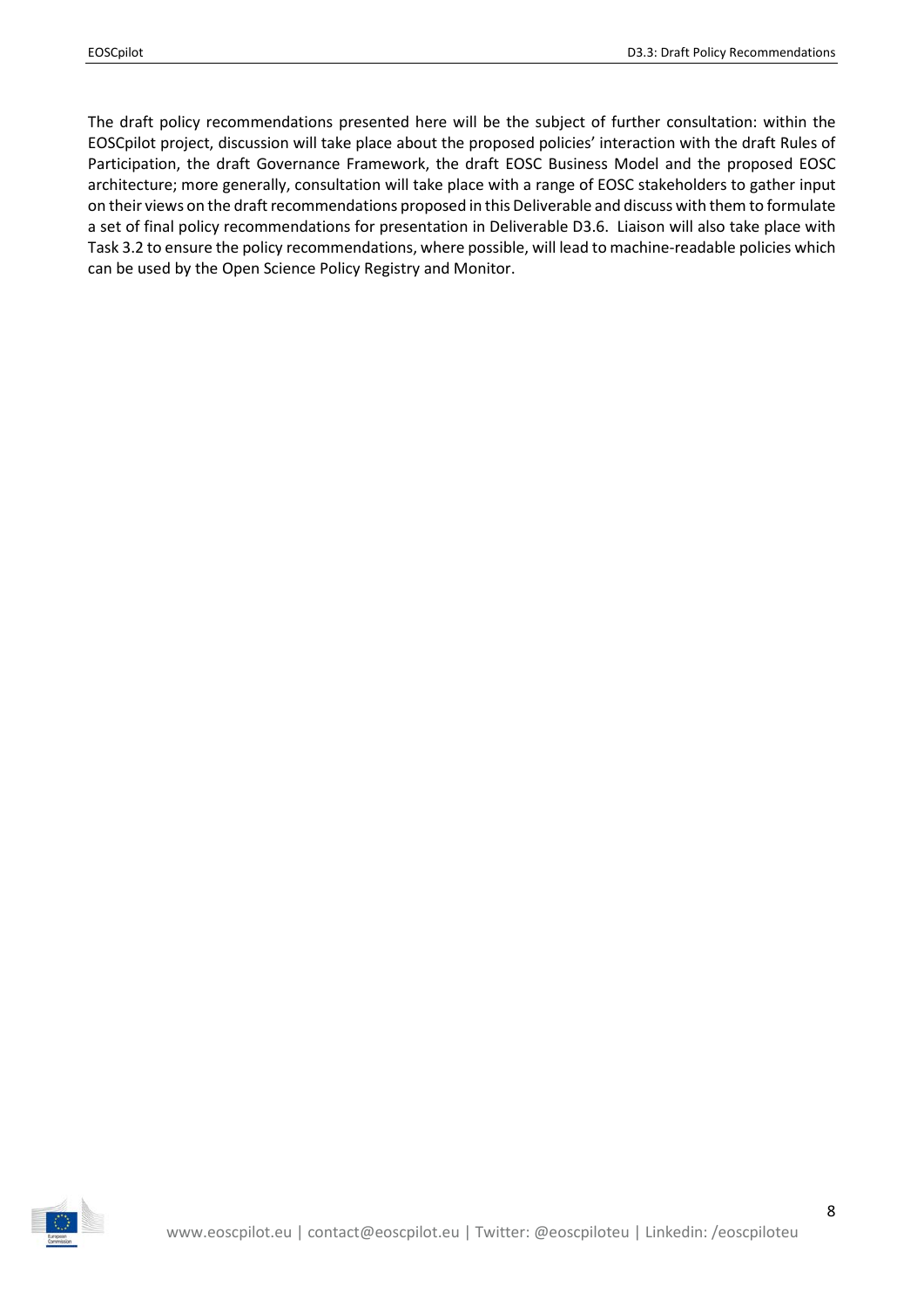The draft policy recommendations presented here will be the subject of further consultation: within the EOSCpilot project, discussion will take place about the proposed policies' interaction with the draft Rules of Participation, the draft Governance Framework, the draft EOSC Business Model and the proposed EOSC architecture; more generally, consultation will take place with a range of EOSC stakeholders to gather input on their views on the draft recommendations proposed in this Deliverable and discuss with them to formulate a set of final policy recommendations for presentation in Deliverable D3.6. Liaison will also take place with Task 3.2 to ensure the policy recommendations, where possible, will lead to machine-readable policies which can be used by the Open Science Policy Registry and Monitor.

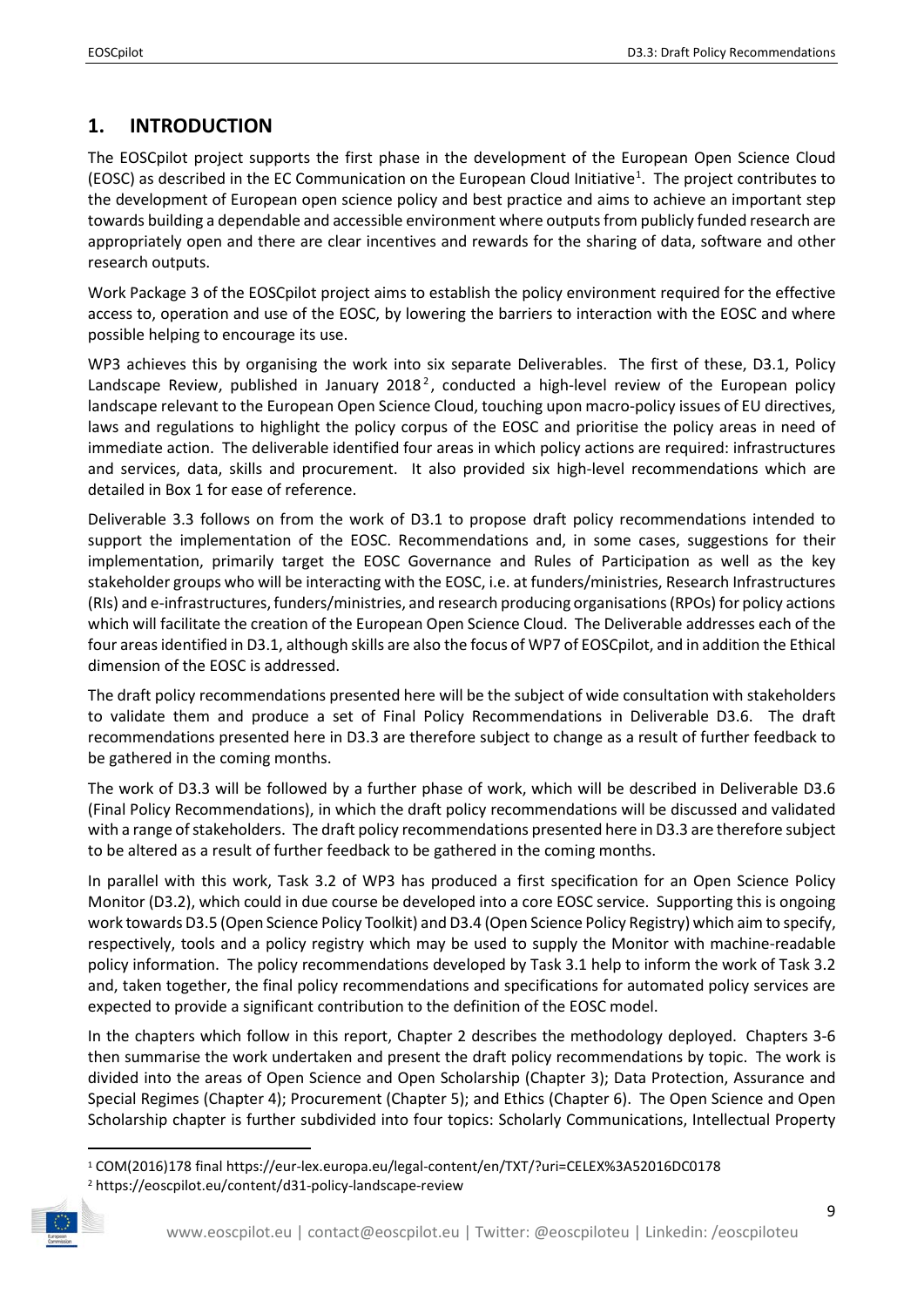# <span id="page-8-0"></span>**1. INTRODUCTION**

The EOSCpilot project supports the first phase in the development of the European Open Science Cloud (EOSC) as described in the EC Communication on the European Cloud Initiative<sup>[1](#page-8-1)</sup>. The project contributes to the development of European open science policy and best practice and aims to achieve an important step towards building a dependable and accessible environment where outputs from publicly funded research are appropriately open and there are clear incentives and rewards for the sharing of data, software and other research outputs.

Work Package 3 of the EOSCpilot project aims to establish the policy environment required for the effective access to, operation and use of the EOSC, by lowering the barriers to interaction with the EOSC and where possible helping to encourage its use.

WP3 achieves this by organising the work into six separate Deliverables. The first of these, D3.1, Policy Landscape Review, published in January [2](#page-8-2)018<sup>2</sup>, conducted a high-level review of the European policy landscape relevant to the European Open Science Cloud, touching upon macro-policy issues of EU directives, laws and regulations to highlight the policy corpus of the EOSC and prioritise the policy areas in need of immediate action. The deliverable identified four areas in which policy actions are required: infrastructures and services, data, skills and procurement. It also provided six high-level recommendations which are detailed in Box 1 for ease of reference.

Deliverable 3.3 follows on from the work of D3.1 to propose draft policy recommendations intended to support the implementation of the EOSC. Recommendations and, in some cases, suggestions for their implementation, primarily target the EOSC Governance and Rules of Participation as well as the key stakeholder groups who will be interacting with the EOSC, i.e. at funders/ministries, Research Infrastructures (RIs) and e-infrastructures, funders/ministries, and research producing organisations (RPOs) for policy actions which will facilitate the creation of the European Open Science Cloud. The Deliverable addresses each of the four areas identified in D3.1, although skills are also the focus of WP7 of EOSCpilot, and in addition the Ethical dimension of the EOSC is addressed.

The draft policy recommendations presented here will be the subject of wide consultation with stakeholders to validate them and produce a set of Final Policy Recommendations in Deliverable D3.6. The draft recommendations presented here in D3.3 are therefore subject to change as a result of further feedback to be gathered in the coming months.

The work of D3.3 will be followed by a further phase of work, which will be described in Deliverable D3.6 (Final Policy Recommendations), in which the draft policy recommendations will be discussed and validated with a range of stakeholders. The draft policy recommendations presented here in D3.3 are therefore subject to be altered as a result of further feedback to be gathered in the coming months.

In parallel with this work, Task 3.2 of WP3 has produced a first specification for an Open Science Policy Monitor (D3.2), which could in due course be developed into a core EOSC service. Supporting this is ongoing work towards D3.5 (Open Science Policy Toolkit) and D3.4 (Open Science Policy Registry) which aim to specify, respectively, tools and a policy registry which may be used to supply the Monitor with machine-readable policy information. The policy recommendations developed by Task 3.1 help to inform the work of Task 3.2 and, taken together, the final policy recommendations and specifications for automated policy services are expected to provide a significant contribution to the definition of the EOSC model.

In the chapters which follow in this report, Chapter 2 describes the methodology deployed. Chapters 3-6 then summarise the work undertaken and present the draft policy recommendations by topic. The work is divided into the areas of Open Science and Open Scholarship (Chapter 3); Data Protection, Assurance and Special Regimes (Chapter 4); Procurement (Chapter 5); and Ethics (Chapter 6). The Open Science and Open Scholarship chapter is further subdivided into four topics: Scholarly Communications, Intellectual Property

<span id="page-8-2"></span><span id="page-8-1"></span><sup>2</sup> https://eoscpilot.eu/content/d31-policy-landscape-review



 <sup>1</sup> COM(2016)178 final https://eur-lex.europa.eu/legal-content/en/TXT/?uri=CELEX%3A52016DC0178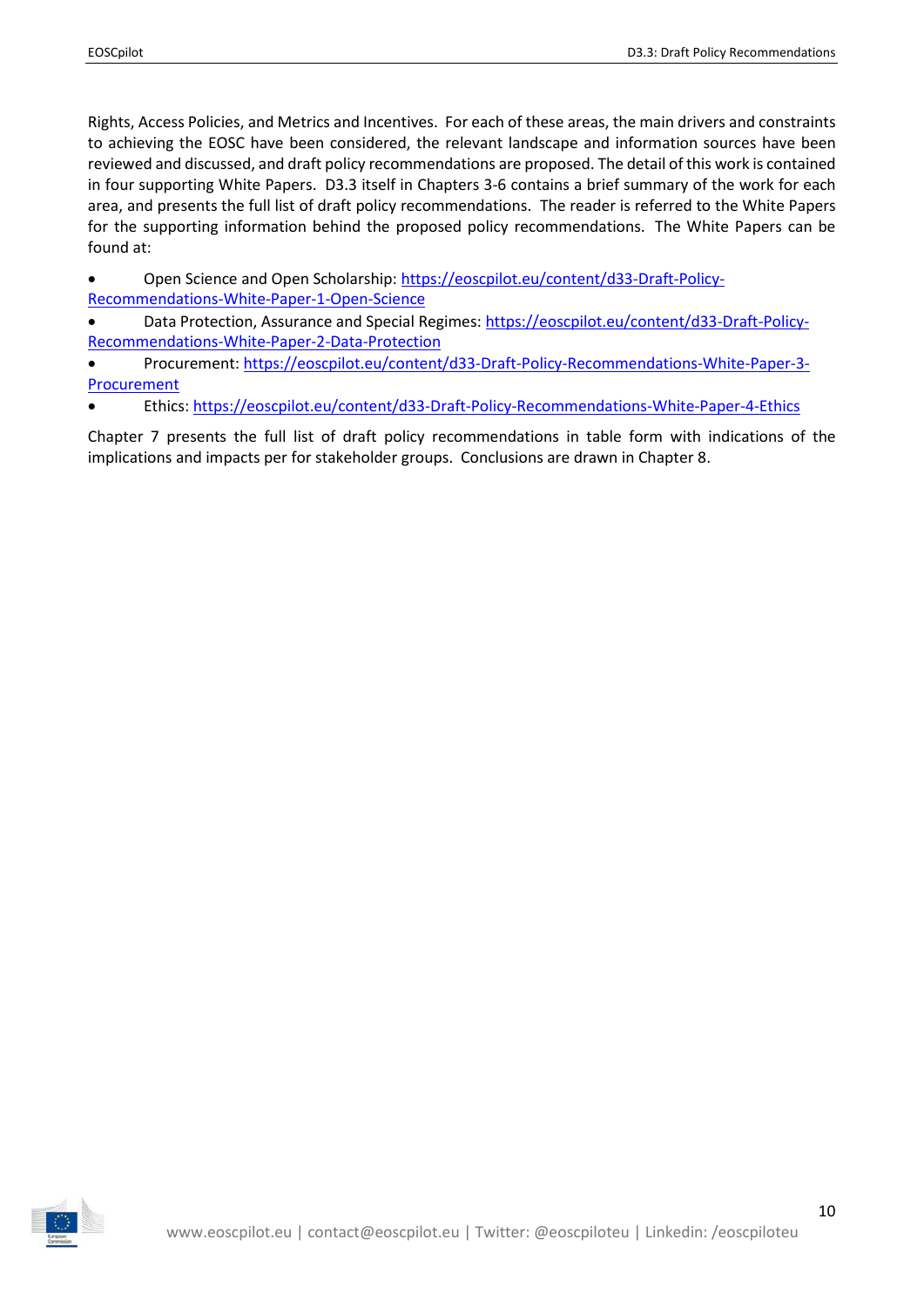Rights, Access Policies, and Metrics and Incentives. For each of these areas, the main drivers and constraints to achieving the EOSC have been considered, the relevant landscape and information sources have been reviewed and discussed, and draft policy recommendations are proposed. The detail of this work is contained in four supporting White Papers. D3.3 itself in Chapters 3-6 contains a brief summary of the work for each area, and presents the full list of draft policy recommendations. The reader is referred to the White Papers for the supporting information behind the proposed policy recommendations. The White Papers can be found at:

• Open Science and Open Scholarship: [https://eoscpilot.eu/content/d33-Draft-Policy-](https://eoscpilot.eu/content/d33-Draft-Policy-Recommendations-White-Paper-1-Open-Science)[Recommendations-White-Paper-1-Open-Science](https://eoscpilot.eu/content/d33-Draft-Policy-Recommendations-White-Paper-1-Open-Science)

• Data Protection, Assurance and Special Regimes: [https://eoscpilot.eu/content/d33-Draft-Policy-](https://eoscpilot.eu/content/d33-Draft-Policy-Recommendations-White-Paper-2-Data-Protection)[Recommendations-White-Paper-2-Data-Protection](https://eoscpilot.eu/content/d33-Draft-Policy-Recommendations-White-Paper-2-Data-Protection)

• Procurement: [https://eoscpilot.eu/content/d33-Draft-Policy-Recommendations-White-Paper-3-](https://eoscpilot.eu/content/d33-Draft-Policy-Recommendations-White-Paper-3-Procurement) **[Procurement](https://eoscpilot.eu/content/d33-Draft-Policy-Recommendations-White-Paper-3-Procurement)** 

• Ethics[: https://eoscpilot.eu/content/d33-Draft-Policy-Recommendations-White-Paper-4-Ethics](https://eoscpilot.eu/content/d33-Draft-Policy-Recommendations-White-Paper-4-Ethics)

Chapter 7 presents the full list of draft policy recommendations in table form with indications of the implications and impacts per for stakeholder groups. Conclusions are drawn in Chapter 8.

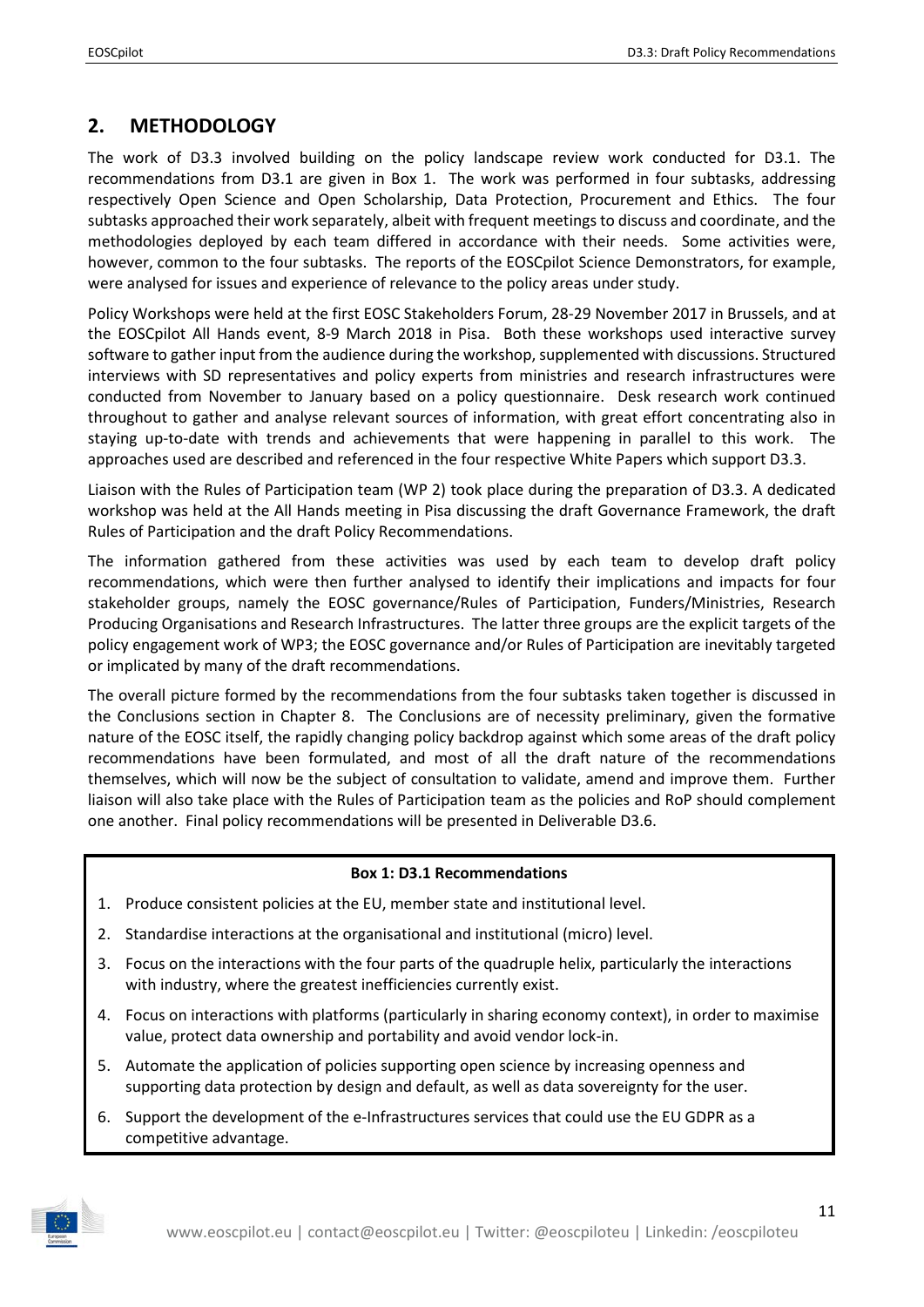## <span id="page-10-0"></span>**2. METHODOLOGY**

The work of D3.3 involved building on the policy landscape review work conducted for D3.1. The recommendations from D3.1 are given in Box 1. The work was performed in four subtasks, addressing respectively Open Science and Open Scholarship, Data Protection, Procurement and Ethics. The four subtasks approached their work separately, albeit with frequent meetings to discuss and coordinate, and the methodologies deployed by each team differed in accordance with their needs. Some activities were, however, common to the four subtasks. The reports of the EOSCpilot Science Demonstrators, for example, were analysed for issues and experience of relevance to the policy areas under study.

Policy Workshops were held at the first EOSC Stakeholders Forum, 28-29 November 2017 in Brussels, and at the EOSCpilot All Hands event, 8-9 March 2018 in Pisa. Both these workshops used interactive survey software to gather input from the audience during the workshop, supplemented with discussions. Structured interviews with SD representatives and policy experts from ministries and research infrastructures were conducted from November to January based on a policy questionnaire. Desk research work continued throughout to gather and analyse relevant sources of information, with great effort concentrating also in staying up-to-date with trends and achievements that were happening in parallel to this work. The approaches used are described and referenced in the four respective White Papers which support D3.3.

Liaison with the Rules of Participation team (WP 2) took place during the preparation of D3.3. A dedicated workshop was held at the All Hands meeting in Pisa discussing the draft Governance Framework, the draft Rules of Participation and the draft Policy Recommendations.

The information gathered from these activities was used by each team to develop draft policy recommendations, which were then further analysed to identify their implications and impacts for four stakeholder groups, namely the EOSC governance/Rules of Participation, Funders/Ministries, Research Producing Organisations and Research Infrastructures. The latter three groups are the explicit targets of the policy engagement work of WP3; the EOSC governance and/or Rules of Participation are inevitably targeted or implicated by many of the draft recommendations.

The overall picture formed by the recommendations from the four subtasks taken together is discussed in the Conclusions section in Chapter 8. The Conclusions are of necessity preliminary, given the formative nature of the EOSC itself, the rapidly changing policy backdrop against which some areas of the draft policy recommendations have been formulated, and most of all the draft nature of the recommendations themselves, which will now be the subject of consultation to validate, amend and improve them. Further liaison will also take place with the Rules of Participation team as the policies and RoP should complement one another. Final policy recommendations will be presented in Deliverable D3.6.

#### **Box 1: D3.1 Recommendations**

- 1. Produce consistent policies at the EU, member state and institutional level.
- 2. Standardise interactions at the organisational and institutional (micro) level.
- 3. Focus on the interactions with the four parts of the quadruple helix, particularly the interactions with industry, where the greatest inefficiencies currently exist.
- 4. Focus on interactions with platforms (particularly in sharing economy context), in order to maximise value, protect data ownership and portability and avoid vendor lock-in.
- 5. Automate the application of policies supporting open science by increasing openness and supporting data protection by design and default, as well as data sovereignty for the user.
- 6. Support the development of the e-Infrastructures services that could use the EU GDPR as a competitive advantage.

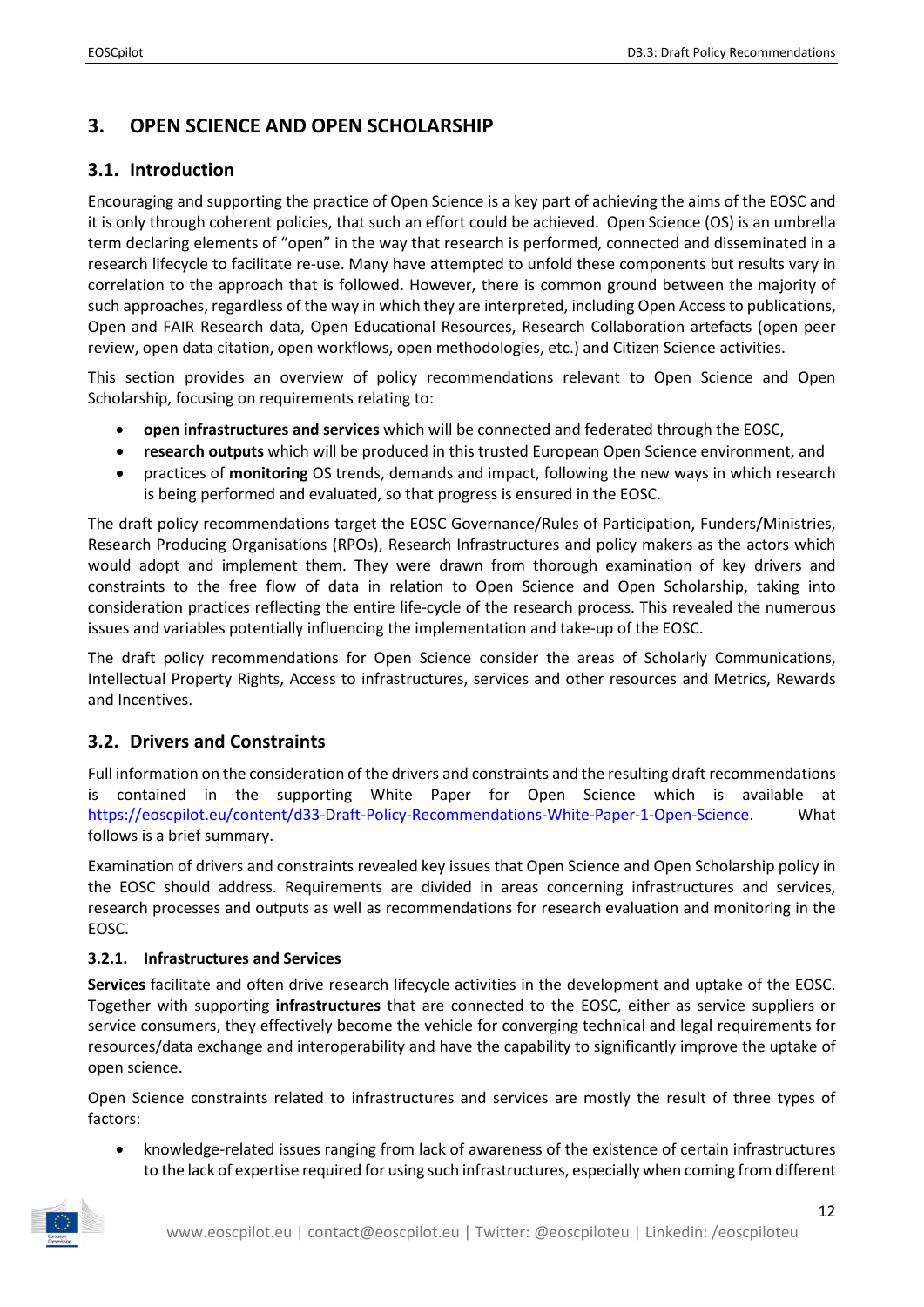# <span id="page-11-0"></span>**3. OPEN SCIENCE AND OPEN SCHOLARSHIP**

## <span id="page-11-1"></span>**3.1. Introduction**

Encouraging and supporting the practice of Open Science is a key part of achieving the aims of the EOSC and it is only through coherent policies, that such an effort could be achieved. Open Science (OS) is an umbrella term declaring elements of "open" in the way that research is performed, connected and disseminated in a research lifecycle to facilitate re-use. Many have attempted to unfold these components but results vary in correlation to the approach that is followed. However, there is common ground between the majority of such approaches, regardless of the way in which they are interpreted, including Open Access to publications, Open and FAIR Research data, Open Educational Resources, Research Collaboration artefacts (open peer review, open data citation, open workflows, open methodologies, etc.) and Citizen Science activities.

This section provides an overview of policy recommendations relevant to Open Science and Open Scholarship, focusing on requirements relating to:

- **open infrastructures and services** which will be connected and federated through the EOSC,
- **research outputs** which will be produced in this trusted European Open Science environment, and
- practices of **monitoring** OS trends, demands and impact, following the new ways in which research is being performed and evaluated, so that progress is ensured in the EOSC.

The draft policy recommendations target the EOSC Governance/Rules of Participation, Funders/Ministries, Research Producing Organisations (RPOs), Research Infrastructures and policy makers as the actors which would adopt and implement them. They were drawn from thorough examination of key drivers and constraints to the free flow of data in relation to Open Science and Open Scholarship, taking into consideration practices reflecting the entire life-cycle of the research process. This revealed the numerous issues and variables potentially influencing the implementation and take-up of the EOSC.

The draft policy recommendations for Open Science consider the areas of Scholarly Communications, Intellectual Property Rights, Access to infrastructures, services and other resources and Metrics, Rewards and Incentives.

## <span id="page-11-2"></span>**3.2. Drivers and Constraints**

Full information on the consideration of the drivers and constraints and the resulting draft recommendations is contained in the supporting White Paper for Open Science which is available at [https://eoscpilot.eu/content/d33-Draft-Policy-Recommendations-White-Paper-1-Open-Science.](https://eoscpilot.eu/content/d33-Draft-Policy-Recommendations-White-Paper-1-Open-Science) What follows is a brief summary.

Examination of drivers and constraints revealed key issues that Open Science and Open Scholarship policy in the EOSC should address. Requirements are divided in areas concerning infrastructures and services, research processes and outputs as well as recommendations for research evaluation and monitoring in the EOSC.

#### <span id="page-11-3"></span>**3.2.1. Infrastructures and Services**

**Services** facilitate and often drive research lifecycle activities in the development and uptake of the EOSC. Together with supporting **infrastructures** that are connected to the EOSC, either as service suppliers or service consumers, they effectively become the vehicle for converging technical and legal requirements for resources/data exchange and interoperability and have the capability to significantly improve the uptake of open science.

Open Science constraints related to infrastructures and services are mostly the result of three types of factors:

• knowledge-related issues ranging from lack of awareness of the existence of certain infrastructures to the lack of expertise required for using such infrastructures, especially when coming from different

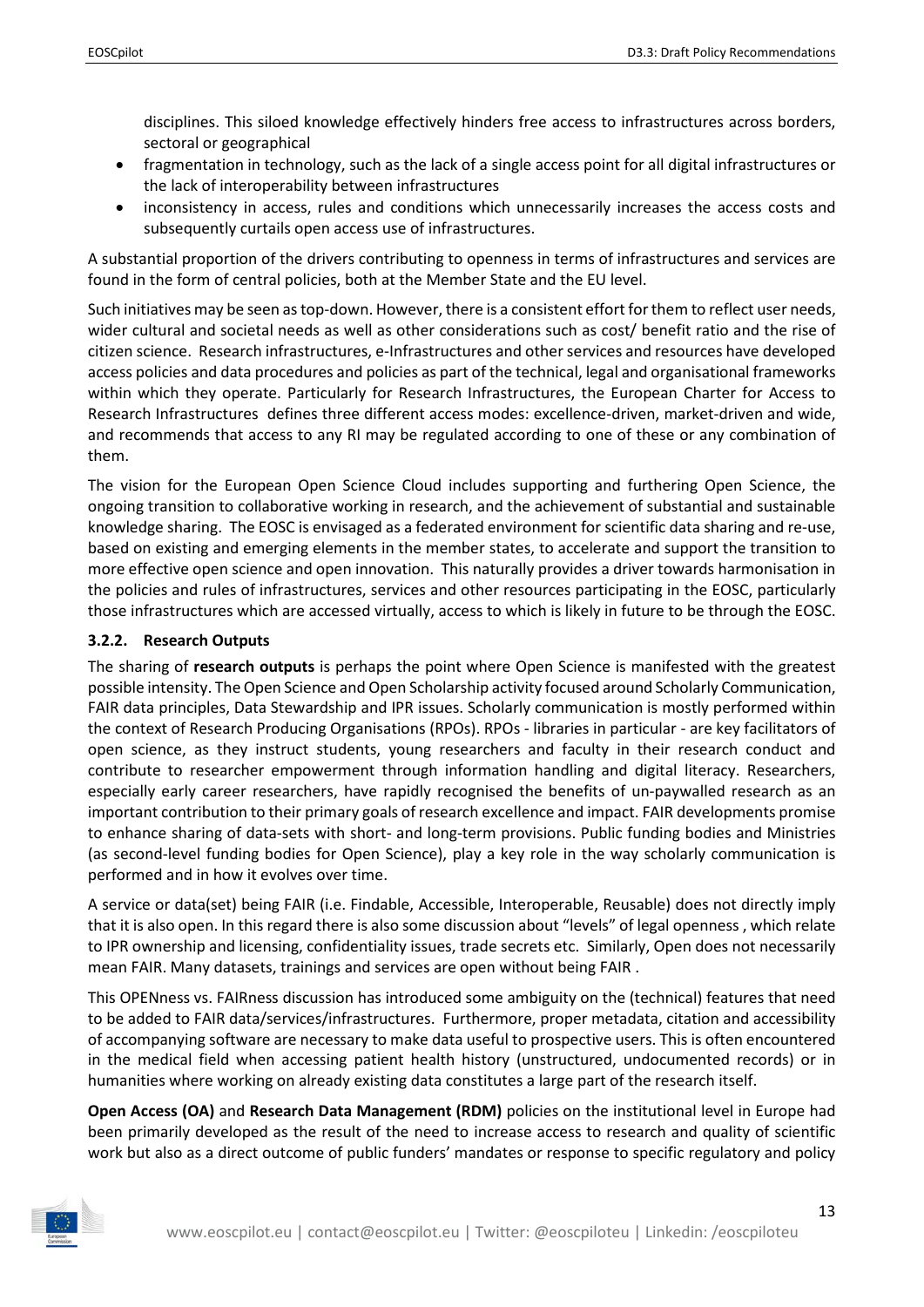disciplines. This siloed knowledge effectively hinders free access to infrastructures across borders, sectoral or geographical

- fragmentation in technology, such as the lack of a single access point for all digital infrastructures or the lack of interoperability between infrastructures
- inconsistency in access, rules and conditions which unnecessarily increases the access costs and subsequently curtails open access use of infrastructures.

A substantial proportion of the drivers contributing to openness in terms of infrastructures and services are found in the form of central policies, both at the Member State and the EU level.

Such initiatives may be seen as top-down. However, there is a consistent effort for them to reflect user needs, wider cultural and societal needs as well as other considerations such as cost/ benefit ratio and the rise of citizen science. Research infrastructures, e-Infrastructures and other services and resources have developed access policies and data procedures and policies as part of the technical, legal and organisational frameworks within which they operate. Particularly for Research Infrastructures, the European Charter for Access to Research Infrastructures defines three different access modes: excellence-driven, market-driven and wide, and recommends that access to any RI may be regulated according to one of these or any combination of them.

The vision for the European Open Science Cloud includes supporting and furthering Open Science, the ongoing transition to collaborative working in research, and the achievement of substantial and sustainable knowledge sharing. The EOSC is envisaged as a federated environment for scientific data sharing and re-use, based on existing and emerging elements in the member states, to accelerate and support the transition to more effective open science and open innovation. This naturally provides a driver towards harmonisation in the policies and rules of infrastructures, services and other resources participating in the EOSC, particularly those infrastructures which are accessed virtually, access to which is likely in future to be through the EOSC.

#### <span id="page-12-0"></span>**3.2.2. Research Outputs**

The sharing of **research outputs** is perhaps the point where Open Science is manifested with the greatest possible intensity. The Open Science and Open Scholarship activity focused around Scholarly Communication, FAIR data principles, Data Stewardship and IPR issues. Scholarly communication is mostly performed within the context of Research Producing Organisations (RPOs). RPOs - libraries in particular - are key facilitators of open science, as they instruct students, young researchers and faculty in their research conduct and contribute to researcher empowerment through information handling and digital literacy. Researchers, especially early career researchers, have rapidly recognised the benefits of un-paywalled research as an important contribution to their primary goals of research excellence and impact. FAIR developments promise to enhance sharing of data-sets with short- and long-term provisions. Public funding bodies and Ministries (as second-level funding bodies for Open Science), play a key role in the way scholarly communication is performed and in how it evolves over time.

A service or data(set) being FAIR (i.e. Findable, Accessible, Interoperable, Reusable) does not directly imply that it is also open. In this regard there is also some discussion about "levels" of legal openness , which relate to IPR ownership and licensing, confidentiality issues, trade secrets etc. Similarly, Open does not necessarily mean FAIR. Many datasets, trainings and services are open without being FAIR .

This OPENness vs. FAIRness discussion has introduced some ambiguity on the (technical) features that need to be added to FAIR data/services/infrastructures. Furthermore, proper metadata, citation and accessibility of accompanying software are necessary to make data useful to prospective users. This is often encountered in the medical field when accessing patient health history (unstructured, undocumented records) or in humanities where working on already existing data constitutes a large part of the research itself.

**Open Access (OA)** and **Research Data Management (RDM)** policies on the institutional level in Europe had been primarily developed as the result of the need to increase access to research and quality of scientific work but also as a direct outcome of public funders' mandates or response to specific regulatory and policy

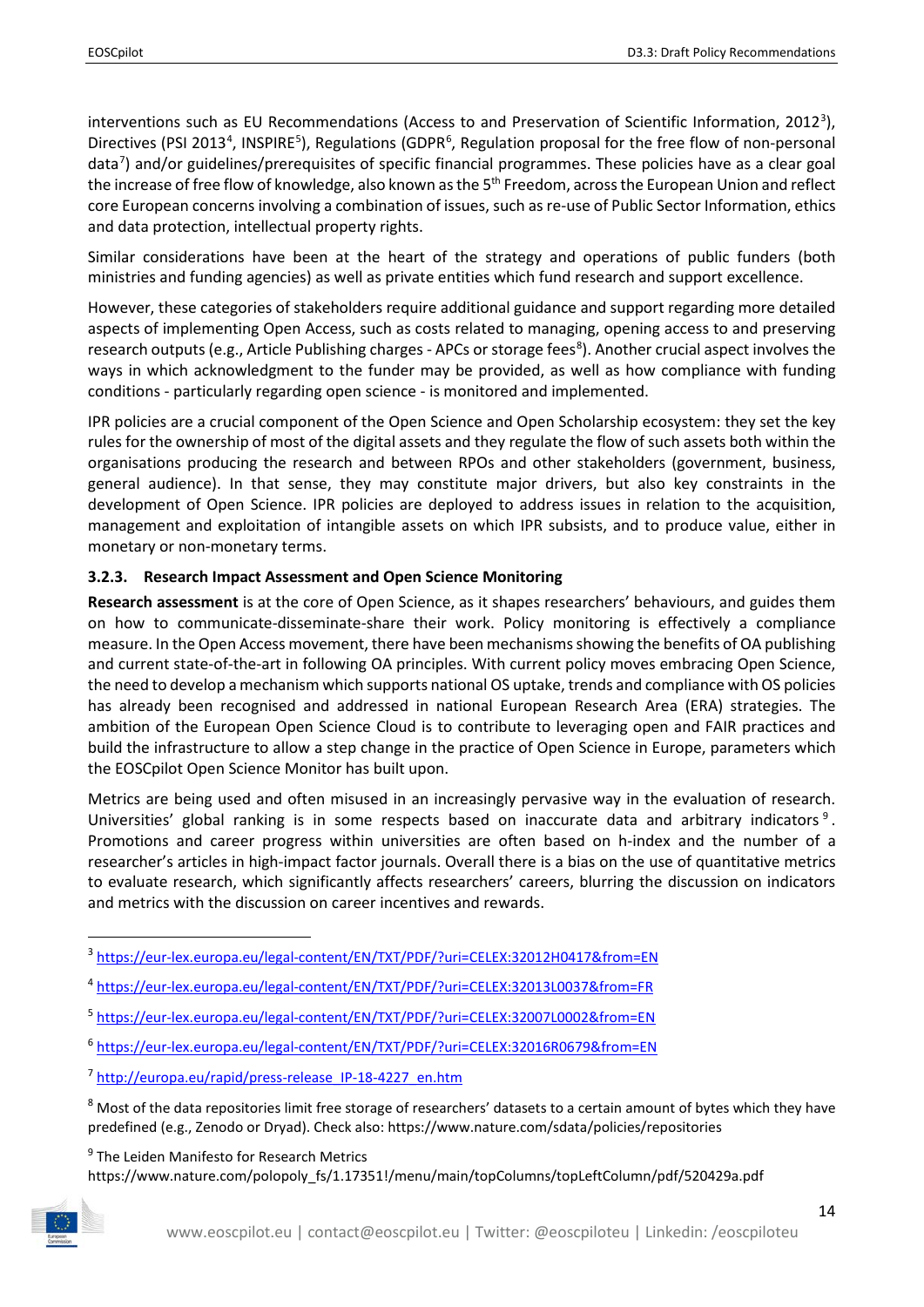interventions such as EU Recommendations (Access to and Preservation of Scientific Information, 2012<sup>[3](#page-13-1)</sup>), Directives (PSI 2013<sup>[4](#page-13-2)</sup>, INSPIRE<sup>[5](#page-13-3)</sup>), Regulations (GDPR<sup>[6](#page-13-4)</sup>, Regulation proposal for the free flow of non-personal data<sup>[7](#page-13-5)</sup>) and/or guidelines/prerequisites of specific financial programmes. These policies have as a clear goal the increase of free flow of knowledge, also known as the 5<sup>th</sup> Freedom, across the European Union and reflect core European concerns involving a combination of issues, such as re-use of Public Sector Information, ethics and data protection, intellectual property rights.

Similar considerations have been at the heart of the strategy and operations of public funders (both ministries and funding agencies) as well as private entities which fund research and support excellence.

However, these categories of stakeholders require additional guidance and support regarding more detailed aspects of implementing Open Access, such as costs related to managing, opening access to and preserving research outputs (e.g., Article Publishing charges - APCs or storage fees<sup>[8](#page-13-6)</sup>). Another crucial aspect involves the ways in which acknowledgment to the funder may be provided, as well as how compliance with funding conditions - particularly regarding open science - is monitored and implemented.

IPR policies are a crucial component of the Open Science and Open Scholarship ecosystem: they set the key rules for the ownership of most of the digital assets and they regulate the flow of such assets both within the organisations producing the research and between RPOs and other stakeholders (government, business, general audience). In that sense, they may constitute major drivers, but also key constraints in the development of Open Science. IPR policies are deployed to address issues in relation to the acquisition, management and exploitation of intangible assets on which IPR subsists, and to produce value, either in monetary or non-monetary terms.

#### <span id="page-13-0"></span>**3.2.3. Research Impact Assessment and Open Science Monitoring**

**Research assessment** is at the core of Open Science, as it shapes researchers' behaviours, and guides them on how to communicate-disseminate-share their work. Policy monitoring is effectively a compliance measure. In the Open Access movement, there have been mechanisms showing the benefits of OA publishing and current state-of-the-art in following OA principles. With current policy moves embracing Open Science, the need to develop a mechanism which supports national OS uptake, trends and compliance with OS policies has already been recognised and addressed in national European Research Area (ERA) strategies. The ambition of the European Open Science Cloud is to contribute to leveraging open and FAIR practices and build the infrastructure to allow a step change in the practice of Open Science in Europe, parameters which the EOSCpilot Open Science Monitor has built upon.

Metrics are being used and often misused in an increasingly pervasive way in the evaluation of research. Universities' global ranking is in some respects based on inaccurate data and arbitrary indicators [9](#page-13-7) . Promotions and career progress within universities are often based on h-index and the number of a researcher's articles in high-impact factor journals. Overall there is a bias on the use of quantitative metrics to evaluate research, which significantly affects researchers' careers, blurring the discussion on indicators and metrics with the discussion on career incentives and rewards.

<span id="page-13-1"></span> <sup>3</sup> <https://eur-lex.europa.eu/legal-content/EN/TXT/PDF/?uri=CELEX:32012H0417&from=EN>

<span id="page-13-2"></span><sup>4</sup> <https://eur-lex.europa.eu/legal-content/EN/TXT/PDF/?uri=CELEX:32013L0037&from=FR>

<span id="page-13-3"></span><sup>5</sup> <https://eur-lex.europa.eu/legal-content/EN/TXT/PDF/?uri=CELEX:32007L0002&from=EN>

<span id="page-13-4"></span><sup>6</sup> <https://eur-lex.europa.eu/legal-content/EN/TXT/PDF/?uri=CELEX:32016R0679&from=EN>

<span id="page-13-5"></span><sup>7</sup> [http://europa.eu/rapid/press-release\\_IP-18-4227\\_en.htm](http://europa.eu/rapid/press-release_IP-18-4227_en.htm)

<span id="page-13-6"></span><sup>&</sup>lt;sup>8</sup> Most of the data repositories limit free storage of researchers' datasets to a certain amount of bytes which they have predefined (e.g., [Zenodo](http://about.zenodo.org/policies/) or [Dryad\)](https://datadryad.org/pages/payment). Check also:<https://www.nature.com/sdata/policies/repositories>

<span id="page-13-7"></span><sup>&</sup>lt;sup>9</sup> The Leiden Manifesto for Research Metrics https://www.nature.com/polopoly\_fs/1.17351!/menu/main/topColumns/topLeftColumn/pdf/520429a.pdf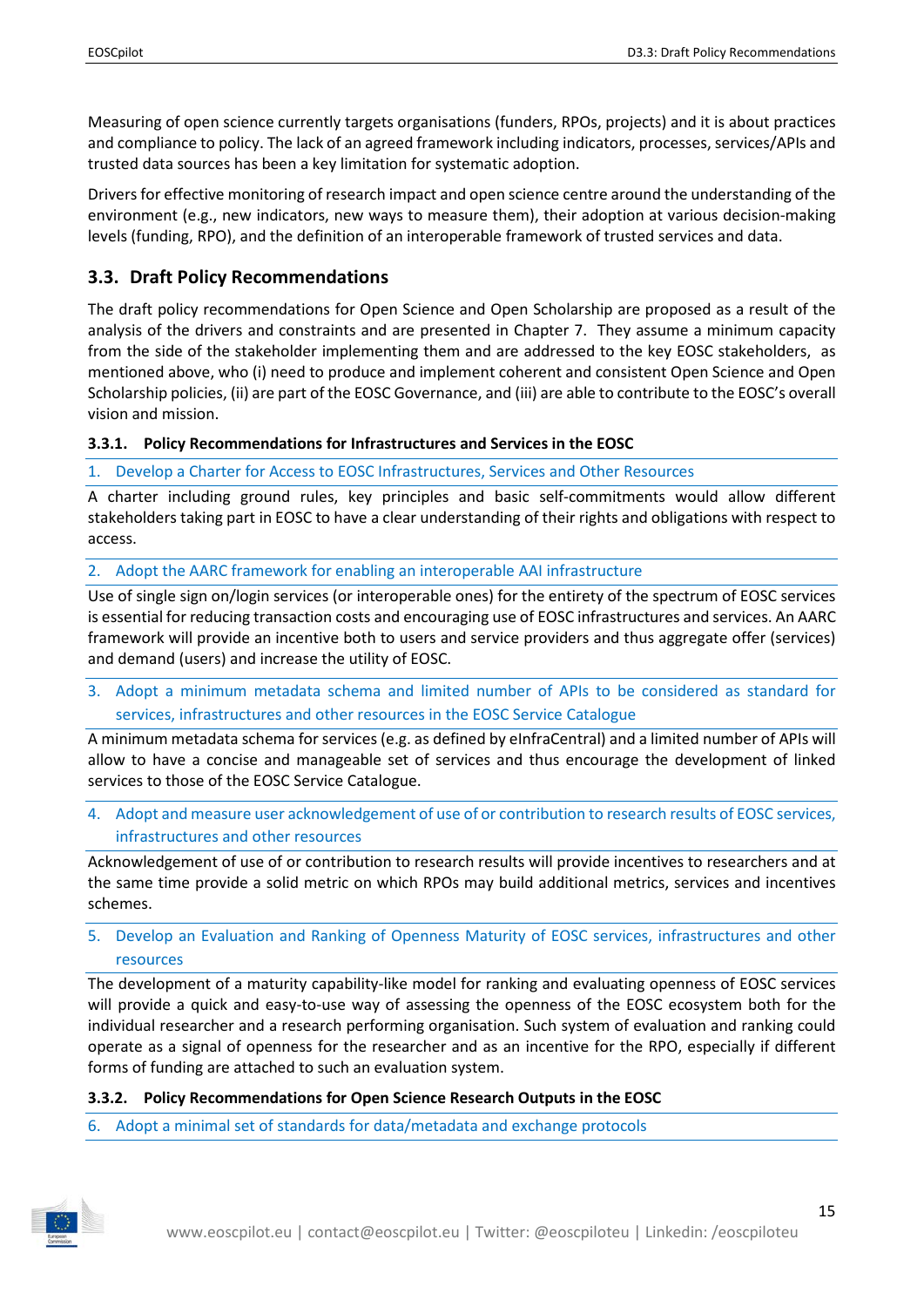Measuring of open science currently targets organisations (funders, RPOs, projects) and it is about practices and compliance to policy. The lack of an agreed framework including indicators, processes, services/APIs and trusted data sources has been a key limitation for systematic adoption.

Drivers for effective monitoring of research impact and open science centre around the understanding of the environment (e.g., new indicators, new ways to measure them), their adoption at various decision-making levels (funding, RPO), and the definition of an interoperable framework of trusted services and data.

## <span id="page-14-0"></span>**3.3. Draft Policy Recommendations**

The draft policy recommendations for Open Science and Open Scholarship are proposed as a result of the analysis of the drivers and constraints and are presented in Chapter 7. They assume a minimum capacity from the side of the stakeholder implementing them and are addressed to the key EOSC stakeholders, as mentioned above, who (i) need to produce and implement coherent and consistent Open Science and Open Scholarship policies, (ii) are part of the EOSC Governance, and (iii) are able to contribute to the EOSC's overall vision and mission.

#### <span id="page-14-1"></span>**3.3.1. Policy Recommendations for Infrastructures and Services in the EOSC**

1. Develop a Charter for Access to EOSC Infrastructures, Services and Other Resources

A charter including ground rules, key principles and basic self-commitments would allow different stakeholders taking part in EOSC to have a clear understanding of their rights and obligations with respect to access.

2. Adopt the AARC framework for enabling an interoperable AAI infrastructure

Use of single sign on/login services (or interoperable ones) for the entirety of the spectrum of EOSC services is essential for reducing transaction costs and encouraging use of EOSC infrastructures and services. An AARC framework will provide an incentive both to users and service providers and thus aggregate offer (services) and demand (users) and increase the utility of EOSC.

3. Adopt a minimum metadata schema and limited number of APIs to be considered as standard for services, infrastructures and other resources in the EOSC Service Catalogue

A minimum metadata schema for services (e.g. as defined by eInfraCentral) and a limited number of APIs will allow to have a concise and manageable set of services and thus encourage the development of linked services to those of the EOSC Service Catalogue.

4. Adopt and measure user acknowledgement of use of or contribution to research results of EOSC services, infrastructures and other resources

Acknowledgement of use of or contribution to research results will provide incentives to researchers and at the same time provide a solid metric on which RPOs may build additional metrics, services and incentives schemes.

5. Develop an Evaluation and Ranking of Openness Maturity of EOSC services, infrastructures and other resources

The development of a maturity capability-like model for ranking and evaluating openness of EOSC services will provide a quick and easy-to-use way of assessing the openness of the EOSC ecosystem both for the individual researcher and a research performing organisation. Such system of evaluation and ranking could operate as a signal of openness for the researcher and as an incentive for the RPO, especially if different forms of funding are attached to such an evaluation system.

#### <span id="page-14-2"></span>**3.3.2. Policy Recommendations for Open Science Research Outputs in the EOSC**

6. Adopt a minimal set of standards for data/metadata and exchange protocols

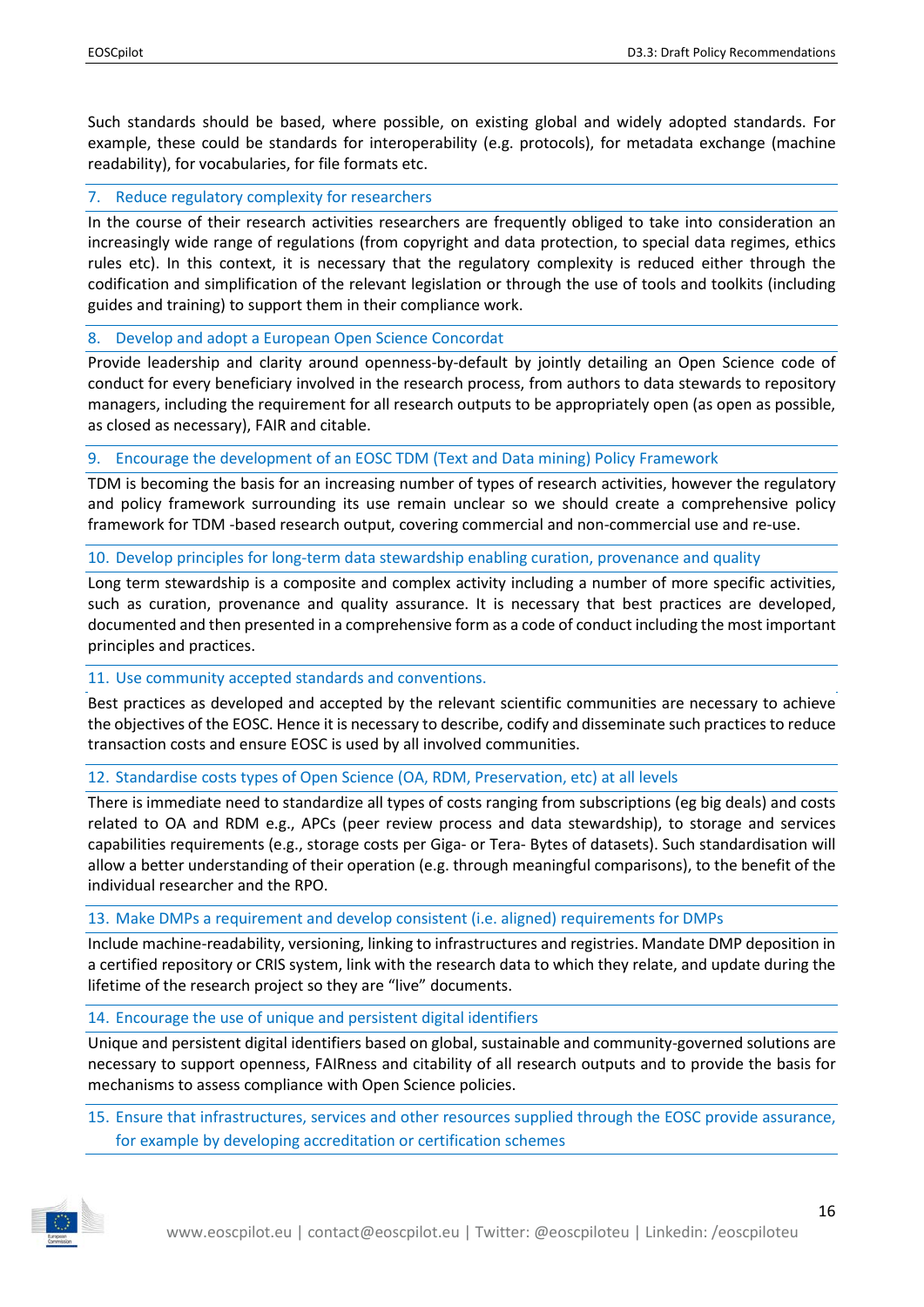Such standards should be based, where possible, on existing global and widely adopted standards. For example, these could be standards for interoperability (e.g. protocols), for metadata exchange (machine readability), for vocabularies, for file formats etc.

#### 7. Reduce regulatory complexity for researchers

In the course of their research activities researchers are frequently obliged to take into consideration an increasingly wide range of regulations (from copyright and data protection, to special data regimes, ethics rules etc). In this context, it is necessary that the regulatory complexity is reduced either through the codification and simplification of the relevant legislation or through the use of tools and toolkits (including guides and training) to support them in their compliance work.

#### 8. Develop and adopt a European Open Science Concordat

Provide leadership and clarity around openness-by-default by jointly detailing an Open Science code of conduct for every beneficiary involved in the research process, from authors to data stewards to repository managers, including the requirement for all research outputs to be appropriately open (as open as possible, as closed as necessary), FAIR and citable.

#### 9. Encourage the development of an EOSC TDM (Text and Data mining) Policy Framework

TDM is becoming the basis for an increasing number of types of research activities, however the regulatory and policy framework surrounding its use remain unclear so we should create a comprehensive policy framework for TDM -based research output, covering commercial and non-commercial use and re-use.

#### 10. Develop principles for long-term data stewardship enabling curation, provenance and quality

Long term stewardship is a composite and complex activity including a number of more specific activities, such as curation, provenance and quality assurance. It is necessary that best practices are developed, documented and then presented in a comprehensive form as a code of conduct including the most important principles and practices.

#### 11. Use community accepted standards and conventions.

Best practices as developed and accepted by the relevant scientific communities are necessary to achieve the objectives of the EOSC. Hence it is necessary to describe, codify and disseminate such practices to reduce transaction costs and ensure EOSC is used by all involved communities.

#### 12. Standardise costs types of Open Science (OA, RDM, Preservation, etc) at all levels

There is immediate need to standardize all types of costs ranging from subscriptions (eg big deals) and costs related to OA and RDM e.g., APCs (peer review process and data stewardship), to storage and services capabilities requirements (e.g., storage costs per Giga- or Tera- Bytes of datasets). Such standardisation will allow a better understanding of their operation (e.g. through meaningful comparisons), to the benefit of the individual researcher and the RPO.

#### 13. Make DMPs a requirement and develop consistent (i.e. aligned) requirements for DMPs

Include machine-readability, versioning, linking to infrastructures and registries. Mandate DMP deposition in a certified repository or CRIS system, link with the research data to which they relate, and update during the lifetime of the research project so they are "live" documents.

#### 14. Encourage the use of unique and persistent digital identifiers

Unique and persistent digital identifiers based on global, sustainable and community-governed solutions are necessary to support openness, FAIRness and citability of all research outputs and to provide the basis for mechanisms to assess compliance with Open Science policies.

15. Ensure that infrastructures, services and other resources supplied through the EOSC provide assurance, for example by developing accreditation or certification schemes

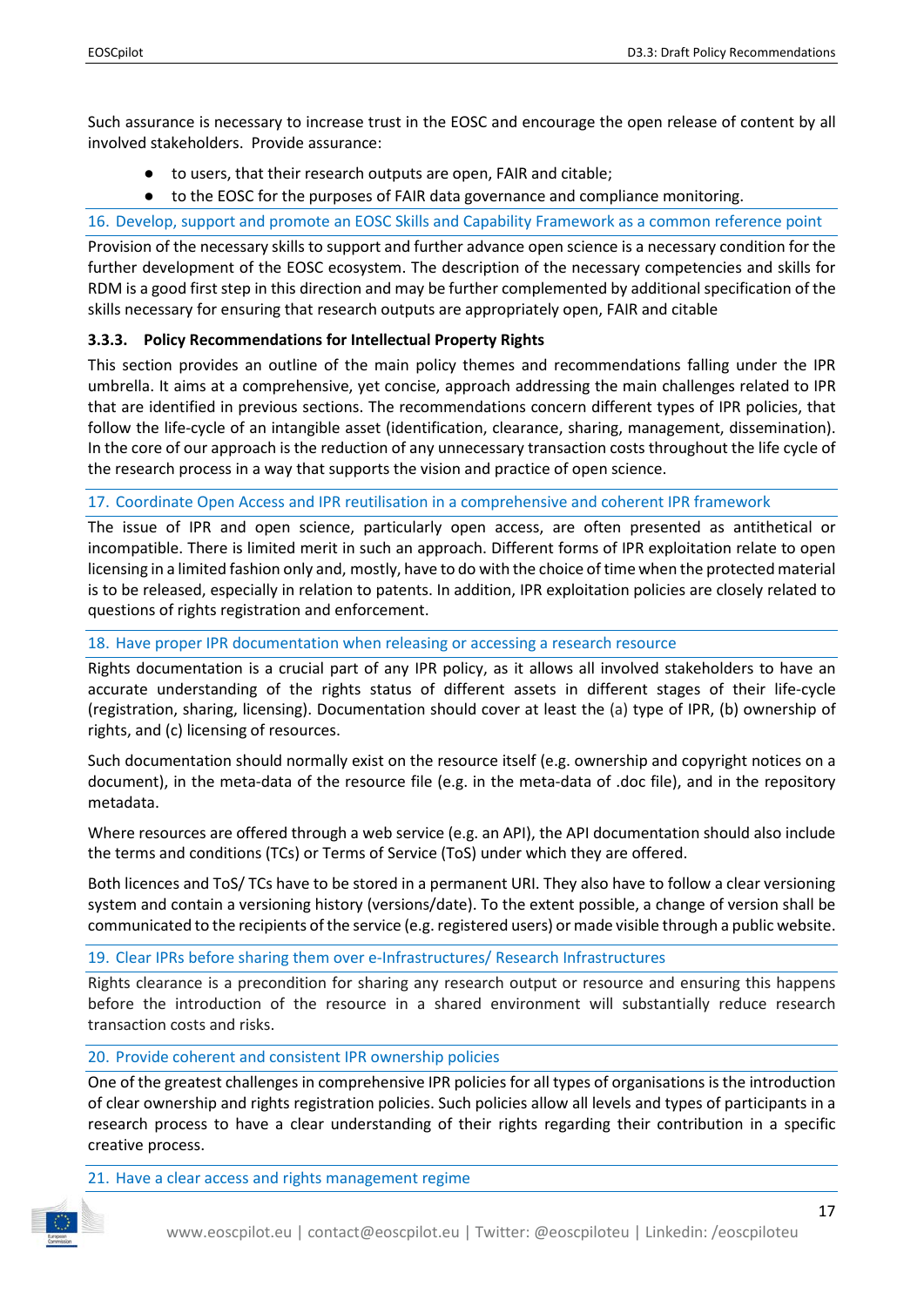Such assurance is necessary to increase trust in the EOSC and encourage the open release of content by all involved stakeholders. Provide assurance:

- to users, that their research outputs are open, FAIR and citable;
- to the EOSC for the purposes of FAIR data governance and compliance monitoring.

#### 16. Develop, support and promote an EOSC Skills and Capability Framework as a common reference point

Provision of the necessary skills to support and further advance open science is a necessary condition for the further development of the EOSC ecosystem. The description of the necessary competencies and skills for RDM is a good first step in this direction and may be further complemented by additional specification of the skills necessary for ensuring that research outputs are appropriately open, FAIR and citable

#### <span id="page-16-0"></span>**3.3.3. Policy Recommendations for Intellectual Property Rights**

This section provides an outline of the main policy themes and recommendations falling under the IPR umbrella. It aims at a comprehensive, yet concise, approach addressing the main challenges related to IPR that are identified in previous sections. The recommendations concern different types of IPR policies, that follow the life-cycle of an intangible asset (identification, clearance, sharing, management, dissemination). In the core of our approach is the reduction of any unnecessary transaction costs throughout the life cycle of the research process in a way that supports the vision and practice of open science.

#### 17. Coordinate Open Access and IPR reutilisation in a comprehensive and coherent IPR framework

The issue of IPR and open science, particularly open access, are often presented as antithetical or incompatible. There is limited merit in such an approach. Different forms of IPR exploitation relate to open licensing in a limited fashion only and, mostly, have to do with the choice of time when the protected material is to be released, especially in relation to patents. In addition, IPR exploitation policies are closely related to questions of rights registration and enforcement.

#### 18. Have proper IPR documentation when releasing or accessing a research resource

Rights documentation is a crucial part of any IPR policy, as it allows all involved stakeholders to have an accurate understanding of the rights status of different assets in different stages of their life-cycle (registration, sharing, licensing). Documentation should cover at least the (a) type of IPR, (b) ownership of rights, and (c) licensing of resources.

Such documentation should normally exist on the resource itself (e.g. ownership and copyright notices on a document), in the meta-data of the resource file (e.g. in the meta-data of .doc file), and in the repository metadata.

Where resources are offered through a web service (e.g. an API), the API documentation should also include the terms and conditions (TCs) or Terms of Service (ToS) under which they are offered.

Both licences and ToS/ TCs have to be stored in a permanent URI. They also have to follow a clear versioning system and contain a versioning history (versions/date). To the extent possible, a change of version shall be communicated to the recipients of the service (e.g. registered users) or made visible through a public website.

#### 19. Clear IPRs before sharing them over e-Infrastructures/ Research Infrastructures

Rights clearance is a precondition for sharing any research output or resource and ensuring this happens before the introduction of the resource in a shared environment will substantially reduce research transaction costs and risks.

#### 20. Provide coherent and consistent IPR ownership policies

One of the greatest challenges in comprehensive IPR policies for all types of organisations is the introduction of clear ownership and rights registration policies. Such policies allow all levels and types of participants in a research process to have a clear understanding of their rights regarding their contribution in a specific creative process.

#### 21. Have a clear access and rights management regime

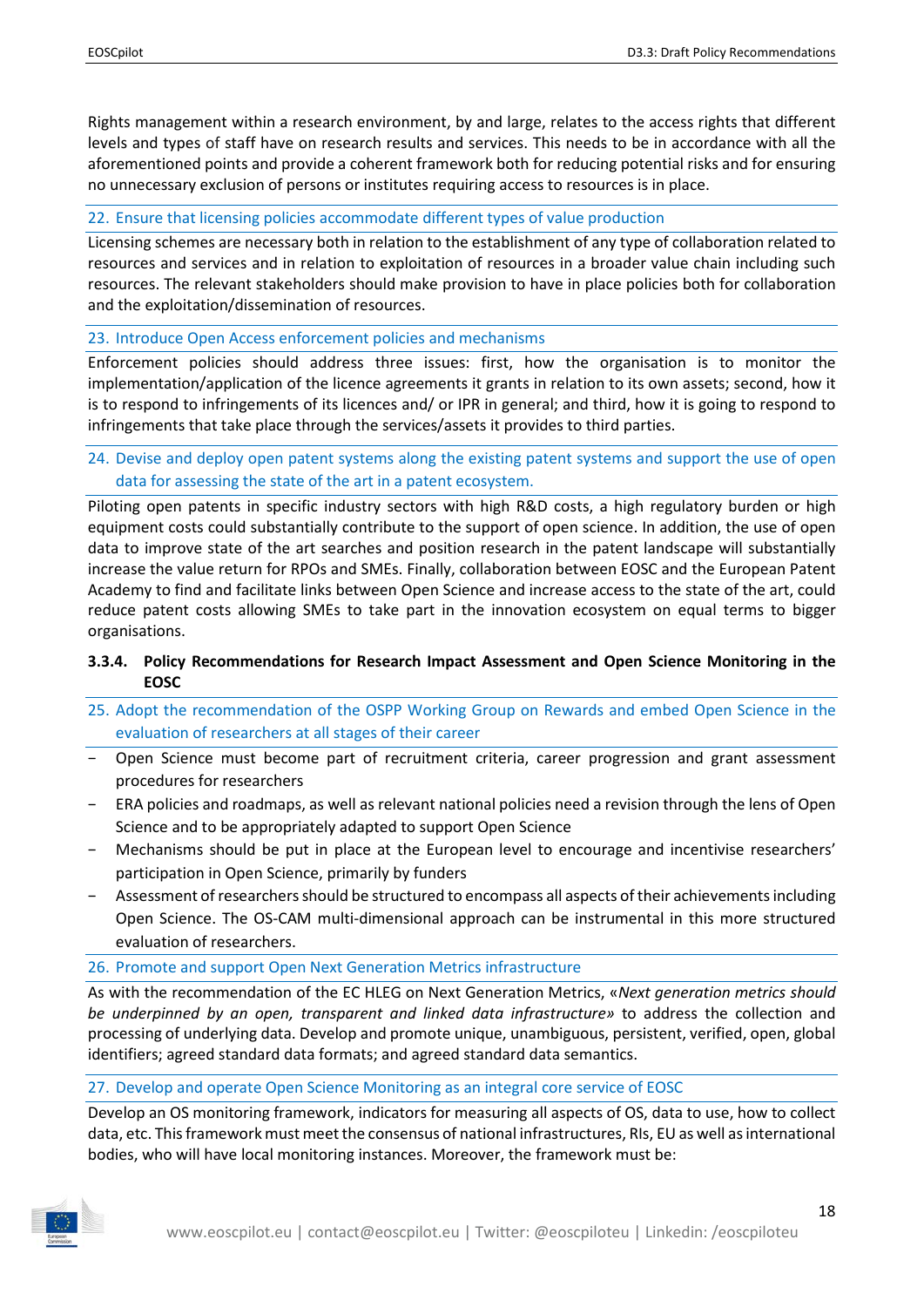Rights management within a research environment, by and large, relates to the access rights that different levels and types of staff have on research results and services. This needs to be in accordance with all the aforementioned points and provide a coherent framework both for reducing potential risks and for ensuring no unnecessary exclusion of persons or institutes requiring access to resources is in place.

#### 22. Ensure that licensing policies accommodate different types of value production

Licensing schemes are necessary both in relation to the establishment of any type of collaboration related to resources and services and in relation to exploitation of resources in a broader value chain including such resources. The relevant stakeholders should make provision to have in place policies both for collaboration and the exploitation/dissemination of resources.

#### 23. Introduce Open Access enforcement policies and mechanisms

Enforcement policies should address three issues: first, how the organisation is to monitor the implementation/application of the licence agreements it grants in relation to its own assets; second, how it is to respond to infringements of its licences and/ or IPR in general; and third, how it is going to respond to infringements that take place through the services/assets it provides to third parties.

24. Devise and deploy open patent systems along the existing patent systems and support the use of open data for assessing the state of the art in a patent ecosystem.

Piloting open patents in specific industry sectors with high R&D costs, a high regulatory burden or high equipment costs could substantially contribute to the support of open science. In addition, the use of open data to improve state of the art searches and position research in the patent landscape will substantially increase the value return for RPOs and SMEs. Finally, collaboration between EOSC and the European Patent Academy to find and facilitate links between Open Science and increase access to the state of the art, could reduce patent costs allowing SMEs to take part in the innovation ecosystem on equal terms to bigger organisations.

#### <span id="page-17-0"></span>**3.3.4. Policy Recommendations for Research Impact Assessment and Open Science Monitoring in the EOSC**

- 25. Adopt the recommendation of the OSPP Working Group on Rewards and embed Open Science in the evaluation of researchers at all stages of their career
- − Open Science must become part of recruitment criteria, career progression and grant assessment procedures for researchers
- ERA policies and roadmaps, as well as relevant national policies need a revision through the lens of Open Science and to be appropriately adapted to support Open Science
- − Mechanisms should be put in place at the European level to encourage and incentivise researchers' participation in Open Science, primarily by funders
- − Assessment of researchers should be structured to encompass all aspects of their achievements including Open Science. The OS-CAM multi-dimensional approach can be instrumental in this more structured evaluation of researchers.

#### 26. Promote and support Open Next Generation Metrics infrastructure

As with the recommendation of the EC HLEG on Next Generation Metrics, «*Next generation metrics should be underpinned by an open, transparent and linked data infrastructure»* to address the collection and processing of underlying data. Develop and promote unique, unambiguous, persistent, verified, open, global identifiers; agreed standard data formats; and agreed standard data semantics.

#### 27. Develop and operate Open Science Monitoring as an integral core service of EOSC

Develop an OS monitoring framework, indicators for measuring all aspects of OS, data to use, how to collect data, etc. This framework must meet the consensus of national infrastructures, RIs, EU as well as international bodies, who will have local monitoring instances. Moreover, the framework must be:

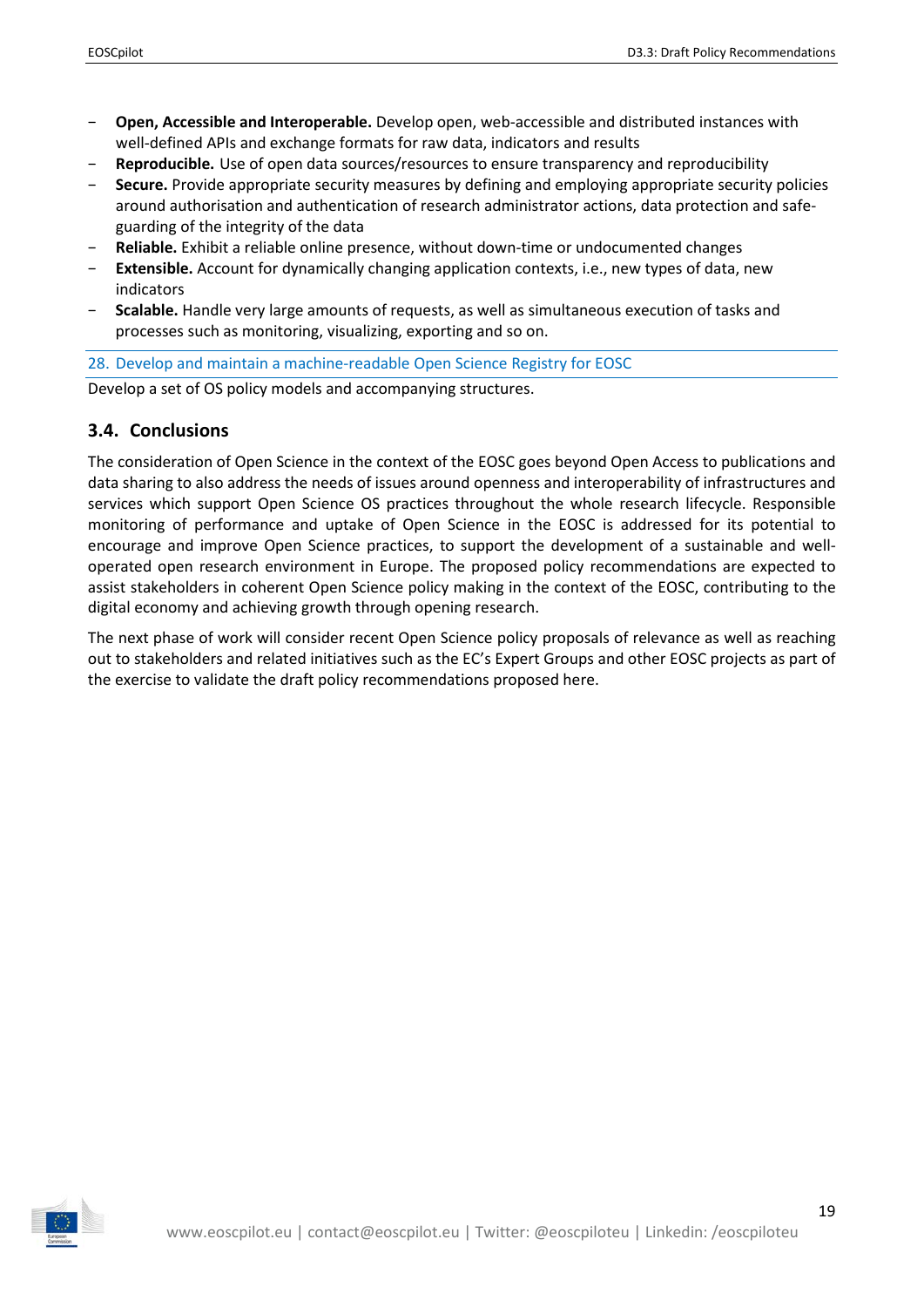- − **Open, Accessible and Interoperable.** Develop open, web-accessible and distributed instances with well-defined APIs and exchange formats for raw data, indicators and results
- **Reproducible.** Use of open data sources/resources to ensure transparency and reproducibility
- − **Secure.** Provide appropriate security measures by defining and employing appropriate security policies around authorisation and authentication of research administrator actions, data protection and safeguarding of the integrity of the data
- − **Reliable.** Exhibit a reliable online presence, without down-time or undocumented changes
- − **Extensible.** Account for dynamically changing application contexts, i.e., new types of data, new indicators
- − **Scalable.** Handle very large amounts of requests, as well as simultaneous execution of tasks and processes such as monitoring, visualizing, exporting and so on.

#### 28. Develop and maintain a machine-readable Open Science Registry for EOSC

Develop a set of OS policy models and accompanying structures.

#### <span id="page-18-0"></span>**3.4. Conclusions**

The consideration of Open Science in the context of the EOSC goes beyond Open Access to publications and data sharing to also address the needs of issues around openness and interoperability of infrastructures and services which support Open Science OS practices throughout the whole research lifecycle. Responsible monitoring of performance and uptake of Open Science in the EOSC is addressed for its potential to encourage and improve Open Science practices, to support the development of a sustainable and welloperated open research environment in Europe. The proposed policy recommendations are expected to assist stakeholders in coherent Open Science policy making in the context of the EOSC, contributing to the digital economy and achieving growth through opening research.

The next phase of work will consider recent Open Science policy proposals of relevance as well as reaching out to stakeholders and related initiatives such as the EC's Expert Groups and other EOSC projects as part of the exercise to validate the draft policy recommendations proposed here.

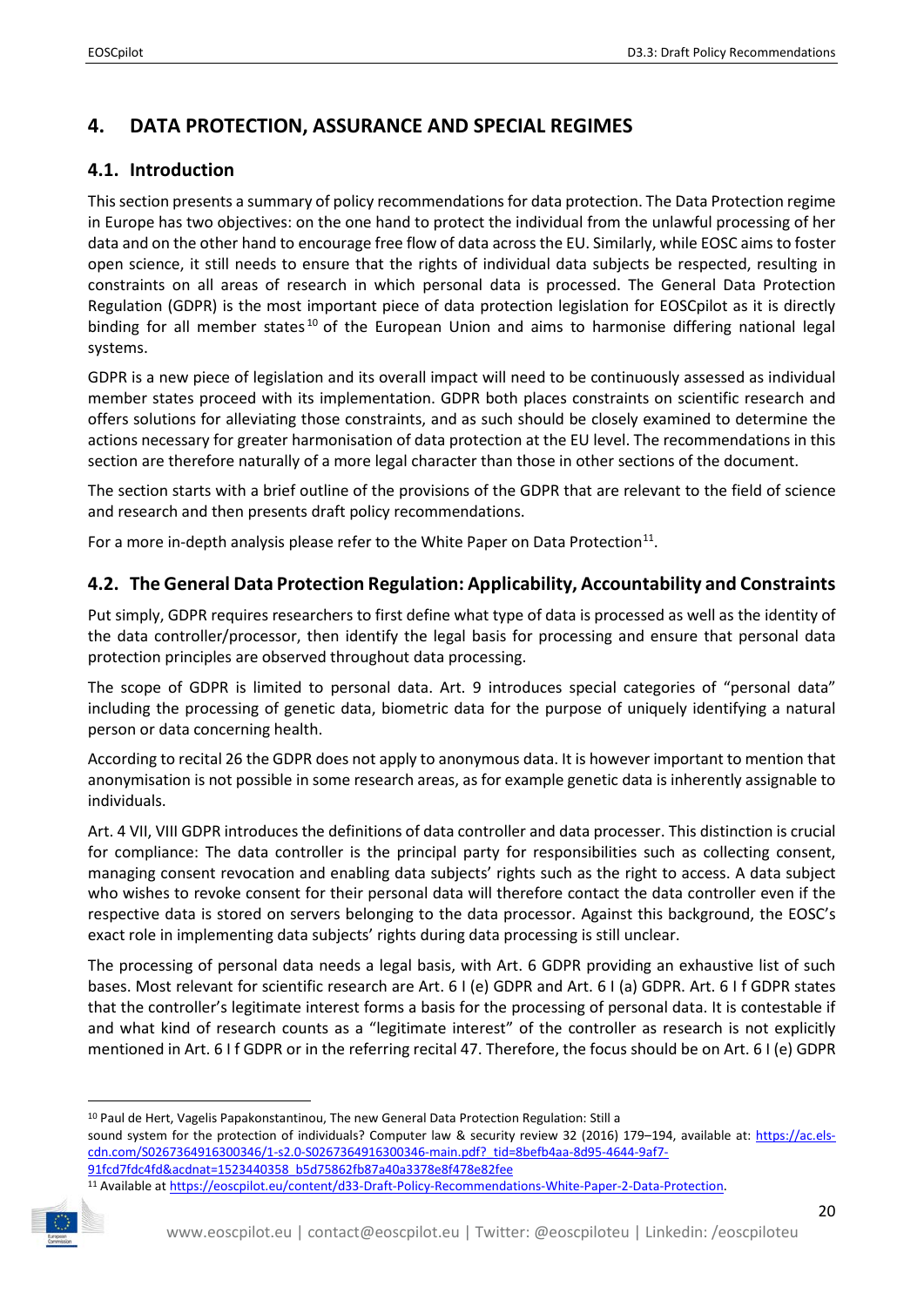# <span id="page-19-0"></span>**4. DATA PROTECTION, ASSURANCE AND SPECIAL REGIMES**

## <span id="page-19-1"></span>**4.1. Introduction**

This section presents a summary of policy recommendations for data protection. The Data Protection regime in Europe has two objectives: on the one hand to protect the individual from the unlawful processing of her data and on the other hand to encourage free flow of data across the EU. Similarly, while EOSC aims to foster open science, it still needs to ensure that the rights of individual data subjects be respected, resulting in constraints on all areas of research in which personal data is processed. The General Data Protection Regulation (GDPR) is the most important piece of data protection legislation for EOSCpilot as it is directly binding for all member states<sup>[10](#page-19-3)</sup> of the European Union and aims to harmonise differing national legal systems.

GDPR is a new piece of legislation and its overall impact will need to be continuously assessed as individual member states proceed with its implementation. GDPR both places constraints on scientific research and offers solutions for alleviating those constraints, and as such should be closely examined to determine the actions necessary for greater harmonisation of data protection at the EU level. The recommendations in this section are therefore naturally of a more legal character than those in other sections of the document.

The section starts with a brief outline of the provisions of the GDPR that are relevant to the field of science and research and then presents draft policy recommendations.

For a more in-depth analysis please refer to the White Paper on Data Protection<sup>11</sup>.

## <span id="page-19-2"></span>**4.2. The General Data Protection Regulation: Applicability, Accountability and Constraints**

Put simply, GDPR requires researchers to first define what type of data is processed as well as the identity of the data controller/processor, then identify the legal basis for processing and ensure that personal data protection principles are observed throughout data processing.

The scope of GDPR is limited to personal data. Art. 9 introduces special categories of "personal data" including the processing of genetic data, biometric data for the purpose of uniquely identifying a natural person or data concerning health.

According to recital 26 the GDPR does not apply to anonymous data. It is however important to mention that anonymisation is not possible in some research areas, as for example genetic data is inherently assignable to individuals.

Art. 4 VII, VIII GDPR introduces the definitions of data controller and data processer. This distinction is crucial for compliance: The data controller is the principal party for responsibilities such as collecting consent, managing consent revocation and enabling data subjects' rights such as the right to access. A data subject who wishes to revoke consent for their personal data will therefore contact the data controller even if the respective data is stored on servers belonging to the data processor. Against this background, the EOSC's exact role in implementing data subjects' rights during data processing is still unclear.

The processing of personal data needs a legal basis, with Art. 6 GDPR providing an exhaustive list of such bases. Most relevant for scientific research are Art. 6 I (e) GDPR and Art. 6 I (a) GDPR. Art. 6 I f GDPR states that the controller's legitimate interest forms a basis for the processing of personal data. It is contestable if and what kind of research counts as a "legitimate interest" of the controller as research is not explicitly mentioned in Art. 6 I f GDPR or in the referring recital 47. Therefore, the focus should be on Art. 6 I (e) GDPR

<span id="page-19-4"></span><span id="page-19-3"></span><sup>11</sup> Available at https://eoscpilot.eu/content/d33-Draft-Policy-Recommendations-White-Paper-2-Data-Protection.



<sup>&</sup>lt;sup>10</sup> Paul de Hert, Vagelis Papakonstantinou, The new General Data Protection Regulation: Still a

sound system for the protection of individuals? Computer law & security review 32 (2016) 179–194, available at: [https://ac.els](https://ac.els-cdn.com/S0267364916300346/1-s2.0-S0267364916300346-main.pdf?_tid=8befb4aa-8d95-4644-9af7-91fcd7fdc4fd&acdnat=1523440358_b5d75862fb87a40a3378e8f478e82fee)[cdn.com/S0267364916300346/1-s2.0-S0267364916300346-main.pdf?\\_tid=8befb4aa-8d95-4644-9af7-](https://ac.els-cdn.com/S0267364916300346/1-s2.0-S0267364916300346-main.pdf?_tid=8befb4aa-8d95-4644-9af7-91fcd7fdc4fd&acdnat=1523440358_b5d75862fb87a40a3378e8f478e82fee)

[<sup>91</sup>fcd7fdc4fd&acdnat=1523440358\\_b5d75862fb87a40a3378e8f478e82fee](https://ac.els-cdn.com/S0267364916300346/1-s2.0-S0267364916300346-main.pdf?_tid=8befb4aa-8d95-4644-9af7-91fcd7fdc4fd&acdnat=1523440358_b5d75862fb87a40a3378e8f478e82fee)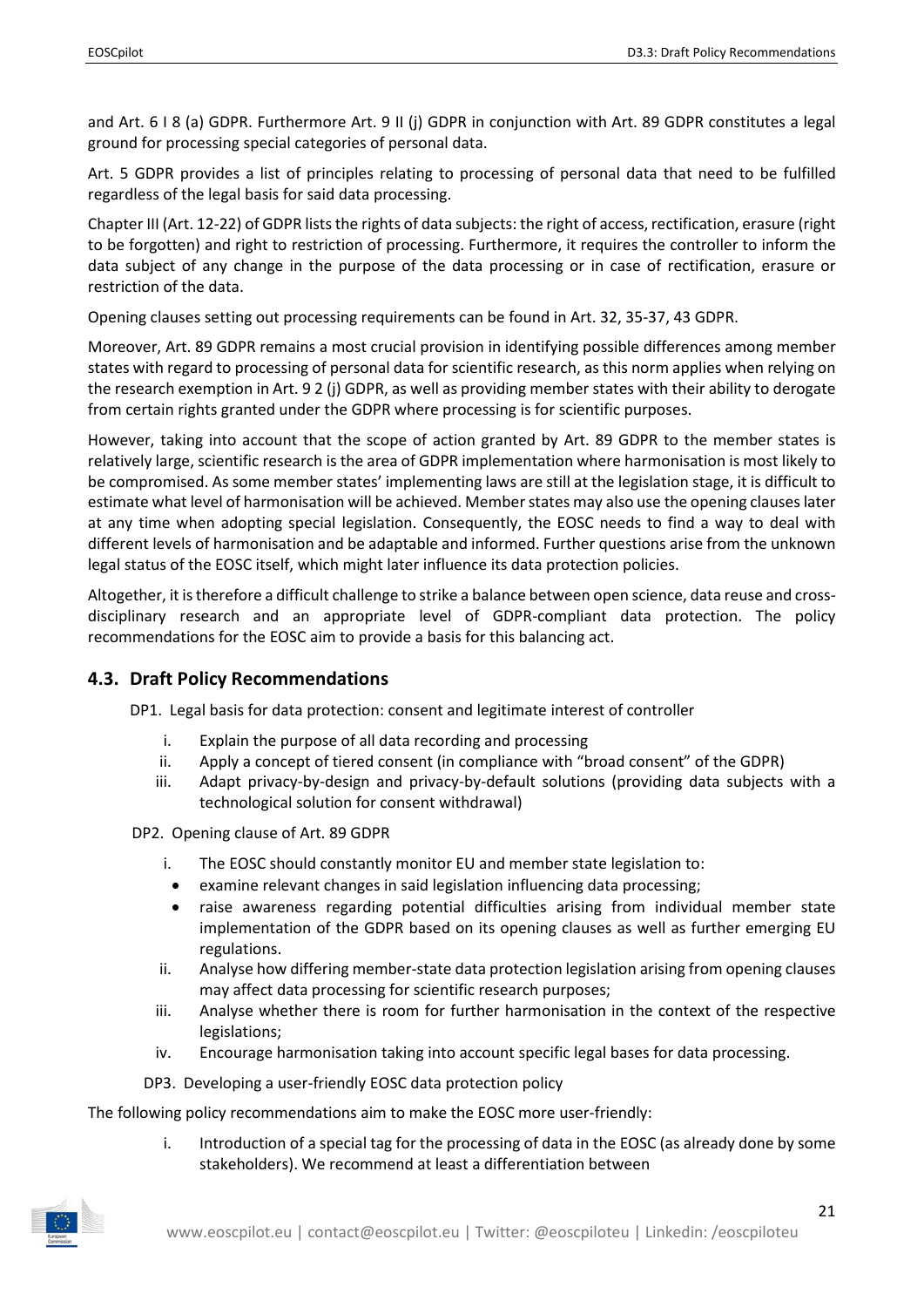and Art. 6 I 8 (a) GDPR. Furthermore Art. 9 II (j) GDPR in conjunction with Art. 89 GDPR constitutes a legal ground for processing special categories of personal data.

Art. 5 GDPR provides a list of principles relating to processing of personal data that need to be fulfilled regardless of the legal basis for said data processing.

Chapter III (Art. 12-22) of GDPR lists the rights of data subjects: the right of access, rectification, erasure (right to be forgotten) and right to restriction of processing. Furthermore, it requires the controller to inform the data subject of any change in the purpose of the data processing or in case of rectification, erasure or restriction of the data.

Opening clauses setting out processing requirements can be found in Art. 32, 35-37, 43 GDPR.

Moreover, Art. 89 GDPR remains a most crucial provision in identifying possible differences among member states with regard to processing of personal data for scientific research, as this norm applies when relying on the research exemption in Art. 9 2 (j) GDPR, as well as providing member states with their ability to derogate from certain rights granted under the GDPR where processing is for scientific purposes.

However, taking into account that the scope of action granted by Art. 89 GDPR to the member states is relatively large, scientific research is the area of GDPR implementation where harmonisation is most likely to be compromised. As some member states' implementing laws are still at the legislation stage, it is difficult to estimate what level of harmonisation will be achieved. Member states may also use the opening clauses later at any time when adopting special legislation. Consequently, the EOSC needs to find a way to deal with different levels of harmonisation and be adaptable and informed. Further questions arise from the unknown legal status of the EOSC itself, which might later influence its data protection policies.

Altogether, it is therefore a difficult challenge to strike a balance between open science, data reuse and crossdisciplinary research and an appropriate level of GDPR-compliant data protection. The policy recommendations for the EOSC aim to provide a basis for this balancing act.

### <span id="page-20-0"></span>**4.3. Draft Policy Recommendations**

DP1. Legal basis for data protection: consent and legitimate interest of controller

- i. Explain the purpose of all data recording and processing
- ii. Apply a concept of tiered consent (in compliance with "broad consent" of the GDPR)
- iii. Adapt privacy-by-design and privacy-by-default solutions (providing data subjects with a technological solution for consent withdrawal)

DP2. Opening clause of Art. 89 GDPR

- i. The EOSC should constantly monitor EU and member state legislation to:
- examine relevant changes in said legislation influencing data processing;
- raise awareness regarding potential difficulties arising from individual member state implementation of the GDPR based on its opening clauses as well as further emerging EU regulations.
- ii. Analyse how differing member-state data protection legislation arising from opening clauses may affect data processing for scientific research purposes;
- iii. Analyse whether there is room for further harmonisation in the context of the respective legislations;
- iv. Encourage harmonisation taking into account specific legal bases for data processing.
- DP3. Developing a user-friendly EOSC data protection policy

The following policy recommendations aim to make the EOSC more user-friendly:

i. Introduction of a special tag for the processing of data in the EOSC (as already done by some stakeholders). We recommend at least a differentiation between

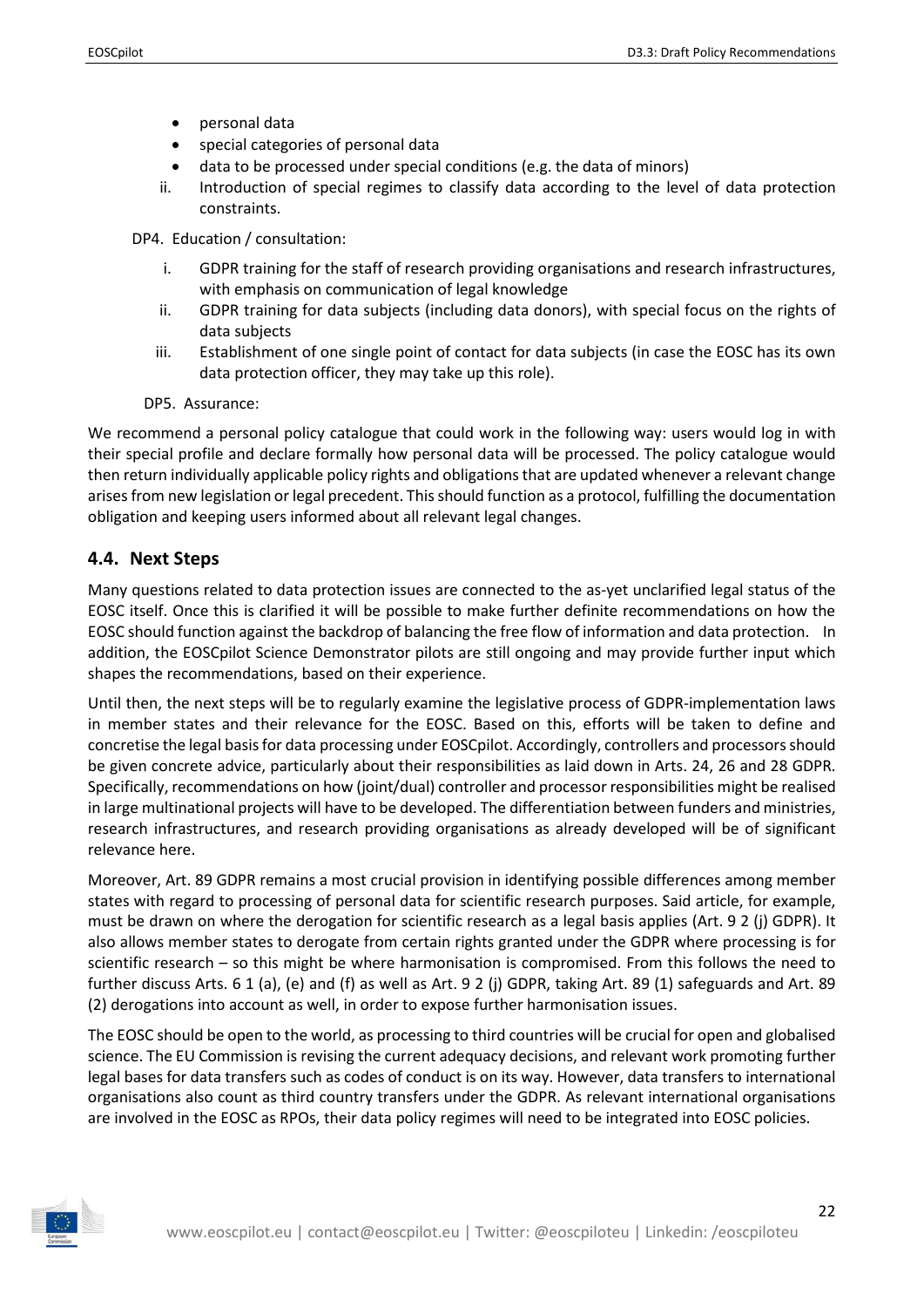- personal data
- special categories of personal data
- data to be processed under special conditions (e.g. the data of minors)
- ii. Introduction of special regimes to classify data according to the level of data protection constraints.

DP4. Education / consultation:

- i. GDPR training for the staff of research providing organisations and research infrastructures, with emphasis on communication of legal knowledge
- ii. GDPR training for data subjects (including data donors), with special focus on the rights of data subjects
- iii. Establishment of one single point of contact for data subjects (in case the EOSC has its own data protection officer, they may take up this role).
- DP5. Assurance:

We recommend a personal policy catalogue that could work in the following way: users would log in with their special profile and declare formally how personal data will be processed. The policy catalogue would then return individually applicable policy rights and obligations that are updated whenever a relevant change arises from new legislation or legal precedent. This should function as a protocol, fulfilling the documentation obligation and keeping users informed about all relevant legal changes.

### <span id="page-21-0"></span>**4.4. Next Steps**

Many questions related to data protection issues are connected to the as-yet unclarified legal status of the EOSC itself. Once this is clarified it will be possible to make further definite recommendations on how the EOSC should function against the backdrop of balancing the free flow of information and data protection. In addition, the EOSCpilot Science Demonstrator pilots are still ongoing and may provide further input which shapes the recommendations, based on their experience.

Until then, the next steps will be to regularly examine the legislative process of GDPR-implementation laws in member states and their relevance for the EOSC. Based on this, efforts will be taken to define and concretise the legal basis for data processing under EOSCpilot. Accordingly, controllers and processors should be given concrete advice, particularly about their responsibilities as laid down in Arts. 24, 26 and 28 GDPR. Specifically, recommendations on how (joint/dual) controller and processor responsibilities might be realised in large multinational projects will have to be developed. The differentiation between funders and ministries, research infrastructures, and research providing organisations as already developed will be of significant relevance here.

Moreover, Art. 89 GDPR remains a most crucial provision in identifying possible differences among member states with regard to processing of personal data for scientific research purposes. Said article, for example, must be drawn on where the derogation for scientific research as a legal basis applies (Art. 9 2 (j) GDPR). It also allows member states to derogate from certain rights granted under the GDPR where processing is for scientific research – so this might be where harmonisation is compromised. From this follows the need to further discuss Arts. 6 1 (a), (e) and (f) as well as Art. 9 2 (j) GDPR, taking Art. 89 (1) safeguards and Art. 89 (2) derogations into account as well, in order to expose further harmonisation issues.

The EOSC should be open to the world, as processing to third countries will be crucial for open and globalised science. The EU Commission is revising the current adequacy decisions, and relevant work promoting further legal bases for data transfers such as codes of conduct is on its way. However, data transfers to international organisations also count as third country transfers under the GDPR. As relevant international organisations are involved in the EOSC as RPOs, their data policy regimes will need to be integrated into EOSC policies.

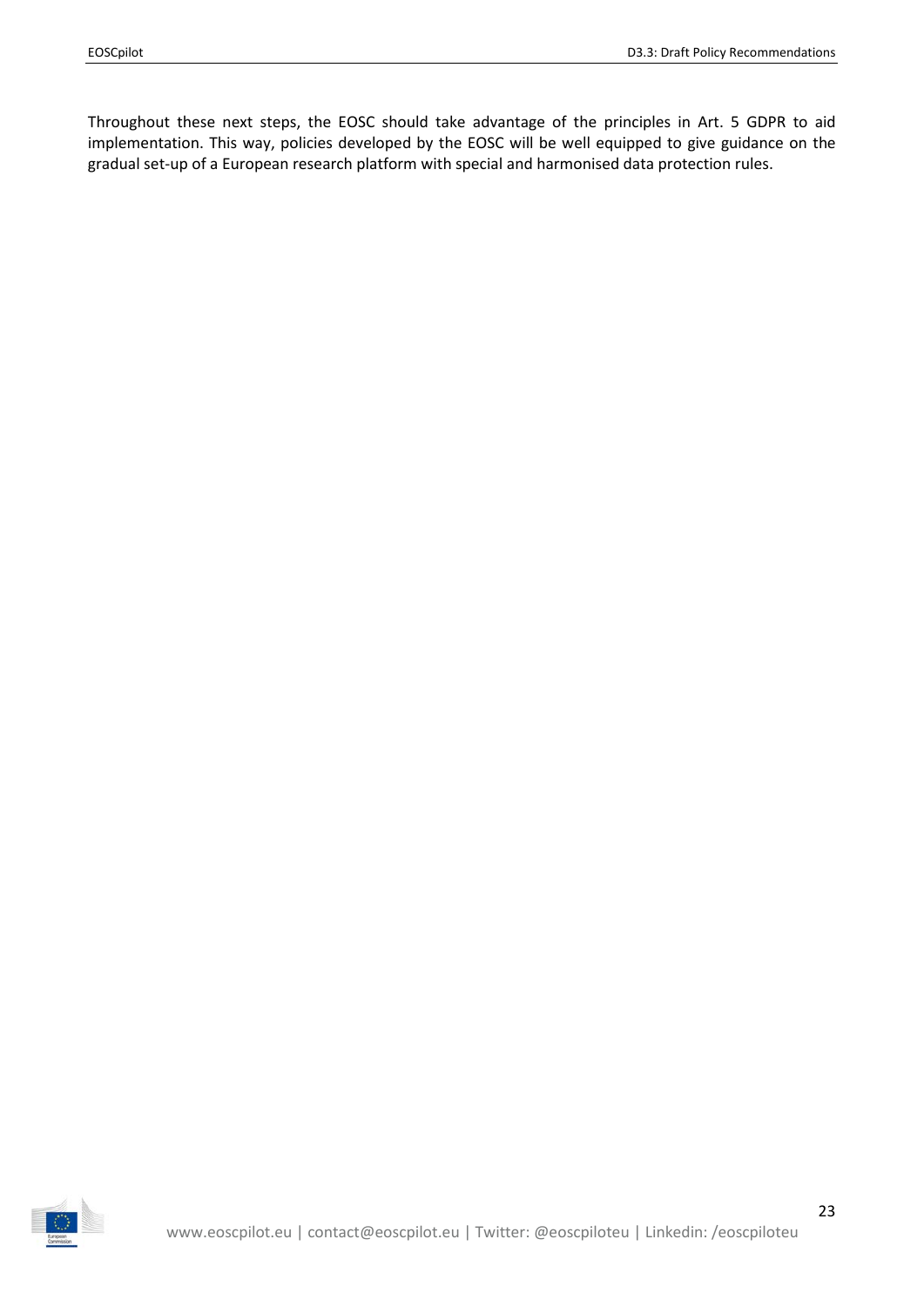Throughout these next steps, the EOSC should take advantage of the principles in Art. 5 GDPR to aid implementation. This way, policies developed by the EOSC will be well equipped to give guidance on the gradual set-up of a European research platform with special and harmonised data protection rules.

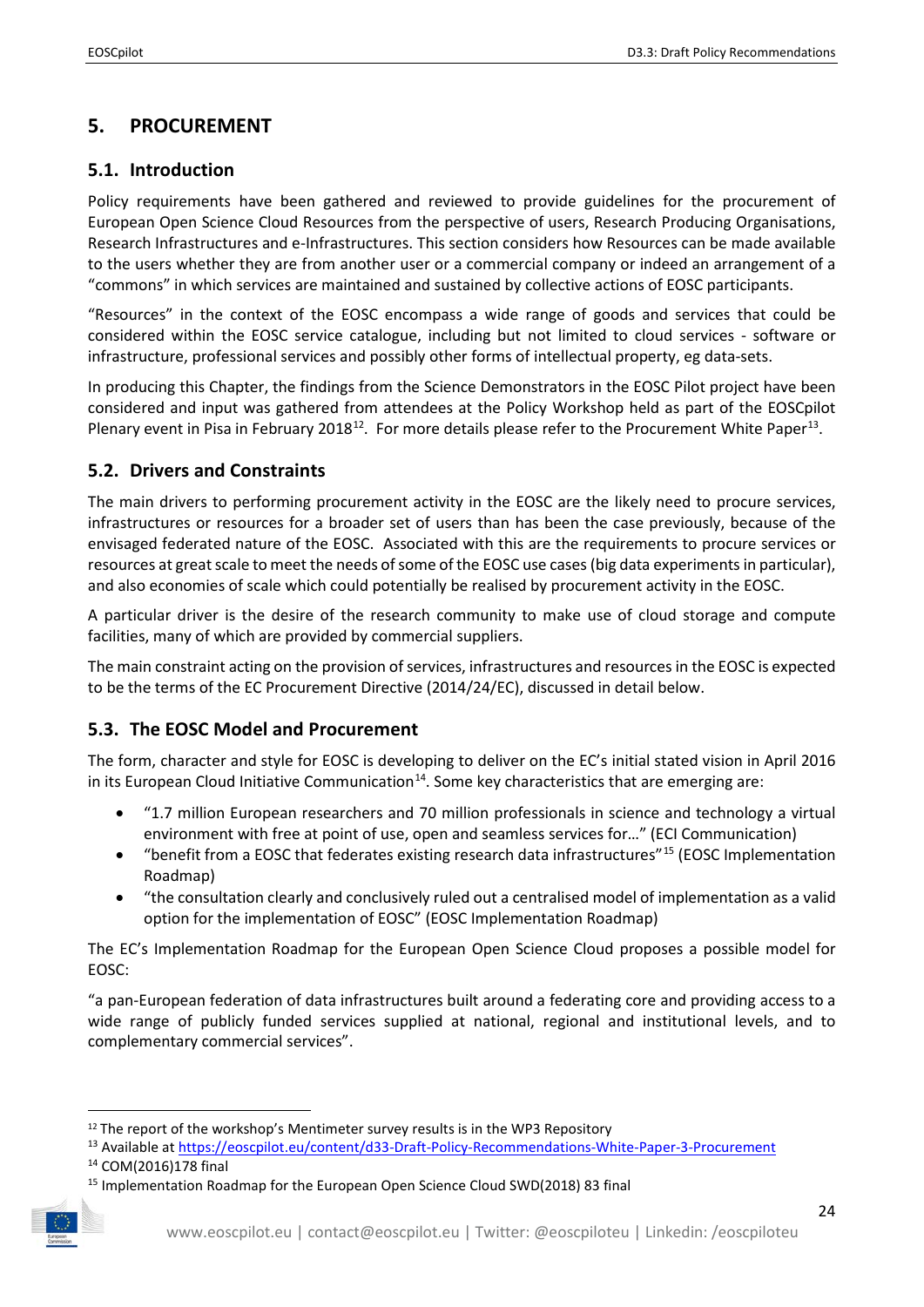# <span id="page-23-0"></span>**5. PROCUREMENT**

## <span id="page-23-1"></span>**5.1. Introduction**

Policy requirements have been gathered and reviewed to provide guidelines for the procurement of European Open Science Cloud Resources from the perspective of users, Research Producing Organisations, Research Infrastructures and e-Infrastructures. This section considers how Resources can be made available to the users whether they are from another user or a commercial company or indeed an arrangement of a "commons" in which services are maintained and sustained by collective actions of EOSC participants.

"Resources" in the context of the EOSC encompass a wide range of goods and services that could be considered within the EOSC service catalogue, including but not limited to cloud services - software or infrastructure, professional services and possibly other forms of intellectual property, eg data-sets.

In producing this Chapter, the findings from the Science Demonstrators in the EOSC Pilot project have been considered and input was gathered from attendees at the Policy Workshop held as part of the EOSCpilot Plenary event in Pisa in February 2018<sup>12</sup>. For more details please refer to the Procurement White Paper<sup>13</sup>.

## <span id="page-23-2"></span>**5.2. Drivers and Constraints**

The main drivers to performing procurement activity in the EOSC are the likely need to procure services, infrastructures or resources for a broader set of users than has been the case previously, because of the envisaged federated nature of the EOSC. Associated with this are the requirements to procure services or resources at great scale to meet the needs of some of the EOSC use cases (big data experiments in particular), and also economies of scale which could potentially be realised by procurement activity in the EOSC.

A particular driver is the desire of the research community to make use of cloud storage and compute facilities, many of which are provided by commercial suppliers.

The main constraint acting on the provision of services, infrastructures and resources in the EOSC is expected to be the terms of the EC Procurement Directive (2014/24/EC), discussed in detail below.

## <span id="page-23-3"></span>**5.3. The EOSC Model and Procurement**

The form, character and style for EOSC is developing to deliver on the EC's initial stated vision in April 2016 in its European Cloud Initiative Communication<sup>14</sup>. Some key characteristics that are emerging are:

- "1.7 million European researchers and 70 million professionals in science and technology a virtual environment with free at point of use, open and seamless services for…" (ECI Communication)
- "benefit from a EOSC that federates existing research data infrastructures"[15](#page-23-7) (EOSC Implementation Roadmap)
- "the consultation clearly and conclusively ruled out a centralised model of implementation as a valid option for the implementation of EOSC" (EOSC Implementation Roadmap)

The EC's Implementation Roadmap for the European Open Science Cloud proposes a possible model for EOSC:

"a pan-European federation of data infrastructures built around a federating core and providing access to a wide range of publicly funded services supplied at national, regional and institutional levels, and to complementary commercial services".

<span id="page-23-7"></span><span id="page-23-6"></span><sup>&</sup>lt;sup>15</sup> Implementation Roadmap for the European Open Science Cloud SWD(2018) 83 final



<span id="page-23-4"></span><sup>&</sup>lt;sup>12</sup> The report of the workshop's Mentimeter survey results is in the WP3 Repository

<span id="page-23-5"></span><sup>13</sup> Available at<https://eoscpilot.eu/content/d33-Draft-Policy-Recommendations-White-Paper-3-Procurement> <sup>14</sup> COM(2016)178 final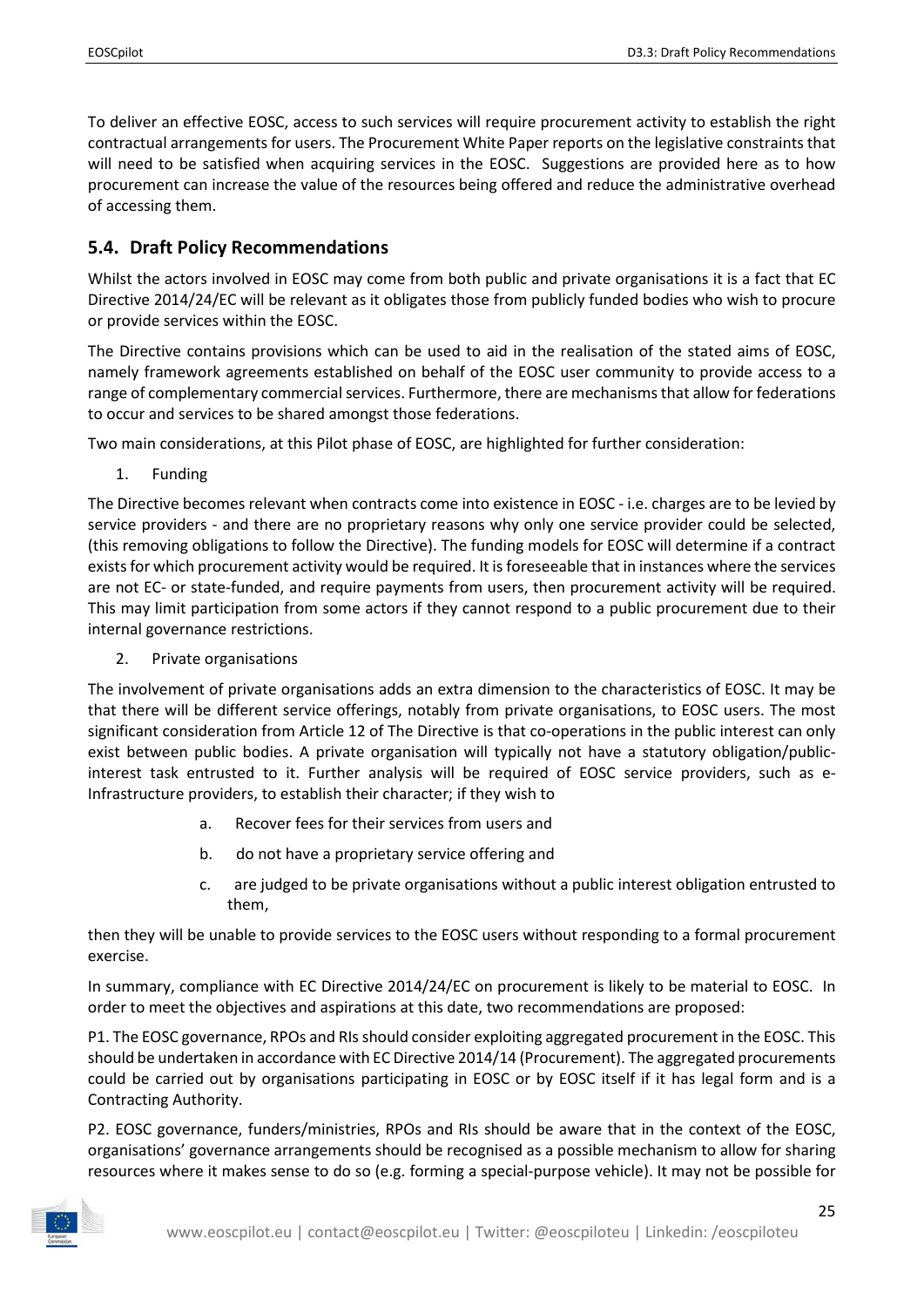To deliver an effective EOSC, access to such services will require procurement activity to establish the right contractual arrangements for users. The Procurement White Paper reports on the legislative constraints that will need to be satisfied when acquiring services in the EOSC. Suggestions are provided here as to how procurement can increase the value of the resources being offered and reduce the administrative overhead of accessing them.

## <span id="page-24-0"></span>**5.4. Draft Policy Recommendations**

Whilst the actors involved in EOSC may come from both public and private organisations it is a fact that EC Directive 2014/24/EC will be relevant as it obligates those from publicly funded bodies who wish to procure or provide services within the EOSC.

The Directive contains provisions which can be used to aid in the realisation of the stated aims of EOSC, namely framework agreements established on behalf of the EOSC user community to provide access to a range of complementary commercial services. Furthermore, there are mechanisms that allow for federations to occur and services to be shared amongst those federations.

Two main considerations, at this Pilot phase of EOSC, are highlighted for further consideration:

1. Funding

The Directive becomes relevant when contracts come into existence in EOSC - i.e. charges are to be levied by service providers - and there are no proprietary reasons why only one service provider could be selected, (this removing obligations to follow the Directive). The funding models for EOSC will determine if a contract exists for which procurement activity would be required. It is foreseeable that in instances where the services are not EC- or state-funded, and require payments from users, then procurement activity will be required. This may limit participation from some actors if they cannot respond to a public procurement due to their internal governance restrictions.

2. Private organisations

The involvement of private organisations adds an extra dimension to the characteristics of EOSC. It may be that there will be different service offerings, notably from private organisations, to EOSC users. The most significant consideration from Article 12 of The Directive is that co-operations in the public interest can only exist between public bodies. A private organisation will typically not have a statutory obligation/publicinterest task entrusted to it. Further analysis will be required of EOSC service providers, such as e-Infrastructure providers, to establish their character; if they wish to

- a. Recover fees for their services from users and
- b. do not have a proprietary service offering and
- c. are judged to be private organisations without a public interest obligation entrusted to them,

then they will be unable to provide services to the EOSC users without responding to a formal procurement exercise.

In summary, compliance with EC Directive 2014/24/EC on procurement is likely to be material to EOSC. In order to meet the objectives and aspirations at this date, two recommendations are proposed:

P1. The EOSC governance, RPOs and RIs should consider exploiting aggregated procurement in the EOSC. This should be undertaken in accordance with EC Directive 2014/14 (Procurement). The aggregated procurements could be carried out by organisations participating in EOSC or by EOSC itself if it has legal form and is a Contracting Authority.

P2. EOSC governance, funders/ministries, RPOs and RIs should be aware that in the context of the EOSC, organisations' governance arrangements should be recognised as a possible mechanism to allow for sharing resources where it makes sense to do so (e.g. forming a special-purpose vehicle). It may not be possible for

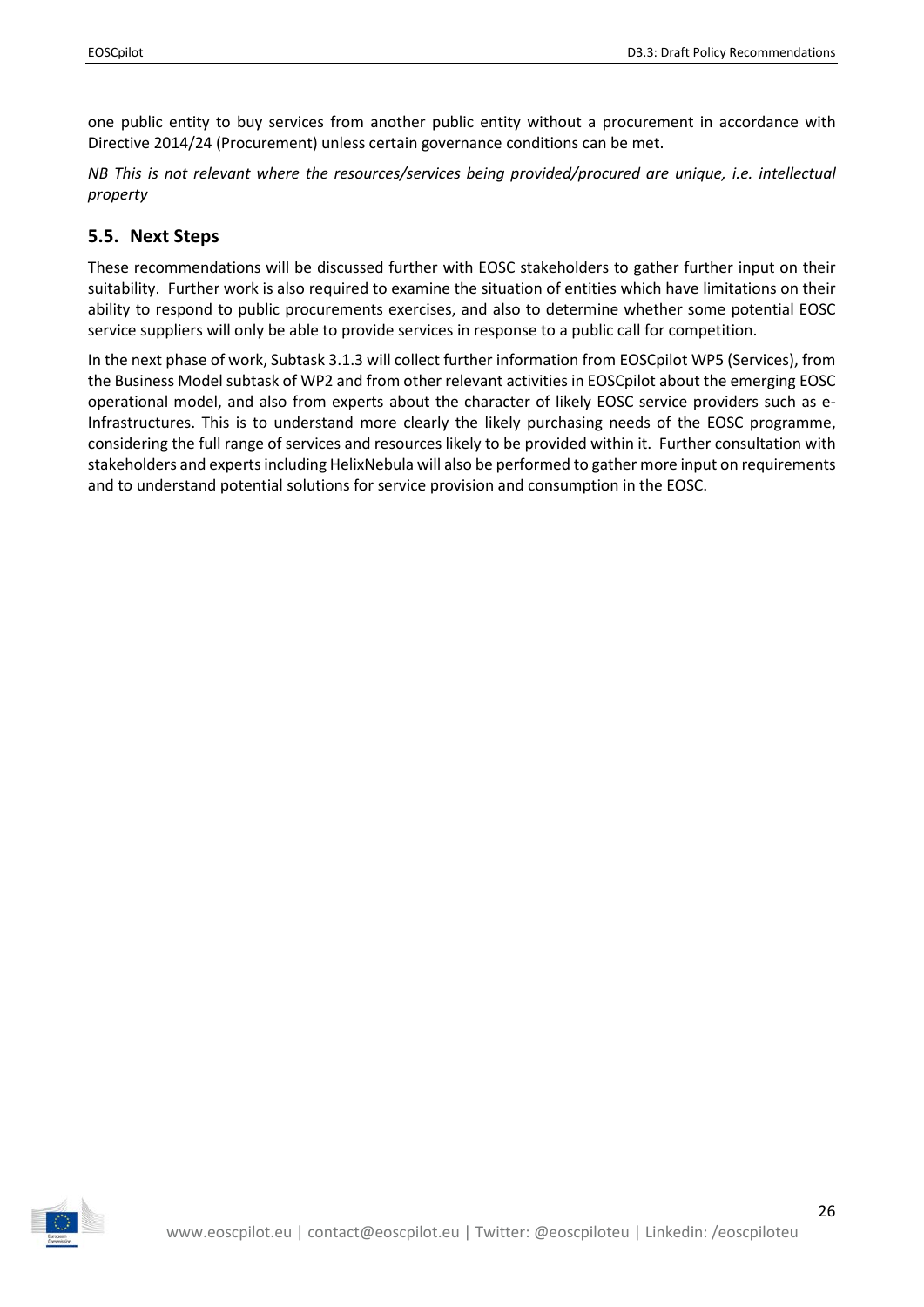one public entity to buy services from another public entity without a procurement in accordance with Directive 2014/24 (Procurement) unless certain governance conditions can be met.

*NB This is not relevant where the resources/services being provided/procured are unique, i.e. intellectual property*

## <span id="page-25-0"></span>**5.5. Next Steps**

These recommendations will be discussed further with EOSC stakeholders to gather further input on their suitability. Further work is also required to examine the situation of entities which have limitations on their ability to respond to public procurements exercises, and also to determine whether some potential EOSC service suppliers will only be able to provide services in response to a public call for competition.

In the next phase of work, Subtask 3.1.3 will collect further information from EOSCpilot WP5 (Services), from the Business Model subtask of WP2 and from other relevant activities in EOSCpilot about the emerging EOSC operational model, and also from experts about the character of likely EOSC service providers such as e-Infrastructures. This is to understand more clearly the likely purchasing needs of the EOSC programme, considering the full range of services and resources likely to be provided within it. Further consultation with stakeholders and experts including HelixNebula will also be performed to gather more input on requirements and to understand potential solutions for service provision and consumption in the EOSC.

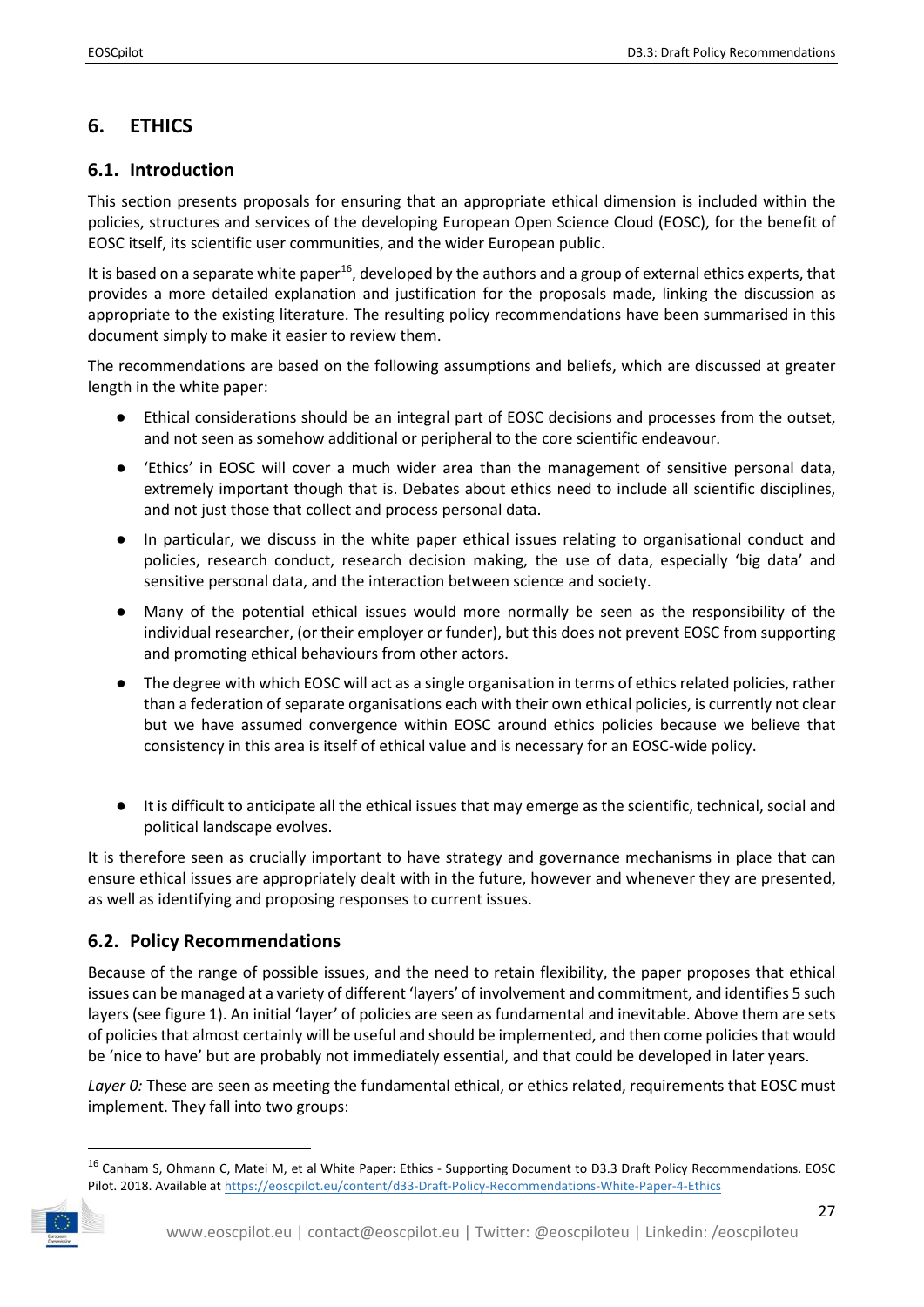# <span id="page-26-0"></span>**6. ETHICS**

## <span id="page-26-1"></span>**6.1. Introduction**

This section presents proposals for ensuring that an appropriate ethical dimension is included within the policies, structures and services of the developing European Open Science Cloud (EOSC), for the benefit of EOSC itself, its scientific user communities, and the wider European public.

It is based on a separate white paper<sup>16</sup>, developed by the authors and a group of external ethics experts, that provides a more detailed explanation and justification for the proposals made, linking the discussion as appropriate to the existing literature. The resulting policy recommendations have been summarised in this document simply to make it easier to review them.

The recommendations are based on the following assumptions and beliefs, which are discussed at greater length in the white paper:

- Ethical considerations should be an integral part of EOSC decisions and processes from the outset, and not seen as somehow additional or peripheral to the core scientific endeavour.
- 'Ethics' in EOSC will cover a much wider area than the management of sensitive personal data, extremely important though that is. Debates about ethics need to include all scientific disciplines, and not just those that collect and process personal data.
- In particular, we discuss in the white paper ethical issues relating to organisational conduct and policies, research conduct, research decision making, the use of data, especially 'big data' and sensitive personal data, and the interaction between science and society.
- Many of the potential ethical issues would more normally be seen as the responsibility of the individual researcher, (or their employer or funder), but this does not prevent EOSC from supporting and promoting ethical behaviours from other actors.
- The degree with which EOSC will act as a single organisation in terms of ethics related policies, rather than a federation of separate organisations each with their own ethical policies, is currently not clear but we have assumed convergence within EOSC around ethics policies because we believe that consistency in this area is itself of ethical value and is necessary for an EOSC-wide policy.
- It is difficult to anticipate all the ethical issues that may emerge as the scientific, technical, social and political landscape evolves.

It is therefore seen as crucially important to have strategy and governance mechanisms in place that can ensure ethical issues are appropriately dealt with in the future, however and whenever they are presented, as well as identifying and proposing responses to current issues.

## <span id="page-26-2"></span>**6.2. Policy Recommendations**

Because of the range of possible issues, and the need to retain flexibility, the paper proposes that ethical issues can be managed at a variety of different 'layers' of involvement and commitment, and identifies 5 such layers (see figure 1). An initial 'layer' of policies are seen as fundamental and inevitable. Above them are sets of policies that almost certainly will be useful and should be implemented, and then come policies that would be 'nice to have' but are probably not immediately essential, and that could be developed in later years.

Layer 0: These are seen as meeting the fundamental ethical, or ethics related, requirements that EOSC must implement. They fall into two groups:

<span id="page-26-3"></span><sup>&</sup>lt;sup>16</sup> Canham S, Ohmann C, Matei M, et al White Paper: Ethics - Supporting Document to D3.3 Draft Policy Recommendations. EOSC Pilot. 2018. Available at https://eoscpilot.eu/content/d33-Draft-Policy-Recommendations-White-Paper-4-Ethics

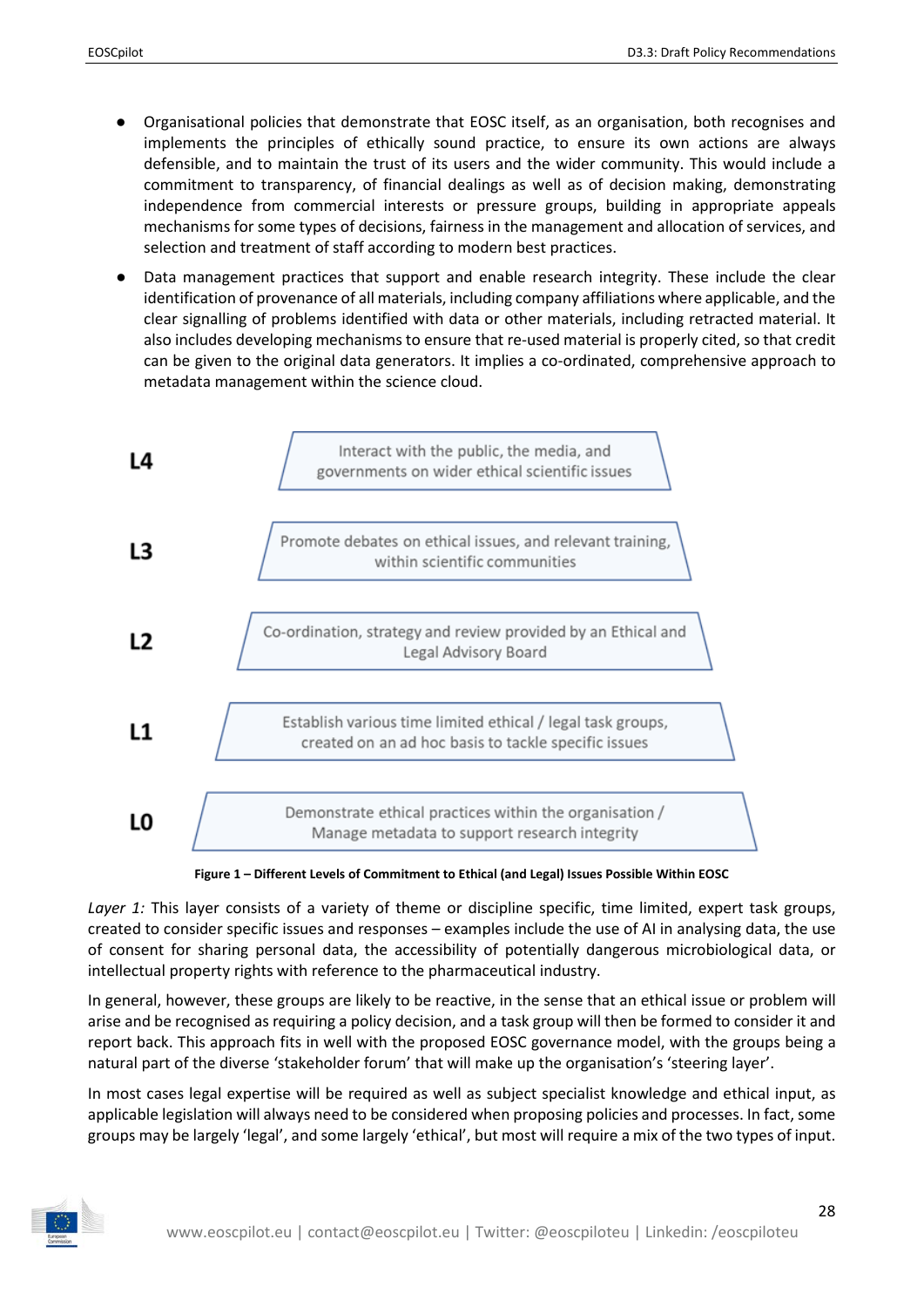- Organisational policies that demonstrate that EOSC itself, as an organisation, both recognises and implements the principles of ethically sound practice, to ensure its own actions are always defensible, and to maintain the trust of its users and the wider community. This would include a commitment to transparency, of financial dealings as well as of decision making, demonstrating independence from commercial interests or pressure groups, building in appropriate appeals mechanisms for some types of decisions, fairness in the management and allocation of services, and selection and treatment of staff according to modern best practices.
- Data management practices that support and enable research integrity. These include the clear identification of provenance of all materials, including company affiliations where applicable, and the clear signalling of problems identified with data or other materials, including retracted material. It also includes developing mechanisms to ensure that re-used material is properly cited, so that credit can be given to the original data generators. It implies a co-ordinated, comprehensive approach to metadata management within the science cloud.



**Figure 1 – Different Levels of Commitment to Ethical (and Legal) Issues Possible Within EOSC**

<span id="page-27-0"></span>*Layer 1:* This layer consists of a variety of theme or discipline specific, time limited, expert task groups, created to consider specific issues and responses – examples include the use of AI in analysing data, the use of consent for sharing personal data, the accessibility of potentially dangerous microbiological data, or intellectual property rights with reference to the pharmaceutical industry.

In general, however, these groups are likely to be reactive, in the sense that an ethical issue or problem will arise and be recognised as requiring a policy decision, and a task group will then be formed to consider it and report back. This approach fits in well with the proposed EOSC governance model, with the groups being a natural part of the diverse 'stakeholder forum' that will make up the organisation's 'steering layer'.

In most cases legal expertise will be required as well as subject specialist knowledge and ethical input, as applicable legislation will always need to be considered when proposing policies and processes. In fact, some groups may be largely 'legal', and some largely 'ethical', but most will require a mix of the two types of input.

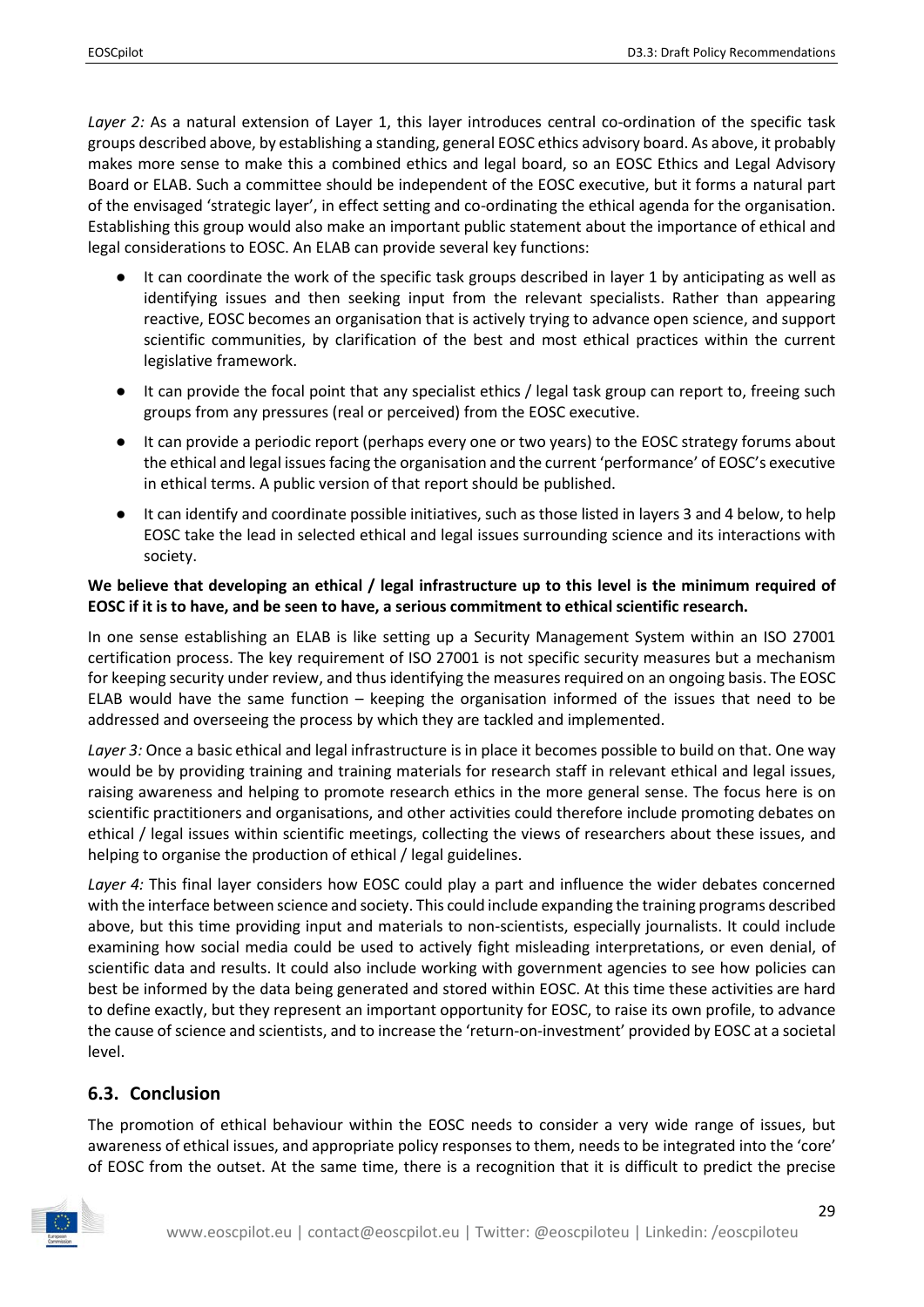Layer 2: As a natural extension of Layer 1, this layer introduces central co-ordination of the specific task groups described above, by establishing a standing, general EOSC ethics advisory board. As above, it probably makes more sense to make this a combined ethics and legal board, so an EOSC Ethics and Legal Advisory Board or ELAB. Such a committee should be independent of the EOSC executive, but it forms a natural part of the envisaged 'strategic layer', in effect setting and co-ordinating the ethical agenda for the organisation. Establishing this group would also make an important public statement about the importance of ethical and legal considerations to EOSC. An ELAB can provide several key functions:

- It can coordinate the work of the specific task groups described in layer 1 by anticipating as well as identifying issues and then seeking input from the relevant specialists. Rather than appearing reactive, EOSC becomes an organisation that is actively trying to advance open science, and support scientific communities, by clarification of the best and most ethical practices within the current legislative framework.
- It can provide the focal point that any specialist ethics / legal task group can report to, freeing such groups from any pressures (real or perceived) from the EOSC executive.
- It can provide a periodic report (perhaps every one or two years) to the EOSC strategy forums about the ethical and legal issues facing the organisation and the current 'performance' of EOSC's executive in ethical terms. A public version of that report should be published.
- It can identify and coordinate possible initiatives, such as those listed in layers 3 and 4 below, to help EOSC take the lead in selected ethical and legal issues surrounding science and its interactions with society.

#### **We believe that developing an ethical / legal infrastructure up to this level is the minimum required of EOSC if it is to have, and be seen to have, a serious commitment to ethical scientific research.**

In one sense establishing an ELAB is like setting up a Security Management System within an ISO 27001 certification process. The key requirement of ISO 27001 is not specific security measures but a mechanism for keeping security under review, and thus identifying the measures required on an ongoing basis. The EOSC ELAB would have the same function – keeping the organisation informed of the issues that need to be addressed and overseeing the process by which they are tackled and implemented.

*Layer 3:* Once a basic ethical and legal infrastructure is in place it becomes possible to build on that. One way would be by providing training and training materials for research staff in relevant ethical and legal issues, raising awareness and helping to promote research ethics in the more general sense. The focus here is on scientific practitioners and organisations, and other activities could therefore include promoting debates on ethical / legal issues within scientific meetings, collecting the views of researchers about these issues, and helping to organise the production of ethical / legal guidelines.

Layer 4: This final layer considers how EOSC could play a part and influence the wider debates concerned with the interface between science and society. This could include expanding the training programs described above, but this time providing input and materials to non-scientists, especially journalists. It could include examining how social media could be used to actively fight misleading interpretations, or even denial, of scientific data and results. It could also include working with government agencies to see how policies can best be informed by the data being generated and stored within EOSC. At this time these activities are hard to define exactly, but they represent an important opportunity for EOSC, to raise its own profile, to advance the cause of science and scientists, and to increase the 'return-on-investment' provided by EOSC at a societal level.

### <span id="page-28-0"></span>**6.3. Conclusion**

The promotion of ethical behaviour within the EOSC needs to consider a very wide range of issues, but awareness of ethical issues, and appropriate policy responses to them, needs to be integrated into the 'core' of EOSC from the outset. At the same time, there is a recognition that it is difficult to predict the precise

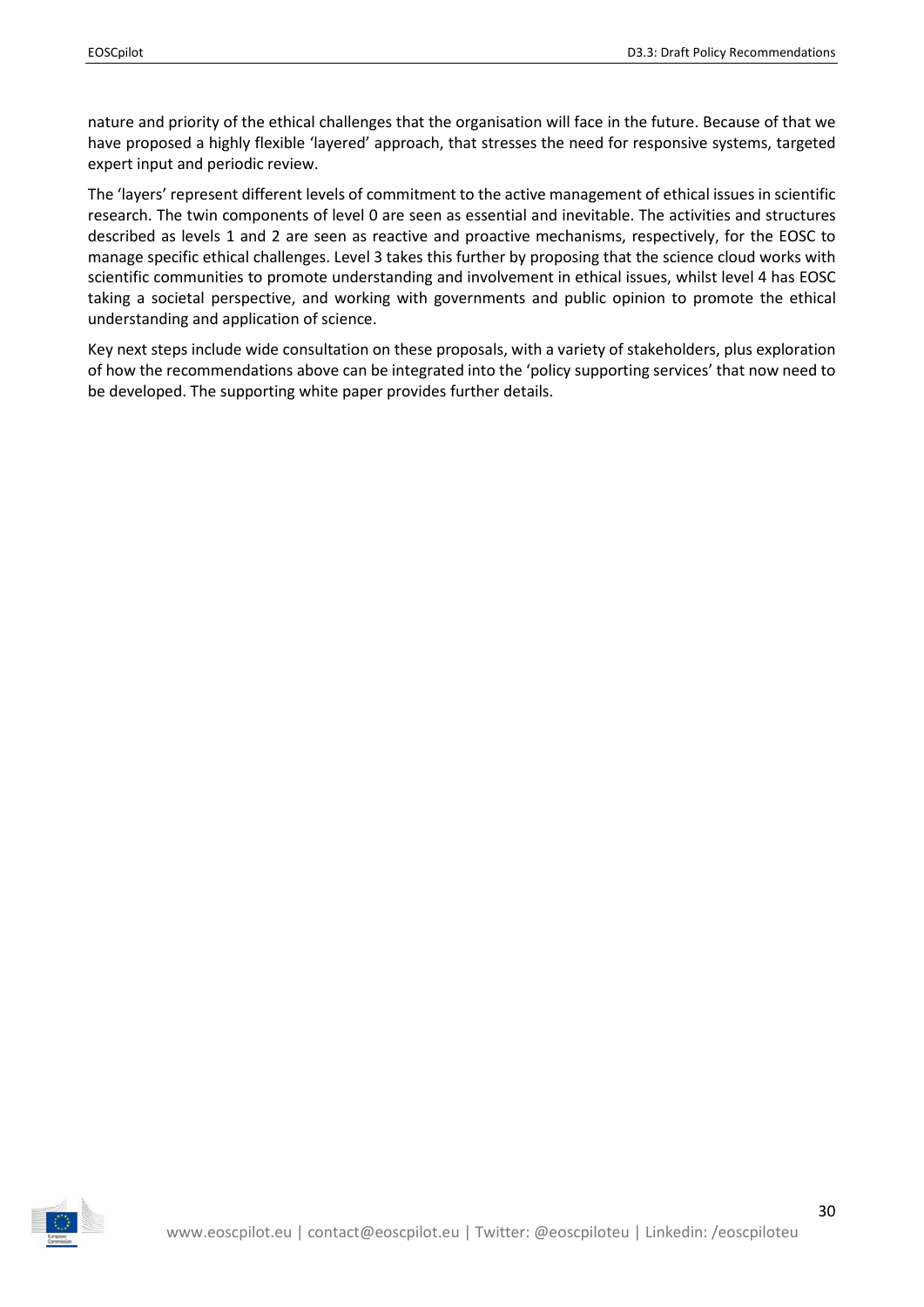nature and priority of the ethical challenges that the organisation will face in the future. Because of that we have proposed a highly flexible 'layered' approach, that stresses the need for responsive systems, targeted expert input and periodic review.

The 'layers' represent different levels of commitment to the active management of ethical issues in scientific research. The twin components of level 0 are seen as essential and inevitable. The activities and structures described as levels 1 and 2 are seen as reactive and proactive mechanisms, respectively, for the EOSC to manage specific ethical challenges. Level 3 takes this further by proposing that the science cloud works with scientific communities to promote understanding and involvement in ethical issues, whilst level 4 has EOSC taking a societal perspective, and working with governments and public opinion to promote the ethical understanding and application of science.

Key next steps include wide consultation on these proposals, with a variety of stakeholders, plus exploration of how the recommendations above can be integrated into the 'policy supporting services' that now need to be developed. The supporting white paper provides further details.

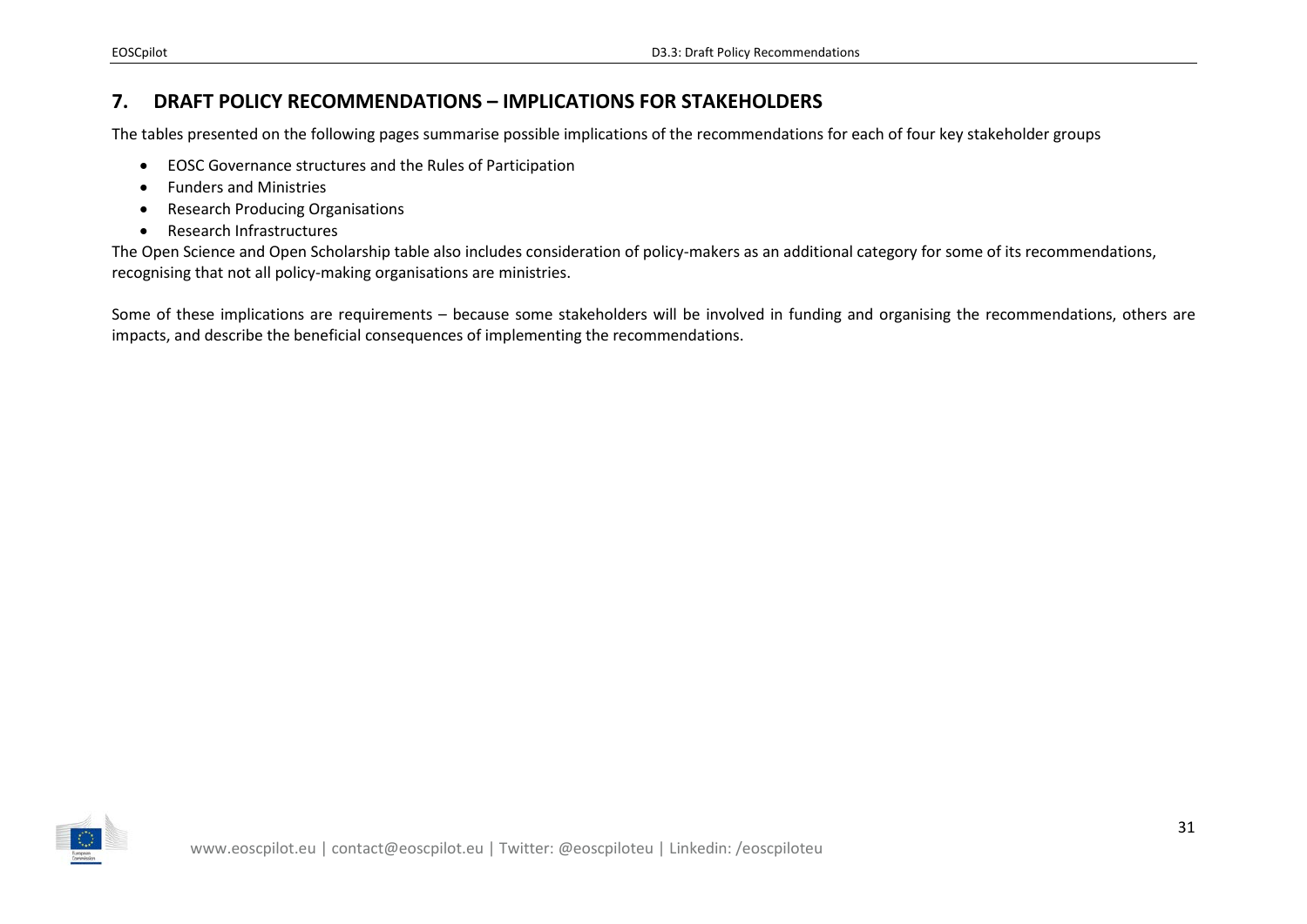## **7. DRAFT POLICY RECOMMENDATIONS – IMPLICATIONS FOR STAKEHOLDERS**

The tables presented on the following pages summarise possible implications of the recommendations for each of four key stakeholder groups

- EOSC Governance structures and the Rules of Participation
- Funders and Ministries
- Research Producing Organisations
- Research Infrastructures

The Open Science and Open Scholarship table also includes consideration of policy-makers as an additional category for some of its recommendations, recognising that not all policy-making organisations are ministries.

<span id="page-30-0"></span>Some of these implications are requirements – because some stakeholders will be involved in funding and organising the recommendations, others are impacts, and describe the beneficial consequences of implementing the recommendations.

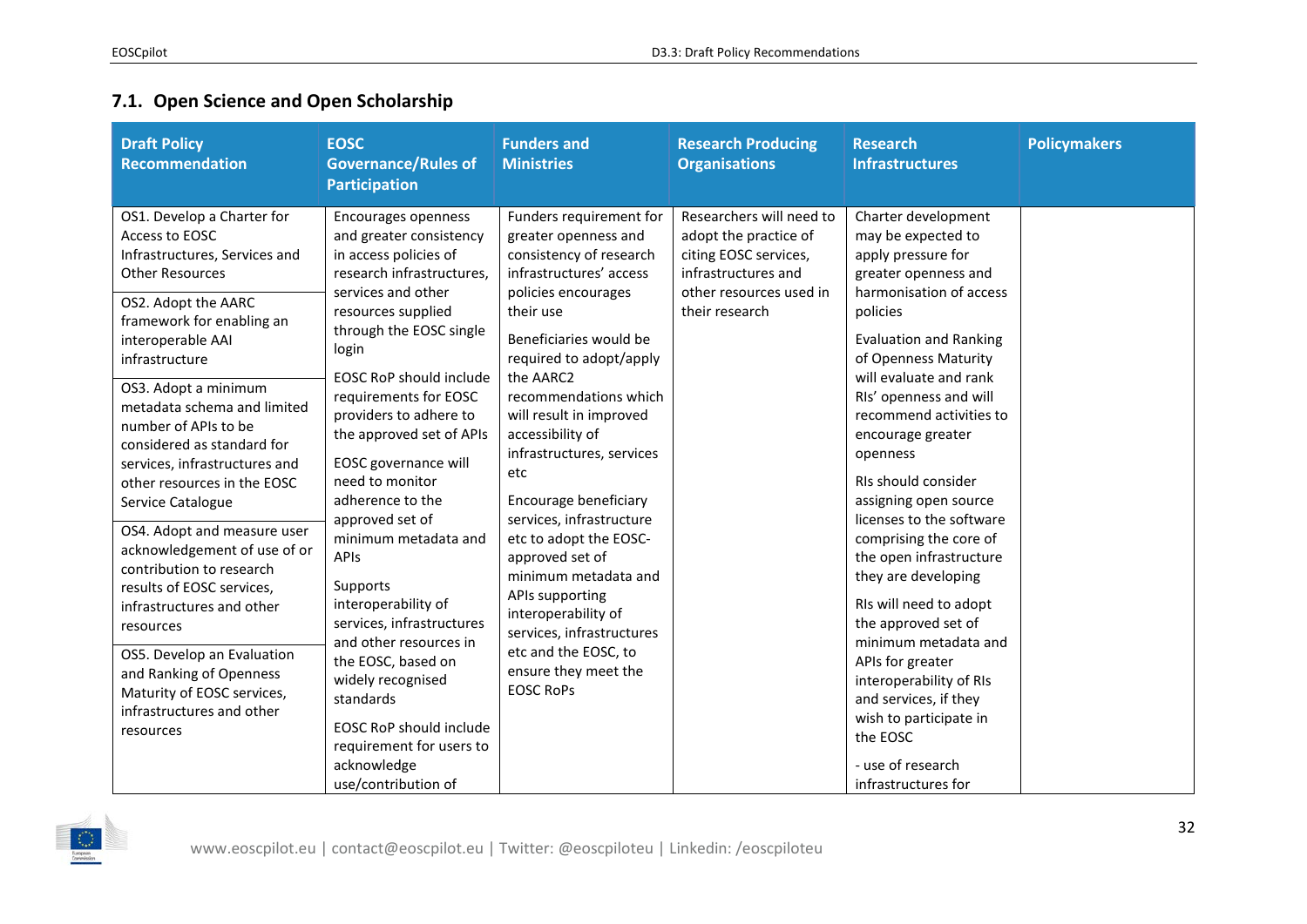## **7.1. Open Science and Open Scholarship**

<span id="page-31-0"></span>

| OS1. Develop a Charter for<br>Funders requirement for<br>Researchers will need to<br>Charter development<br>Encourages openness<br>Access to EOSC<br>and greater consistency<br>greater openness and<br>adopt the practice of<br>may be expected to<br>consistency of research<br>in access policies of<br>citing EOSC services,<br>apply pressure for<br>Infrastructures, Services and<br>infrastructures' access<br>infrastructures and<br>research infrastructures,<br><b>Other Resources</b><br>greater openness and<br>harmonisation of access<br>services and other<br>policies encourages<br>other resources used in<br>OS2. Adopt the AARC<br>their use<br>resources supplied<br>their research<br>policies<br>framework for enabling an<br>through the EOSC single<br>Beneficiaries would be<br><b>Evaluation and Ranking</b><br>interoperable AAI<br>login<br>of Openness Maturity<br>required to adopt/apply<br>infrastructure<br>will evaluate and rank<br><b>EOSC RoP should include</b><br>the AARC2<br>OS3. Adopt a minimum<br>recommendations which<br>RIs' openness and will<br>requirements for EOSC<br>metadata schema and limited<br>providers to adhere to<br>will result in improved<br>recommend activities to<br>number of APIs to be<br>accessibility of<br>the approved set of APIs<br>encourage greater<br>considered as standard for<br>infrastructures, services<br>openness<br>EOSC governance will<br>services, infrastructures and<br>etc<br>need to monitor<br>RIs should consider<br>other resources in the EOSC<br>adherence to the<br>Encourage beneficiary<br>assigning open source<br>Service Catalogue<br>approved set of<br>services, infrastructure<br>licenses to the software<br>OS4. Adopt and measure user<br>minimum metadata and<br>etc to adopt the EOSC-<br>comprising the core of<br>acknowledgement of use of or<br>the open infrastructure<br>APIs<br>approved set of<br>contribution to research<br>minimum metadata and<br>they are developing<br>Supports<br>results of EOSC services,<br>APIs supporting<br>interoperability of<br>RIs will need to adopt<br>infrastructures and other<br>interoperability of<br>services, infrastructures<br>the approved set of<br>resources<br>services, infrastructures<br>and other resources in<br>minimum metadata and<br>etc and the EOSC, to<br>OS5. Develop an Evaluation<br>the EOSC, based on<br>APIs for greater<br>ensure they meet the<br>and Ranking of Openness<br>widely recognised<br>interoperability of RIs<br><b>EOSC RoPs</b><br>Maturity of EOSC services,<br>and services, if they<br>standards | <b>Draft Policy</b><br><b>Recommendation</b> | <b>EOSC</b><br><b>Governance/Rules of</b><br><b>Participation</b> | <b>Funders and</b><br><b>Ministries</b> | <b>Research Producing</b><br><b>Organisations</b> | <b>Research</b><br><b>Infrastructures</b> | <b>Policymakers</b> |
|------------------------------------------------------------------------------------------------------------------------------------------------------------------------------------------------------------------------------------------------------------------------------------------------------------------------------------------------------------------------------------------------------------------------------------------------------------------------------------------------------------------------------------------------------------------------------------------------------------------------------------------------------------------------------------------------------------------------------------------------------------------------------------------------------------------------------------------------------------------------------------------------------------------------------------------------------------------------------------------------------------------------------------------------------------------------------------------------------------------------------------------------------------------------------------------------------------------------------------------------------------------------------------------------------------------------------------------------------------------------------------------------------------------------------------------------------------------------------------------------------------------------------------------------------------------------------------------------------------------------------------------------------------------------------------------------------------------------------------------------------------------------------------------------------------------------------------------------------------------------------------------------------------------------------------------------------------------------------------------------------------------------------------------------------------------------------------------------------------------------------------------------------------------------------------------------------------------------------------------------------------------------------------------------------------------------------------------------------------------------------------------------------------------------------------------------------------------------------------------------------------------------------------------------------------------------------------------------------------------|----------------------------------------------|-------------------------------------------------------------------|-----------------------------------------|---------------------------------------------------|-------------------------------------------|---------------------|
| wish to participate in<br><b>EOSC RoP should include</b><br>resources<br>the EOSC<br>requirement for users to<br>acknowledge<br>- use of research<br>use/contribution of<br>infrastructures for                                                                                                                                                                                                                                                                                                                                                                                                                                                                                                                                                                                                                                                                                                                                                                                                                                                                                                                                                                                                                                                                                                                                                                                                                                                                                                                                                                                                                                                                                                                                                                                                                                                                                                                                                                                                                                                                                                                                                                                                                                                                                                                                                                                                                                                                                                                                                                                                                  | infrastructures and other                    |                                                                   |                                         |                                                   |                                           |                     |

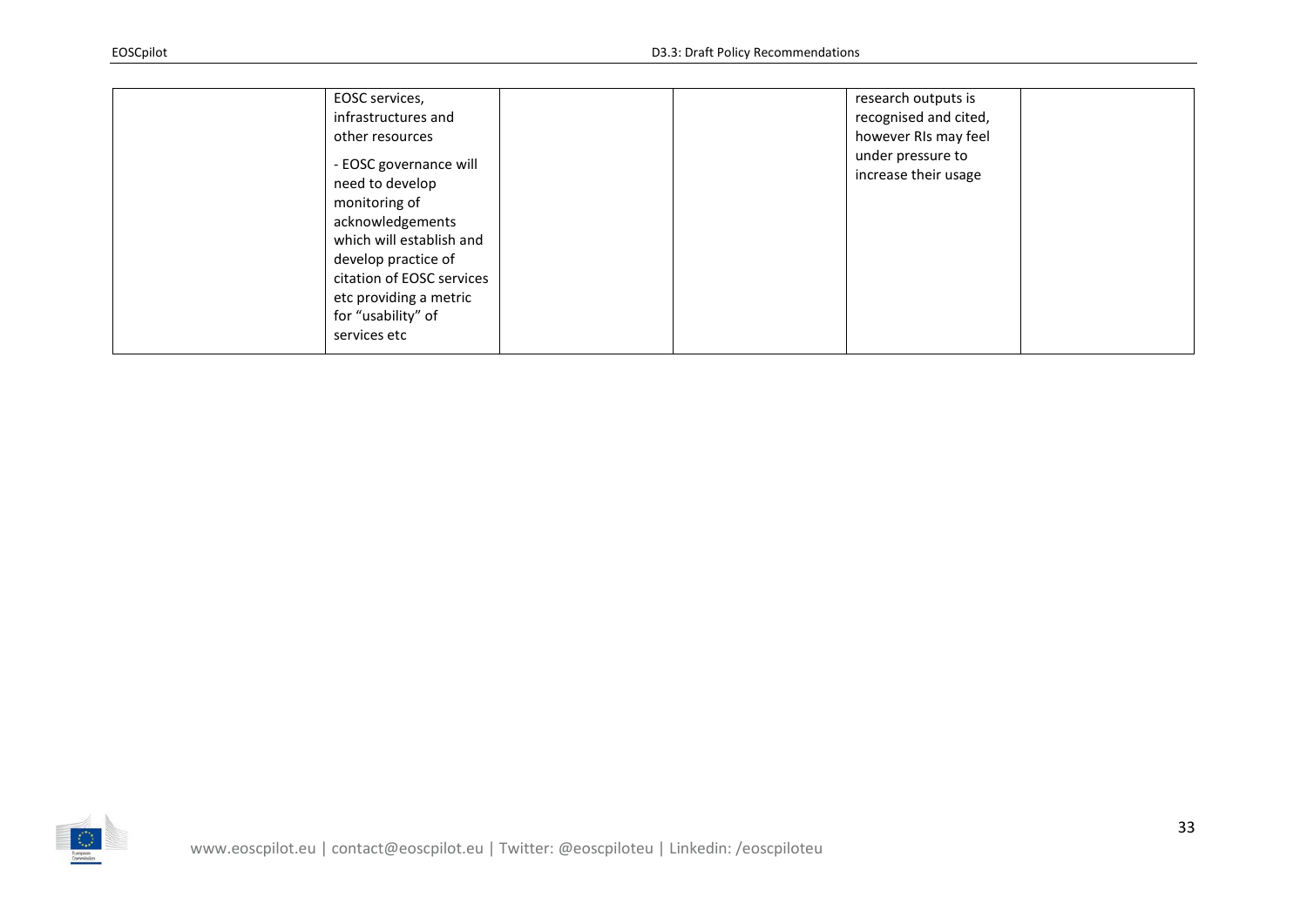| EOSC services,<br>infrastructures and<br>other resources<br>- EOSC governance will<br>need to develop<br>monitoring of<br>acknowledgements<br>which will establish and<br>develop practice of<br>citation of EOSC services<br>etc providing a metric<br>for "usability" of<br>services etc | research outputs is<br>recognised and cited,<br>however RIs may feel<br>under pressure to<br>increase their usage |  |
|--------------------------------------------------------------------------------------------------------------------------------------------------------------------------------------------------------------------------------------------------------------------------------------------|-------------------------------------------------------------------------------------------------------------------|--|
|--------------------------------------------------------------------------------------------------------------------------------------------------------------------------------------------------------------------------------------------------------------------------------------------|-------------------------------------------------------------------------------------------------------------------|--|

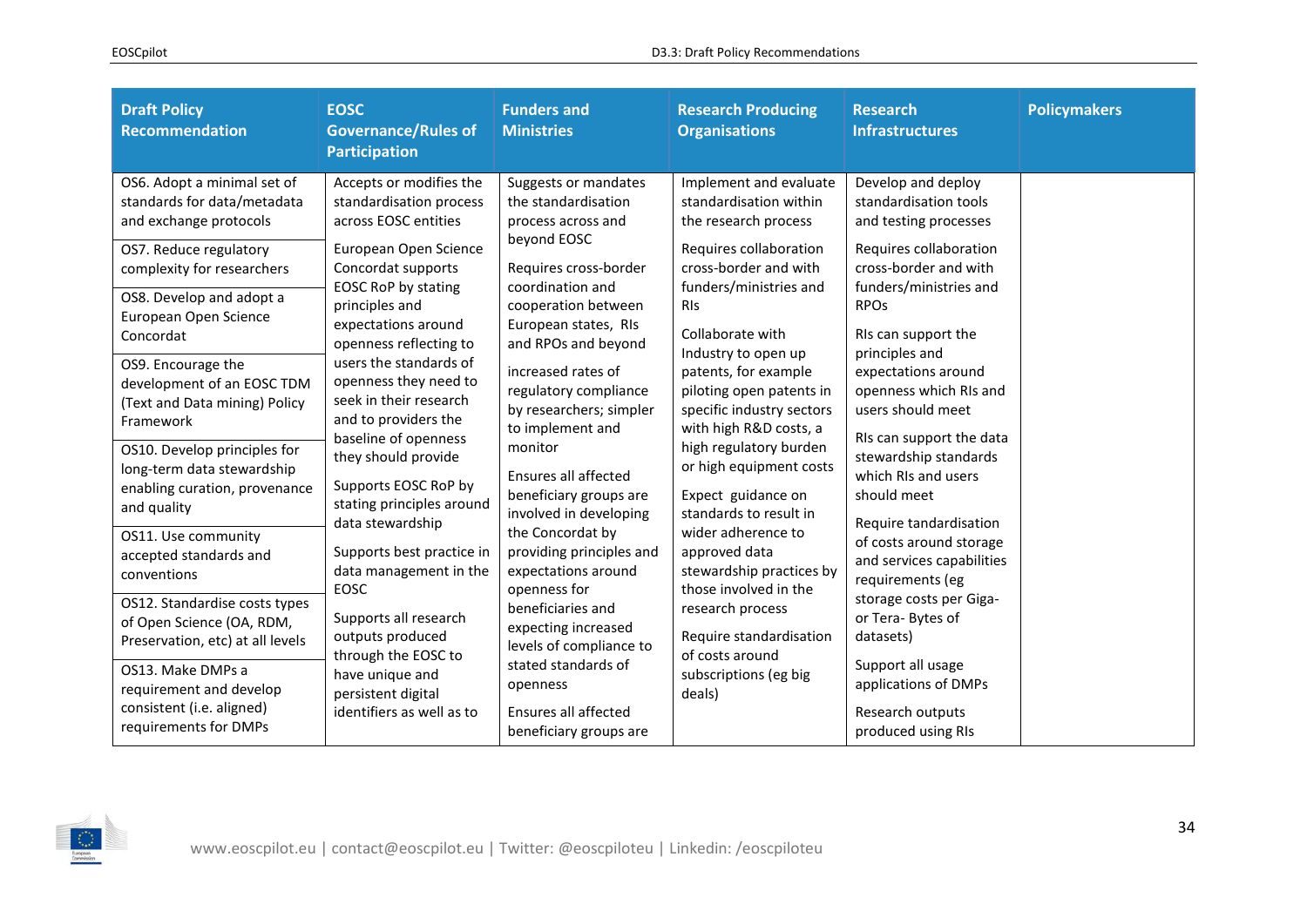| <b>Draft Policy</b><br><b>Recommendation</b>                                                                                                                                                                                                                                                                                                     | <b>EOSC</b><br><b>Governance/Rules of</b><br><b>Participation</b>                                                                                                                                                                                                                                                                                | <b>Funders and</b><br><b>Ministries</b>                                                                                                                                                                                                                                                                      | <b>Research Producing</b><br><b>Organisations</b>                                                                                                                                                                                                                                                                                                   | <b>Research</b><br><b>Infrastructures</b>                                                                                                                                                                                                                                                                   | <b>Policymakers</b> |
|--------------------------------------------------------------------------------------------------------------------------------------------------------------------------------------------------------------------------------------------------------------------------------------------------------------------------------------------------|--------------------------------------------------------------------------------------------------------------------------------------------------------------------------------------------------------------------------------------------------------------------------------------------------------------------------------------------------|--------------------------------------------------------------------------------------------------------------------------------------------------------------------------------------------------------------------------------------------------------------------------------------------------------------|-----------------------------------------------------------------------------------------------------------------------------------------------------------------------------------------------------------------------------------------------------------------------------------------------------------------------------------------------------|-------------------------------------------------------------------------------------------------------------------------------------------------------------------------------------------------------------------------------------------------------------------------------------------------------------|---------------------|
| OS6. Adopt a minimal set of<br>standards for data/metadata<br>and exchange protocols<br>OS7. Reduce regulatory<br>complexity for researchers<br>OS8. Develop and adopt a<br>European Open Science<br>Concordat<br>OS9. Encourage the<br>development of an EOSC TDM<br>(Text and Data mining) Policy<br>Framework<br>OS10. Develop principles for | Accepts or modifies the<br>standardisation process<br>across EOSC entities<br>European Open Science<br>Concordat supports<br>EOSC RoP by stating<br>principles and<br>expectations around<br>openness reflecting to<br>users the standards of<br>openness they need to<br>seek in their research<br>and to providers the<br>baseline of openness | Suggests or mandates<br>the standardisation<br>process across and<br>beyond EOSC<br>Requires cross-border<br>coordination and<br>cooperation between<br>European states, RIs<br>and RPOs and beyond<br>increased rates of<br>regulatory compliance<br>by researchers; simpler<br>to implement and<br>monitor | Implement and evaluate<br>standardisation within<br>the research process<br>Requires collaboration<br>cross-border and with<br>funders/ministries and<br><b>RIS</b><br>Collaborate with<br>Industry to open up<br>patents, for example<br>piloting open patents in<br>specific industry sectors<br>with high R&D costs, a<br>high regulatory burden | Develop and deploy<br>standardisation tools<br>and testing processes<br>Requires collaboration<br>cross-border and with<br>funders/ministries and<br><b>RPOs</b><br>RIs can support the<br>principles and<br>expectations around<br>openness which RIs and<br>users should meet<br>RIs can support the data |                     |
| long-term data stewardship<br>enabling curation, provenance<br>and quality<br>OS11. Use community<br>accepted standards and                                                                                                                                                                                                                      | they should provide<br>Supports EOSC RoP by<br>stating principles around<br>data stewardship<br>Supports best practice in<br>data management in the<br>EOSC<br>Supports all research<br>outputs produced<br>through the EOSC to<br>have unique and<br>persistent digital                                                                         | Ensures all affected<br>beneficiary groups are<br>involved in developing<br>the Concordat by<br>providing principles and<br>expectations around<br>openness for<br>beneficiaries and<br>expecting increased<br>levels of compliance to<br>stated standards of<br>openness                                    | or high equipment costs<br>Expect guidance on<br>standards to result in<br>wider adherence to<br>approved data<br>stewardship practices by<br>those involved in the<br>research process<br>Require standardisation<br>of costs around<br>subscriptions (eg big<br>deals)                                                                            | stewardship standards<br>which RIs and users<br>should meet<br>Require tandardisation<br>of costs around storage<br>and services capabilities                                                                                                                                                               |                     |
| conventions<br>OS12. Standardise costs types<br>of Open Science (OA, RDM,<br>Preservation, etc) at all levels<br>OS13. Make DMPs a<br>requirement and develop                                                                                                                                                                                    |                                                                                                                                                                                                                                                                                                                                                  |                                                                                                                                                                                                                                                                                                              |                                                                                                                                                                                                                                                                                                                                                     | requirements (eg<br>storage costs per Giga-<br>or Tera-Bytes of<br>datasets)<br>Support all usage<br>applications of DMPs                                                                                                                                                                                   |                     |
| consistent (i.e. aligned)<br>requirements for DMPs                                                                                                                                                                                                                                                                                               | identifiers as well as to                                                                                                                                                                                                                                                                                                                        | Ensures all affected<br>beneficiary groups are                                                                                                                                                                                                                                                               |                                                                                                                                                                                                                                                                                                                                                     | Research outputs<br>produced using RIs                                                                                                                                                                                                                                                                      |                     |

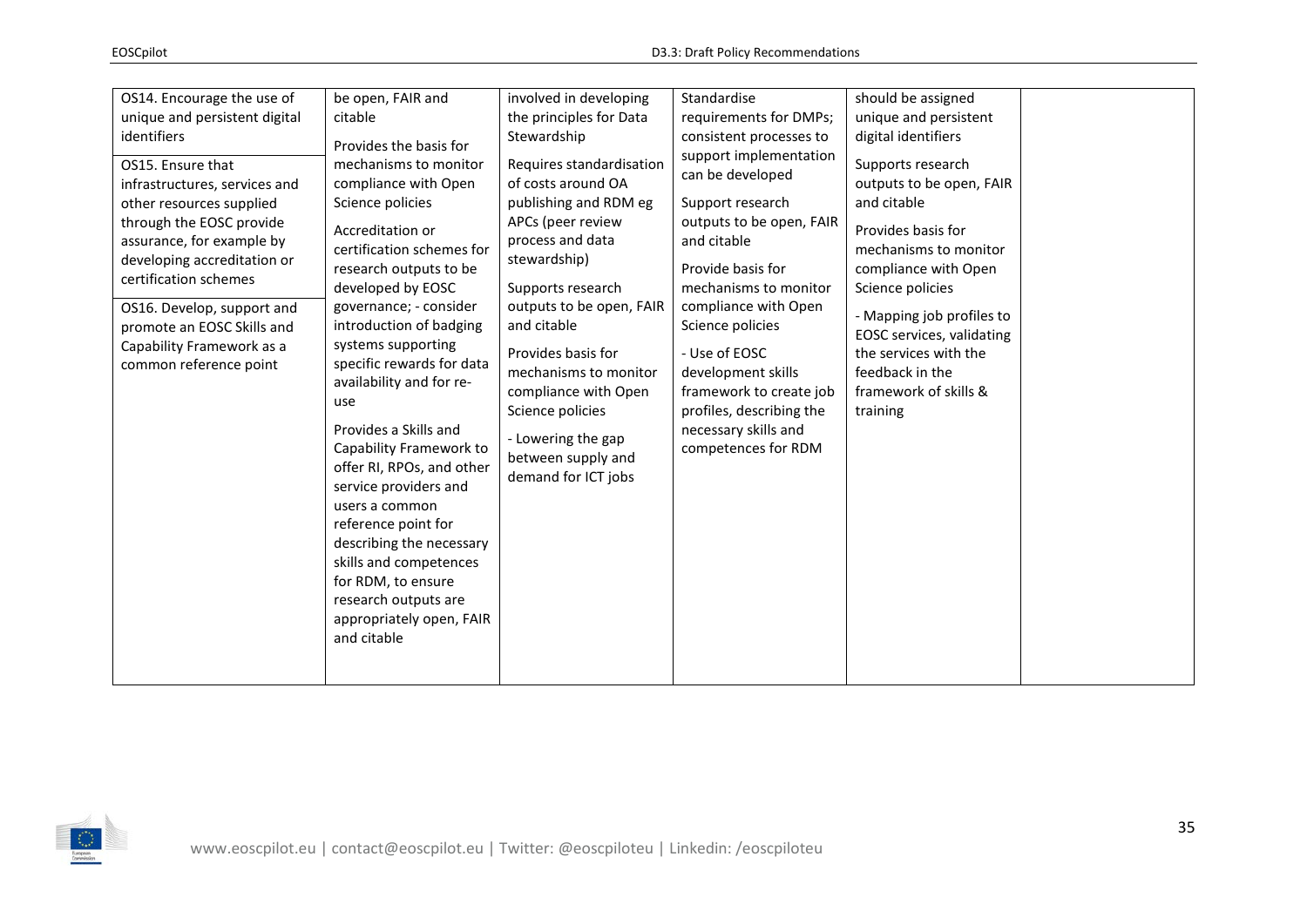| OS14. Encourage the use of<br>unique and persistent digital<br>identifiers<br>OS15. Ensure that<br>infrastructures, services and<br>other resources supplied<br>through the EOSC provide<br>assurance, for example by<br>developing accreditation or<br>certification schemes<br>OS16. Develop, support and<br>promote an EOSC Skills and<br>Capability Framework as a<br>common reference point | be open, FAIR and<br>citable<br>Provides the basis for<br>mechanisms to monitor<br>compliance with Open<br>Science policies<br>Accreditation or<br>certification schemes for<br>research outputs to be<br>developed by EOSC<br>governance; - consider<br>introduction of badging<br>systems supporting<br>specific rewards for data<br>availability and for re-<br>use<br>Provides a Skills and<br>Capability Framework to<br>offer RI, RPOs, and other<br>service providers and<br>users a common<br>reference point for<br>describing the necessary<br>skills and competences<br>for RDM, to ensure<br>research outputs are<br>appropriately open, FAIR<br>and citable | involved in developing<br>the principles for Data<br>Stewardship<br>Requires standardisation<br>of costs around OA<br>publishing and RDM eg<br>APCs (peer review<br>process and data<br>stewardship)<br>Supports research<br>outputs to be open, FAIR<br>and citable<br>Provides basis for<br>mechanisms to monitor<br>compliance with Open<br>Science policies<br>- Lowering the gap<br>between supply and<br>demand for ICT jobs | Standardise<br>requirements for DMPs;<br>consistent processes to<br>support implementation<br>can be developed<br>Support research<br>outputs to be open, FAIR<br>and citable<br>Provide basis for<br>mechanisms to monitor<br>compliance with Open<br>Science policies<br>- Use of EOSC<br>development skills<br>framework to create job<br>profiles, describing the<br>necessary skills and<br>competences for RDM | should be assigned<br>unique and persistent<br>digital identifiers<br>Supports research<br>outputs to be open, FAIR<br>and citable<br>Provides basis for<br>mechanisms to monitor<br>compliance with Open<br>Science policies<br>- Mapping job profiles to<br>EOSC services, validating<br>the services with the<br>feedback in the<br>framework of skills &<br>training |  |
|--------------------------------------------------------------------------------------------------------------------------------------------------------------------------------------------------------------------------------------------------------------------------------------------------------------------------------------------------------------------------------------------------|--------------------------------------------------------------------------------------------------------------------------------------------------------------------------------------------------------------------------------------------------------------------------------------------------------------------------------------------------------------------------------------------------------------------------------------------------------------------------------------------------------------------------------------------------------------------------------------------------------------------------------------------------------------------------|------------------------------------------------------------------------------------------------------------------------------------------------------------------------------------------------------------------------------------------------------------------------------------------------------------------------------------------------------------------------------------------------------------------------------------|----------------------------------------------------------------------------------------------------------------------------------------------------------------------------------------------------------------------------------------------------------------------------------------------------------------------------------------------------------------------------------------------------------------------|--------------------------------------------------------------------------------------------------------------------------------------------------------------------------------------------------------------------------------------------------------------------------------------------------------------------------------------------------------------------------|--|
|--------------------------------------------------------------------------------------------------------------------------------------------------------------------------------------------------------------------------------------------------------------------------------------------------------------------------------------------------------------------------------------------------|--------------------------------------------------------------------------------------------------------------------------------------------------------------------------------------------------------------------------------------------------------------------------------------------------------------------------------------------------------------------------------------------------------------------------------------------------------------------------------------------------------------------------------------------------------------------------------------------------------------------------------------------------------------------------|------------------------------------------------------------------------------------------------------------------------------------------------------------------------------------------------------------------------------------------------------------------------------------------------------------------------------------------------------------------------------------------------------------------------------------|----------------------------------------------------------------------------------------------------------------------------------------------------------------------------------------------------------------------------------------------------------------------------------------------------------------------------------------------------------------------------------------------------------------------|--------------------------------------------------------------------------------------------------------------------------------------------------------------------------------------------------------------------------------------------------------------------------------------------------------------------------------------------------------------------------|--|

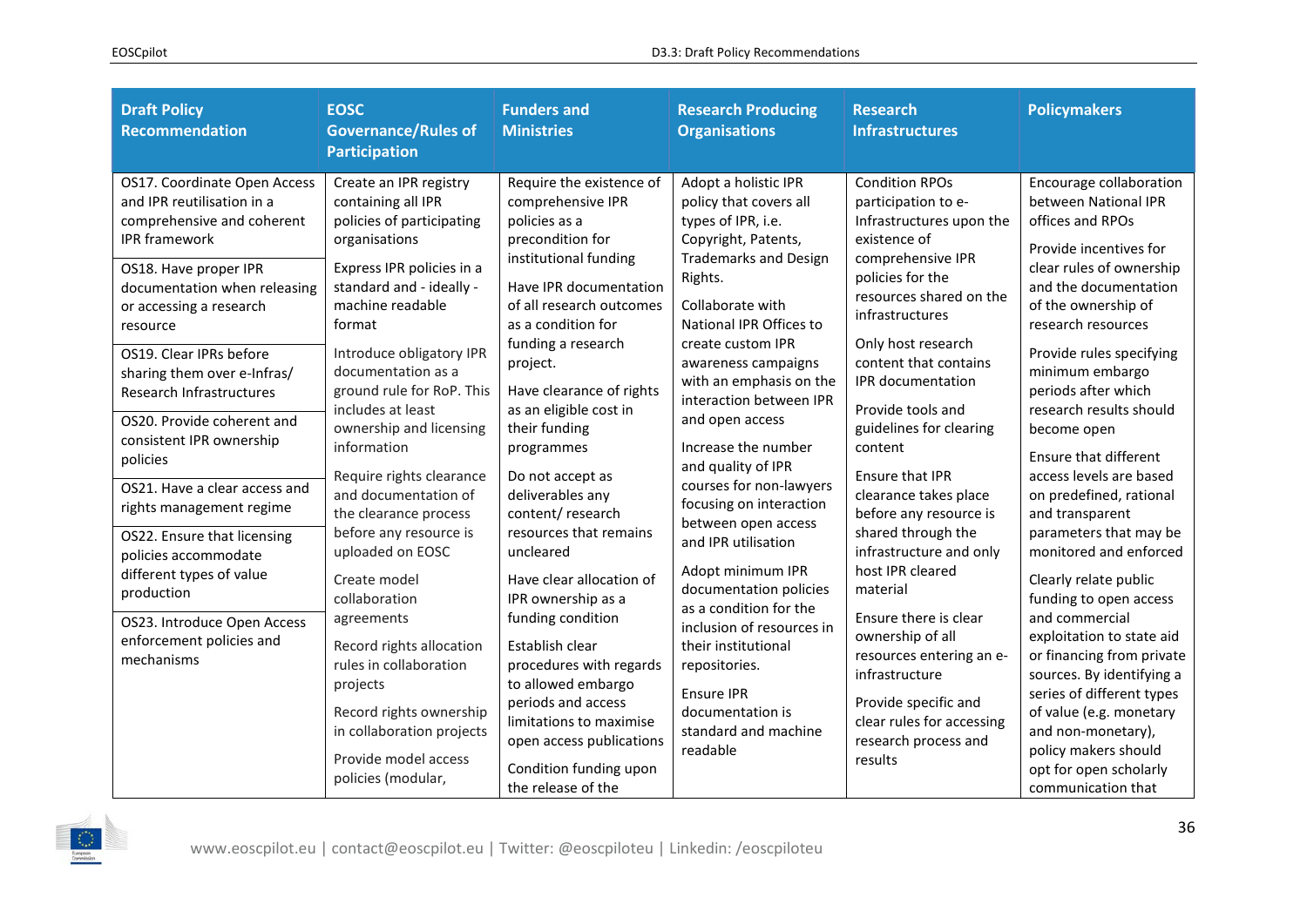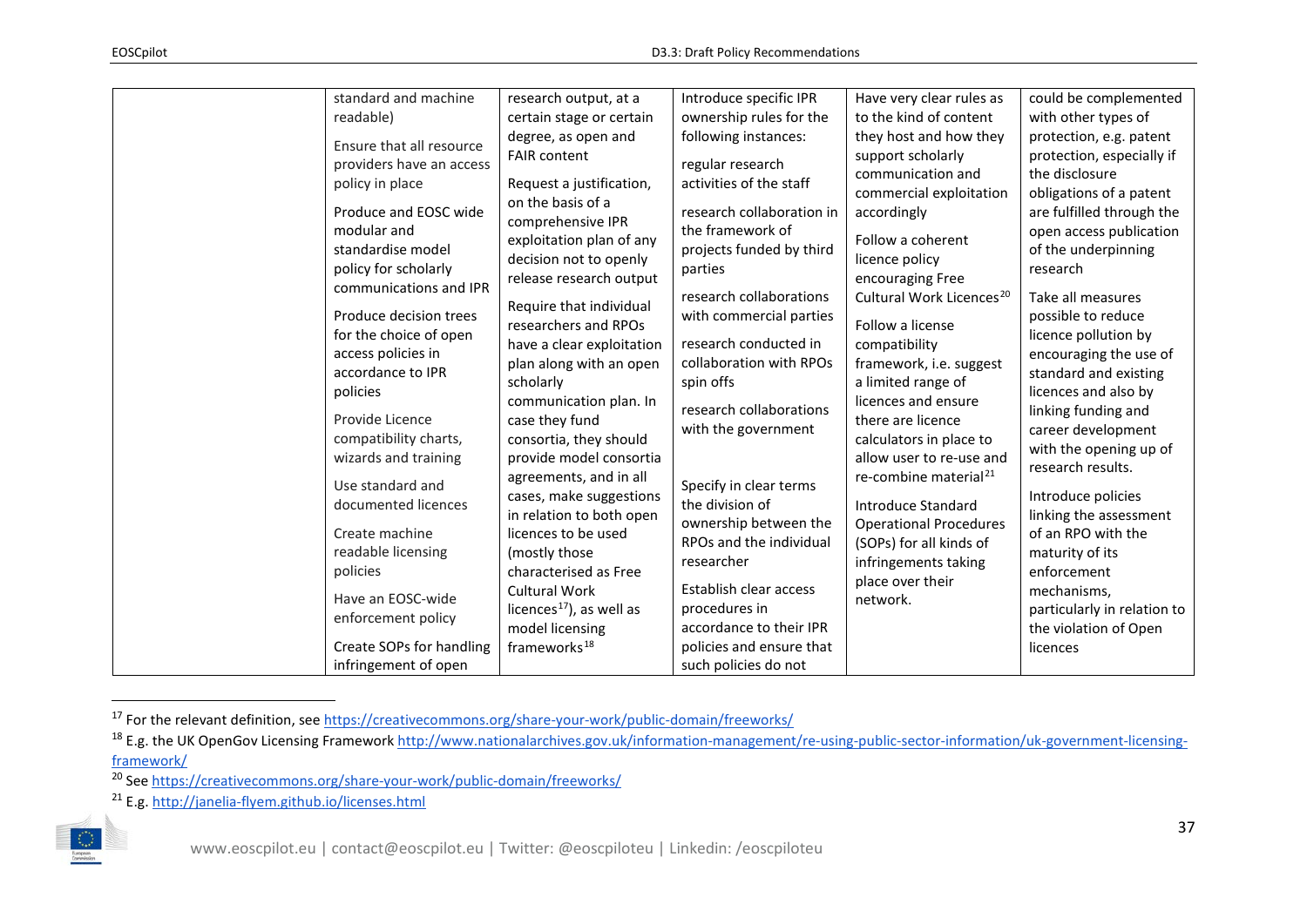<span id="page-36-3"></span><span id="page-36-2"></span><span id="page-36-1"></span><span id="page-36-0"></span>

| standard and machine                                                              | research output, at a                                                                                | Introduce specific IPR                                                                        | Have very clear rules as                                                                        | could be complemented                                                                           |
|-----------------------------------------------------------------------------------|------------------------------------------------------------------------------------------------------|-----------------------------------------------------------------------------------------------|-------------------------------------------------------------------------------------------------|-------------------------------------------------------------------------------------------------|
| readable)                                                                         | certain stage or certain                                                                             | ownership rules for the                                                                       | to the kind of content                                                                          | with other types of                                                                             |
| Ensure that all resource                                                          | degree, as open and<br><b>FAIR content</b>                                                           | following instances:                                                                          | they host and how they<br>support scholarly                                                     | protection, e.g. patent<br>protection, especially if                                            |
| providers have an access<br>policy in place                                       | Request a justification,                                                                             | regular research<br>activities of the staff                                                   | communication and<br>commercial exploitation                                                    | the disclosure<br>obligations of a patent                                                       |
| Produce and EOSC wide<br>modular and<br>standardise model<br>policy for scholarly | on the basis of a<br>comprehensive IPR<br>exploitation plan of any<br>decision not to openly         | research collaboration in<br>the framework of<br>projects funded by third<br>parties          | accordingly<br>Follow a coherent<br>licence policy                                              | are fulfilled through the<br>open access publication<br>of the underpinning<br>research         |
| communications and IPR<br>Produce decision trees                                  | release research output<br>Require that individual<br>researchers and RPOs                           | research collaborations<br>with commercial parties                                            | encouraging Free<br>Cultural Work Licences <sup>20</sup><br>Follow a license                    | Take all measures<br>possible to reduce                                                         |
| for the choice of open<br>access policies in<br>accordance to IPR<br>policies     | have a clear exploitation<br>plan along with an open<br>scholarly                                    | research conducted in<br>collaboration with RPOs<br>spin offs                                 | compatibility<br>framework, i.e. suggest<br>a limited range of                                  | licence pollution by<br>encouraging the use of<br>standard and existing<br>licences and also by |
| Provide Licence<br>compatibility charts,<br>wizards and training                  | communication plan. In<br>case they fund<br>consortia, they should<br>provide model consortia        | research collaborations<br>with the government                                                | licences and ensure<br>there are licence<br>calculators in place to<br>allow user to re-use and | linking funding and<br>career development<br>with the opening up of                             |
| Use standard and<br>documented licences<br>Create machine                         | agreements, and in all<br>cases, make suggestions<br>in relation to both open<br>licences to be used | Specify in clear terms<br>the division of<br>ownership between the<br>RPOs and the individual | re-combine material <sup>21</sup><br>Introduce Standard<br><b>Operational Procedures</b>        | research results.<br>Introduce policies<br>linking the assessment<br>of an RPO with the         |
| readable licensing<br>policies                                                    | (mostly those<br>characterised as Free                                                               | researcher                                                                                    | (SOPs) for all kinds of<br>infringements taking<br>place over their                             | maturity of its<br>enforcement                                                                  |
| Have an EOSC-wide<br>enforcement policy                                           | <b>Cultural Work</b><br>licences <sup>17</sup> ), as well as<br>model licensing                      | Establish clear access<br>procedures in<br>accordance to their IPR                            | network.                                                                                        | mechanisms,<br>particularly in relation to<br>the violation of Open                             |
| Create SOPs for handling<br>infringement of open                                  | frameworks <sup>18</sup>                                                                             | policies and ensure that<br>such policies do not                                              |                                                                                                 | licences                                                                                        |

<sup>&</sup>lt;sup>17</sup> For the relevant definition, see<https://creativecommons.org/share-your-work/public-domain/freeworks/>

<sup>&</sup>lt;sup>18</sup> E.g. the UK OpenGov Licensing Framework [http://www.nationalarchives.gov.uk/information-management/re-using-public-sector-information/uk-government-licensing](http://www.nationalarchives.gov.uk/information-management/re-using-public-sector-information/uk-government-licensing-framework/)[framework/](http://www.nationalarchives.gov.uk/information-management/re-using-public-sector-information/uk-government-licensing-framework/)

<sup>20</sup> See<https://creativecommons.org/share-your-work/public-domain/freeworks/>

<sup>21</sup> E.g.<http://janelia-flyem.github.io/licenses.html>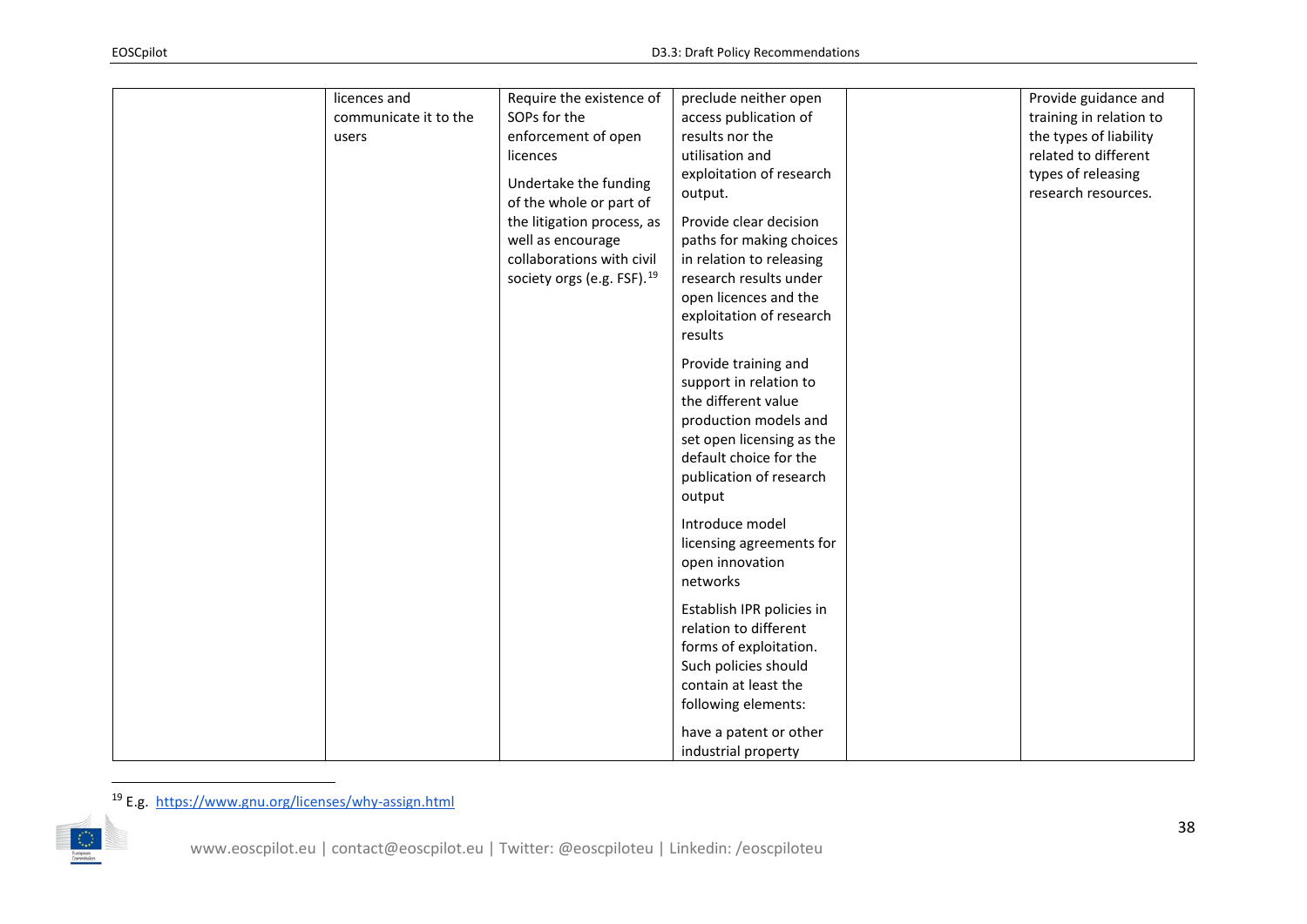<span id="page-37-0"></span>

| licences and          | Require the existence of               | preclude neither open     | Provide guidance and    |
|-----------------------|----------------------------------------|---------------------------|-------------------------|
| communicate it to the | SOPs for the                           | access publication of     | training in relation to |
| users                 | enforcement of open                    | results nor the           | the types of liability  |
|                       | licences                               | utilisation and           | related to different    |
|                       | Undertake the funding                  | exploitation of research  | types of releasing      |
|                       | of the whole or part of                | output.                   | research resources.     |
|                       | the litigation process, as             | Provide clear decision    |                         |
|                       | well as encourage                      | paths for making choices  |                         |
|                       | collaborations with civil              | in relation to releasing  |                         |
|                       | society orgs (e.g. FSF). <sup>19</sup> | research results under    |                         |
|                       |                                        | open licences and the     |                         |
|                       |                                        | exploitation of research  |                         |
|                       |                                        | results                   |                         |
|                       |                                        |                           |                         |
|                       |                                        | Provide training and      |                         |
|                       |                                        | support in relation to    |                         |
|                       |                                        | the different value       |                         |
|                       |                                        | production models and     |                         |
|                       |                                        | set open licensing as the |                         |
|                       |                                        | default choice for the    |                         |
|                       |                                        | publication of research   |                         |
|                       |                                        | output                    |                         |
|                       |                                        | Introduce model           |                         |
|                       |                                        | licensing agreements for  |                         |
|                       |                                        | open innovation           |                         |
|                       |                                        | networks                  |                         |
|                       |                                        |                           |                         |
|                       |                                        | Establish IPR policies in |                         |
|                       |                                        | relation to different     |                         |
|                       |                                        | forms of exploitation.    |                         |
|                       |                                        | Such policies should      |                         |
|                       |                                        | contain at least the      |                         |
|                       |                                        | following elements:       |                         |
|                       |                                        | have a patent or other    |                         |
|                       |                                        | industrial property       |                         |

 <sup>19</sup> E.g.<https://www.gnu.org/licenses/why-assign.html>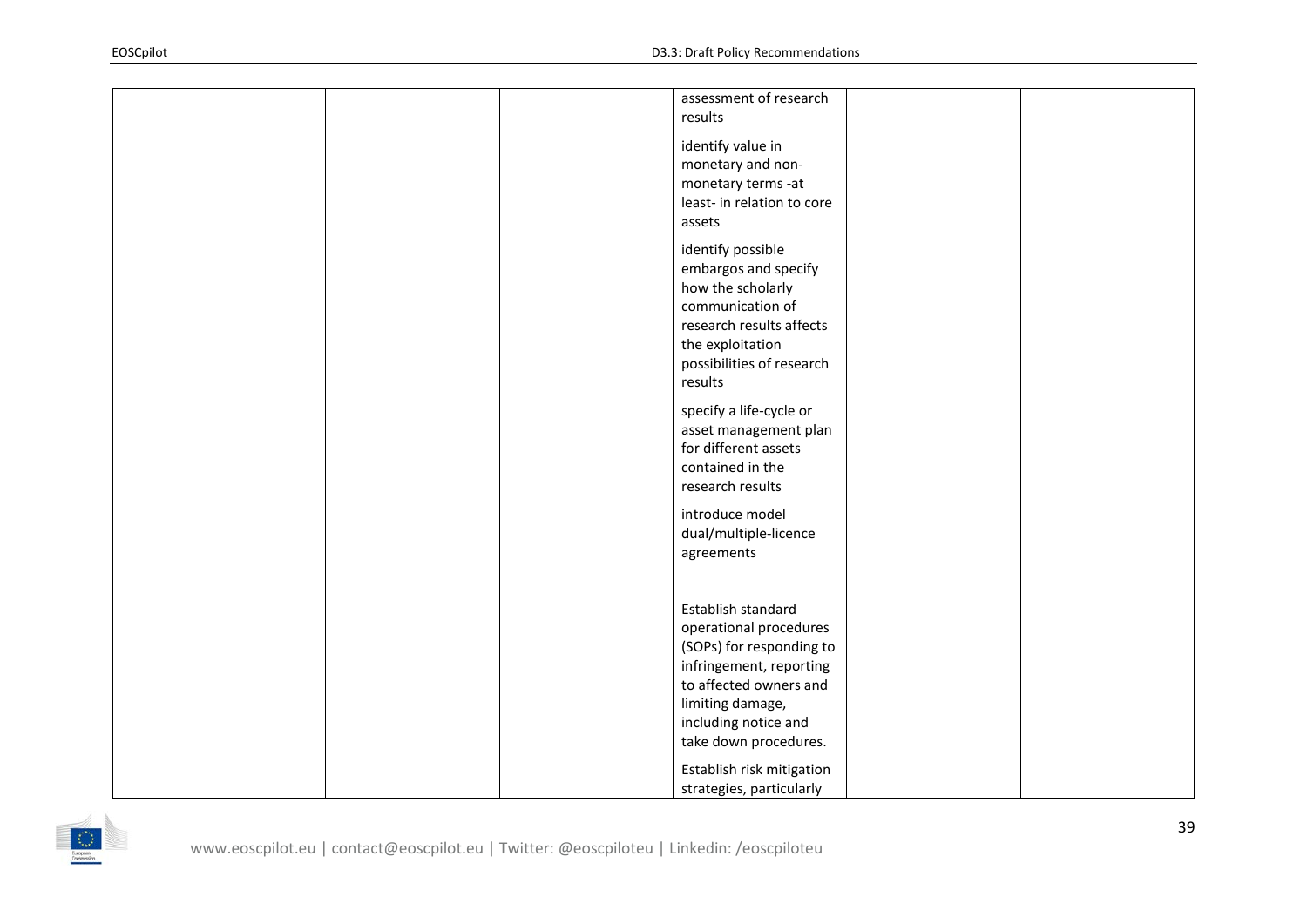|  |  | assessment of research<br>results                                                                                                                                                                  |  |
|--|--|----------------------------------------------------------------------------------------------------------------------------------------------------------------------------------------------------|--|
|  |  | identify value in<br>monetary and non-<br>monetary terms -at<br>least- in relation to core<br>assets                                                                                               |  |
|  |  | identify possible<br>embargos and specify<br>how the scholarly<br>communication of<br>research results affects<br>the exploitation<br>possibilities of research<br>results                         |  |
|  |  | specify a life-cycle or<br>asset management plan<br>for different assets<br>contained in the<br>research results                                                                                   |  |
|  |  | introduce model<br>dual/multiple-licence<br>agreements                                                                                                                                             |  |
|  |  | Establish standard<br>operational procedures<br>(SOPs) for responding to<br>infringement, reporting<br>to affected owners and<br>limiting damage,<br>including notice and<br>take down procedures. |  |
|  |  | Establish risk mitigation<br>strategies, particularly                                                                                                                                              |  |

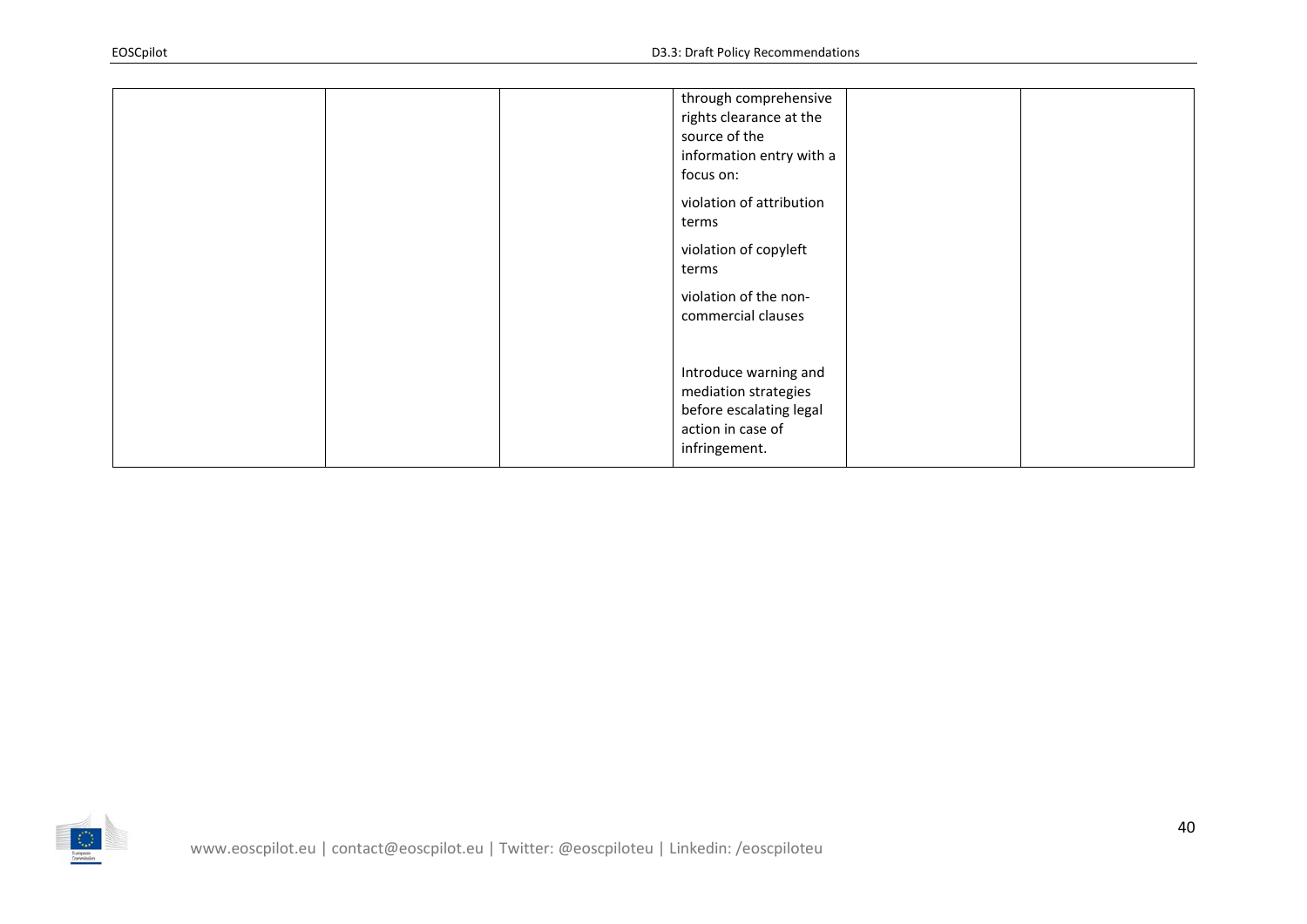|  | through comprehensive<br>rights clearance at the<br>source of the<br>information entry with a<br>focus on:     |  |
|--|----------------------------------------------------------------------------------------------------------------|--|
|  | violation of attribution<br>terms                                                                              |  |
|  | violation of copyleft<br>terms                                                                                 |  |
|  | violation of the non-<br>commercial clauses                                                                    |  |
|  | Introduce warning and<br>mediation strategies<br>before escalating legal<br>action in case of<br>infringement. |  |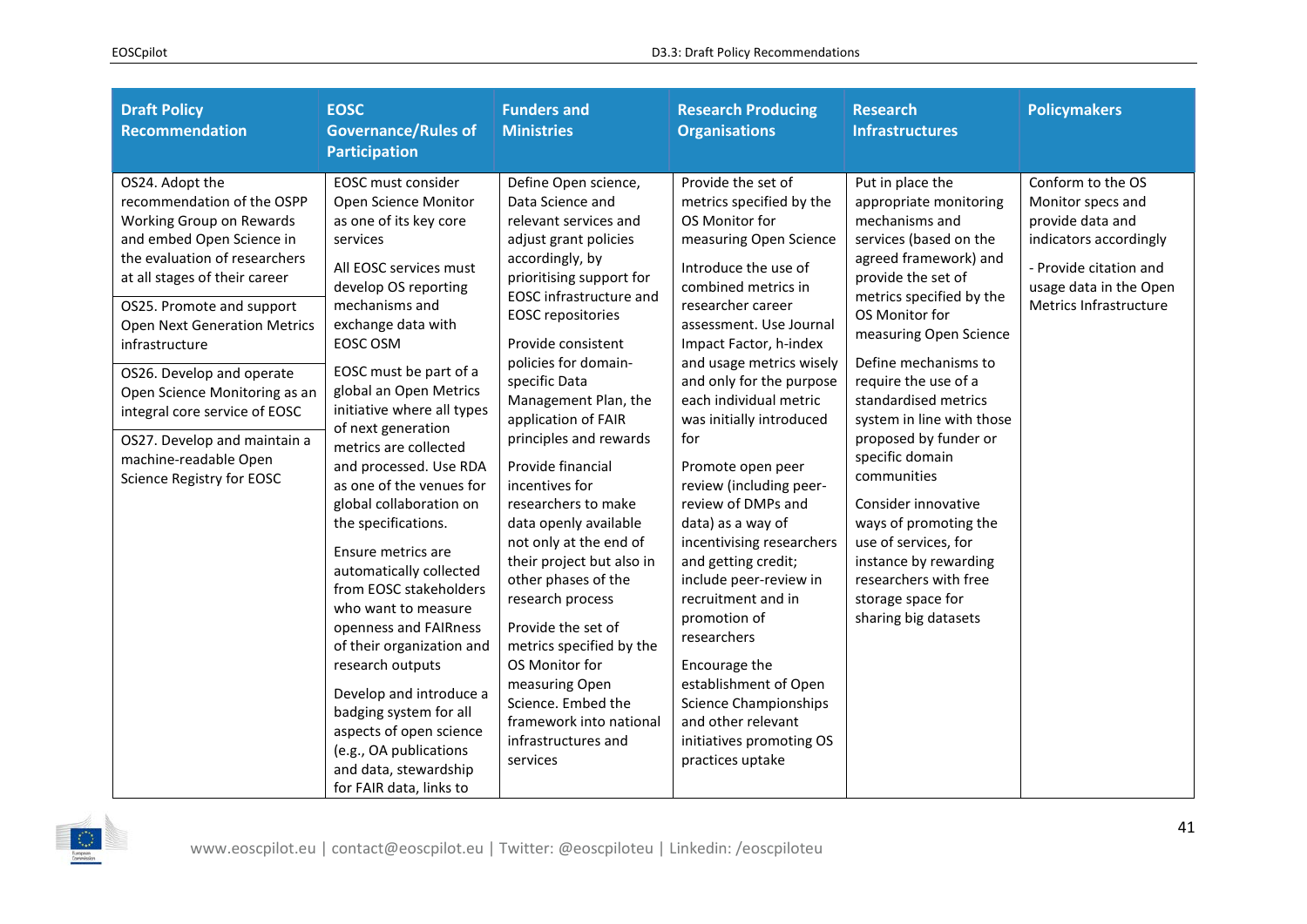| <b>Draft Policy</b><br><b>Recommendation</b>                                                                                                                                                                                                                                                                                                                                                                                                        | <b>EOSC</b><br><b>Governance/Rules of</b><br><b>Participation</b>                                                                                                                                                                                                                                                                                                                                                                                                                                                                                                                                                                                                                                                                                                         | <b>Funders and</b><br><b>Ministries</b>                                                                                                                                                                                                                                                                                                                                                                                                                                                                                                                                                                                                                                                                            | <b>Research Producing</b><br><b>Organisations</b>                                                                                                                                                                                                                                                                                                                                                                                                                                                                                                                                                                                                                                                                      | <b>Research</b><br><b>Infrastructures</b>                                                                                                                                                                                                                                                                                                                                                                                                                                                                                                            | <b>Policymakers</b>                                                                                                                                                |
|-----------------------------------------------------------------------------------------------------------------------------------------------------------------------------------------------------------------------------------------------------------------------------------------------------------------------------------------------------------------------------------------------------------------------------------------------------|---------------------------------------------------------------------------------------------------------------------------------------------------------------------------------------------------------------------------------------------------------------------------------------------------------------------------------------------------------------------------------------------------------------------------------------------------------------------------------------------------------------------------------------------------------------------------------------------------------------------------------------------------------------------------------------------------------------------------------------------------------------------------|--------------------------------------------------------------------------------------------------------------------------------------------------------------------------------------------------------------------------------------------------------------------------------------------------------------------------------------------------------------------------------------------------------------------------------------------------------------------------------------------------------------------------------------------------------------------------------------------------------------------------------------------------------------------------------------------------------------------|------------------------------------------------------------------------------------------------------------------------------------------------------------------------------------------------------------------------------------------------------------------------------------------------------------------------------------------------------------------------------------------------------------------------------------------------------------------------------------------------------------------------------------------------------------------------------------------------------------------------------------------------------------------------------------------------------------------------|------------------------------------------------------------------------------------------------------------------------------------------------------------------------------------------------------------------------------------------------------------------------------------------------------------------------------------------------------------------------------------------------------------------------------------------------------------------------------------------------------------------------------------------------------|--------------------------------------------------------------------------------------------------------------------------------------------------------------------|
| OS24. Adopt the<br>recommendation of the OSPP<br>Working Group on Rewards<br>and embed Open Science in<br>the evaluation of researchers<br>at all stages of their career<br>OS25. Promote and support<br><b>Open Next Generation Metrics</b><br>infrastructure<br>OS26. Develop and operate<br>Open Science Monitoring as an<br>integral core service of EOSC<br>OS27. Develop and maintain a<br>machine-readable Open<br>Science Registry for EOSC | EOSC must consider<br>Open Science Monitor<br>as one of its key core<br>services<br>All EOSC services must<br>develop OS reporting<br>mechanisms and<br>exchange data with<br>EOSC OSM<br>EOSC must be part of a<br>global an Open Metrics<br>initiative where all types<br>of next generation<br>metrics are collected<br>and processed. Use RDA<br>as one of the venues for<br>global collaboration on<br>the specifications.<br>Ensure metrics are<br>automatically collected<br>from EOSC stakeholders<br>who want to measure<br>openness and FAIRness<br>of their organization and<br>research outputs<br>Develop and introduce a<br>badging system for all<br>aspects of open science<br>(e.g., OA publications<br>and data, stewardship<br>for FAIR data, links to | Define Open science,<br>Data Science and<br>relevant services and<br>adjust grant policies<br>accordingly, by<br>prioritising support for<br><b>EOSC</b> infrastructure and<br><b>EOSC</b> repositories<br>Provide consistent<br>policies for domain-<br>specific Data<br>Management Plan, the<br>application of FAIR<br>principles and rewards<br>Provide financial<br>incentives for<br>researchers to make<br>data openly available<br>not only at the end of<br>their project but also in<br>other phases of the<br>research process<br>Provide the set of<br>metrics specified by the<br>OS Monitor for<br>measuring Open<br>Science. Embed the<br>framework into national<br>infrastructures and<br>services | Provide the set of<br>metrics specified by the<br>OS Monitor for<br>measuring Open Science<br>Introduce the use of<br>combined metrics in<br>researcher career<br>assessment. Use Journal<br>Impact Factor, h-index<br>and usage metrics wisely<br>and only for the purpose<br>each individual metric<br>was initially introduced<br>for<br>Promote open peer<br>review (including peer-<br>review of DMPs and<br>data) as a way of<br>incentivising researchers<br>and getting credit;<br>include peer-review in<br>recruitment and in<br>promotion of<br>researchers<br>Encourage the<br>establishment of Open<br><b>Science Championships</b><br>and other relevant<br>initiatives promoting OS<br>practices uptake | Put in place the<br>appropriate monitoring<br>mechanisms and<br>services (based on the<br>agreed framework) and<br>provide the set of<br>metrics specified by the<br>OS Monitor for<br>measuring Open Science<br>Define mechanisms to<br>require the use of a<br>standardised metrics<br>system in line with those<br>proposed by funder or<br>specific domain<br>communities<br>Consider innovative<br>ways of promoting the<br>use of services, for<br>instance by rewarding<br>researchers with free<br>storage space for<br>sharing big datasets | Conform to the OS<br>Monitor specs and<br>provide data and<br>indicators accordingly<br>- Provide citation and<br>usage data in the Open<br>Metrics Infrastructure |

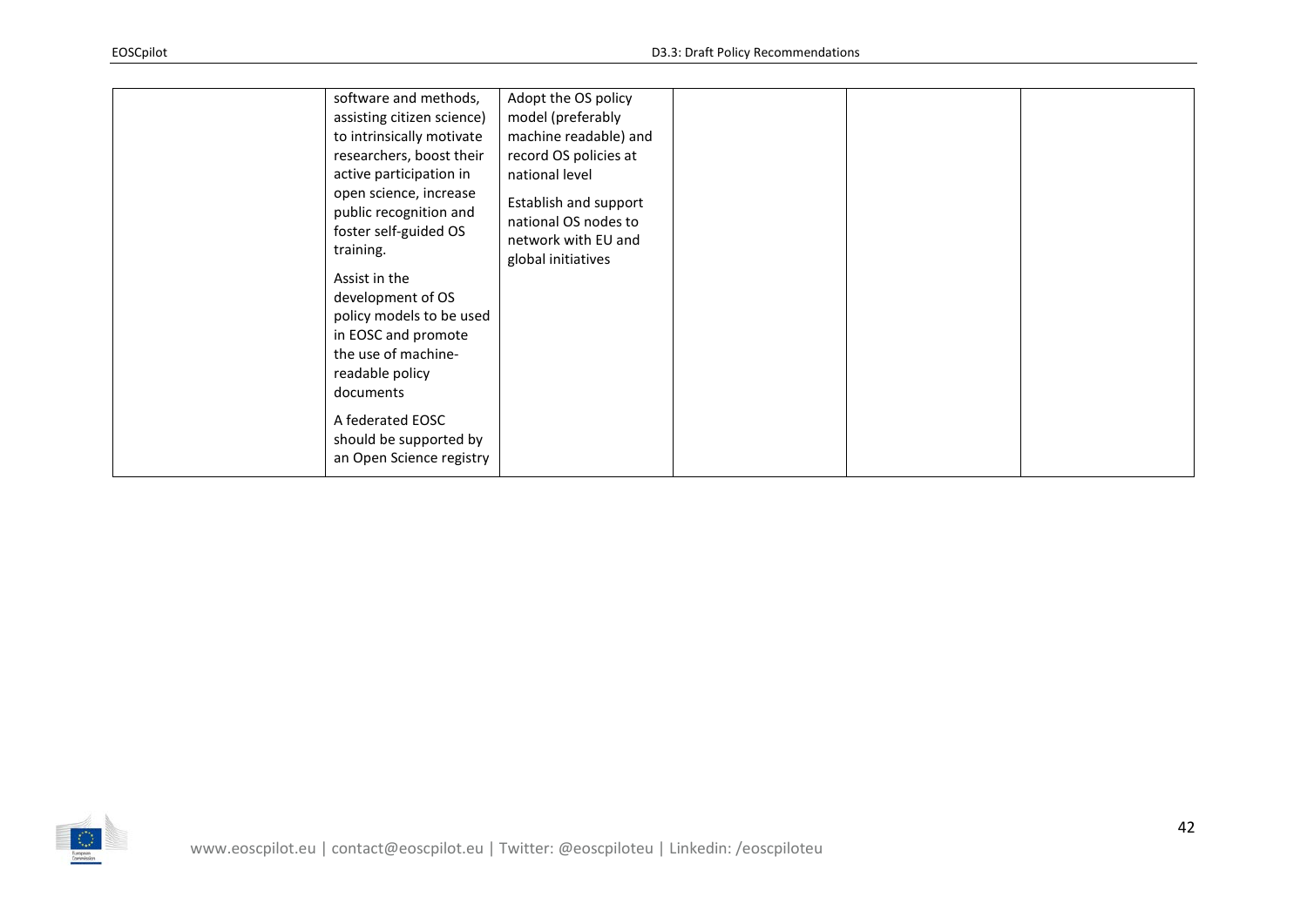| software and methods,<br>assisting citizen science)<br>to intrinsically motivate<br>researchers, boost their<br>active participation in<br>open science, increase<br>public recognition and<br>foster self-guided OS<br>training.<br>Assist in the<br>development of OS<br>policy models to be used<br>in EOSC and promote<br>the use of machine-<br>readable policy<br>documents<br>A federated EOSC<br>should be supported by<br>an Open Science registry | Adopt the OS policy<br>model (preferably<br>machine readable) and<br>record OS policies at<br>national level<br>Establish and support<br>national OS nodes to<br>network with EU and<br>global initiatives |  |  |  |
|-------------------------------------------------------------------------------------------------------------------------------------------------------------------------------------------------------------------------------------------------------------------------------------------------------------------------------------------------------------------------------------------------------------------------------------------------------------|------------------------------------------------------------------------------------------------------------------------------------------------------------------------------------------------------------|--|--|--|
|-------------------------------------------------------------------------------------------------------------------------------------------------------------------------------------------------------------------------------------------------------------------------------------------------------------------------------------------------------------------------------------------------------------------------------------------------------------|------------------------------------------------------------------------------------------------------------------------------------------------------------------------------------------------------------|--|--|--|

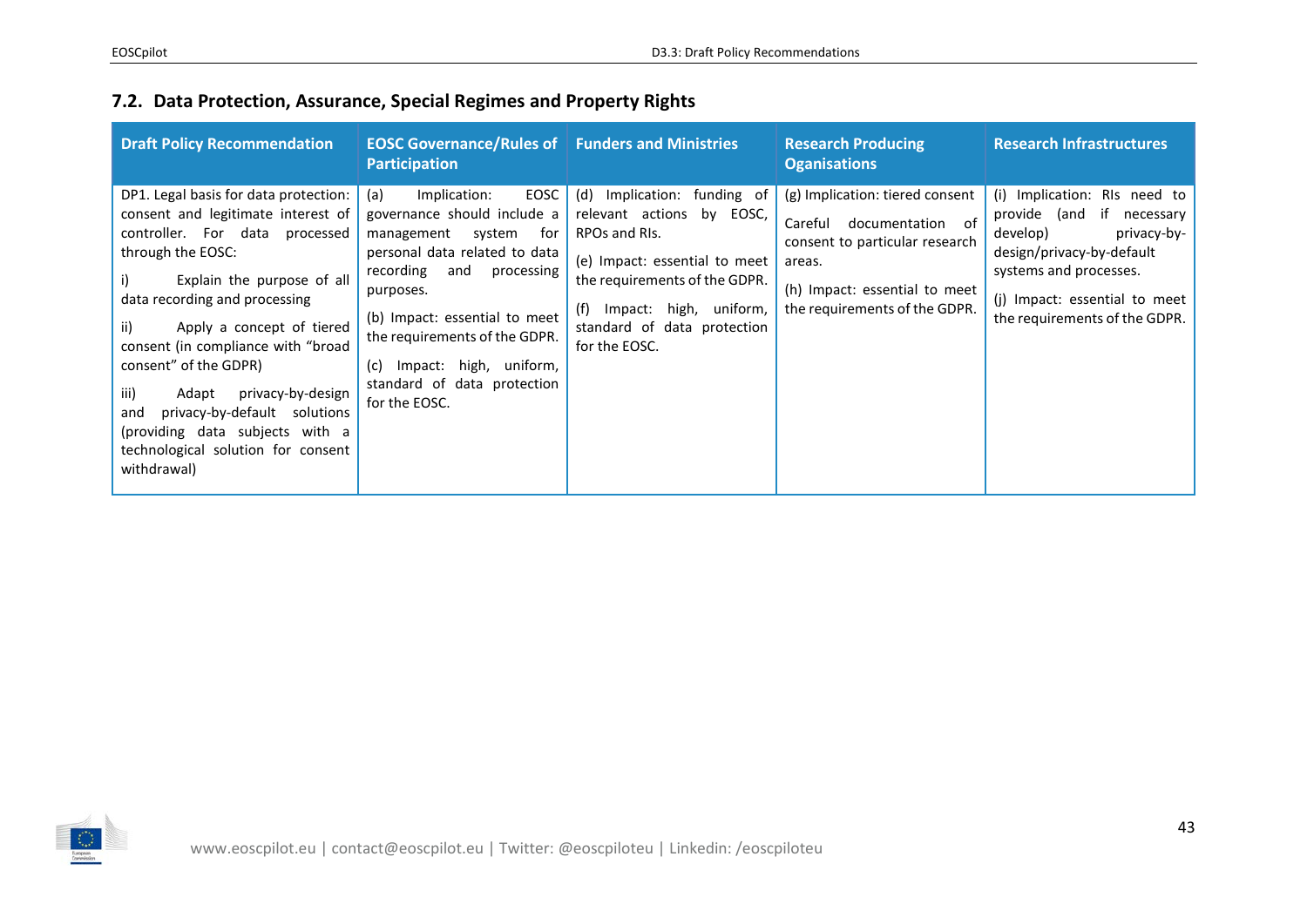## **7.2. Data Protection, Assurance, Special Regimes and Property Rights**

<span id="page-42-0"></span>

| <b>Draft Policy Recommendation</b>                                                                                                                                                                                                                                                                                                                                                                                                                                        | <b>EOSC Governance/Rules of Funders and Ministries</b><br><b>Participation</b>                                                                                                                                                                                                                                         |                                                                                                                                                                                                                                 | <b>Research Producing</b><br><b>Oganisations</b>                                                                                                                          | <b>Research Infrastructures</b>                                                                                                                                                                               |
|---------------------------------------------------------------------------------------------------------------------------------------------------------------------------------------------------------------------------------------------------------------------------------------------------------------------------------------------------------------------------------------------------------------------------------------------------------------------------|------------------------------------------------------------------------------------------------------------------------------------------------------------------------------------------------------------------------------------------------------------------------------------------------------------------------|---------------------------------------------------------------------------------------------------------------------------------------------------------------------------------------------------------------------------------|---------------------------------------------------------------------------------------------------------------------------------------------------------------------------|---------------------------------------------------------------------------------------------------------------------------------------------------------------------------------------------------------------|
| DP1. Legal basis for data protection:<br>consent and legitimate interest of<br>controller. For data processed<br>through the EOSC:<br>Explain the purpose of all<br>data recording and processing<br>ii)<br>Apply a concept of tiered<br>consent (in compliance with "broad<br>consent" of the GDPR)<br>iii)<br>privacy-by-design<br>Adapt<br>privacy-by-default solutions<br>and<br>(providing data subjects with a<br>technological solution for consent<br>withdrawal) | EOSC<br>(a)<br>Implication:<br>governance should include a<br>management system<br>for<br>personal data related to data<br>recording and<br>processing<br>purposes.<br>(b) Impact: essential to meet<br>the requirements of the GDPR.<br>Impact: high, uniform,<br>(c)<br>standard of data protection<br>for the EOSC. | (d) Implication: funding of<br>by EOSC,<br>relevant actions<br>RPOs and RIs.<br>(e) Impact: essential to meet<br>the requirements of the GDPR.<br>Impact: high, uniform,<br>(t)<br>standard of data protection<br>for the EOSC. | (g) Implication: tiered consent<br>Careful documentation of<br>consent to particular research<br>areas.<br>(h) Impact: essential to meet<br>the requirements of the GDPR. | (i) Implication: RIs need to<br>provide (and if necessary<br>privacy-by-<br>develop)<br>design/privacy-by-default<br>systems and processes.<br>(j) Impact: essential to meet<br>the requirements of the GDPR. |

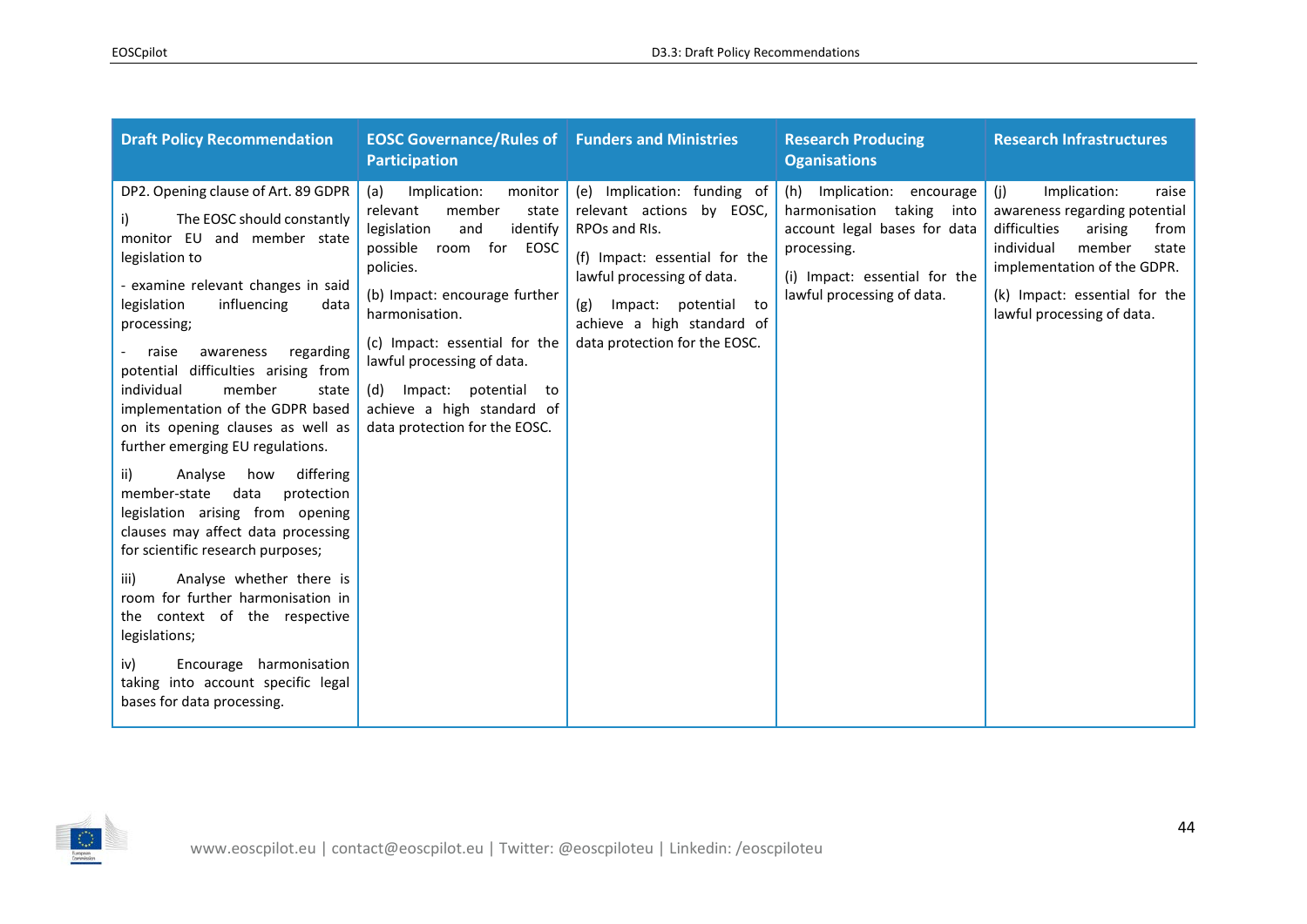| <b>Draft Policy Recommendation</b>                                                                                                                                                                                                                                                                                                                                                                                                                                                                                                                                                                                                                                                                                                                                                                                                                                      | <b>EOSC Governance/Rules of Funders and Ministries</b><br><b>Participation</b>                                                                                                                                                                                                                                                                               |                                                                                                                                                                                                                                        | <b>Research Producing</b><br><b>Oganisations</b>                                                                                                                      | <b>Research Infrastructures</b>                                                                                                                                                                                                 |
|-------------------------------------------------------------------------------------------------------------------------------------------------------------------------------------------------------------------------------------------------------------------------------------------------------------------------------------------------------------------------------------------------------------------------------------------------------------------------------------------------------------------------------------------------------------------------------------------------------------------------------------------------------------------------------------------------------------------------------------------------------------------------------------------------------------------------------------------------------------------------|--------------------------------------------------------------------------------------------------------------------------------------------------------------------------------------------------------------------------------------------------------------------------------------------------------------------------------------------------------------|----------------------------------------------------------------------------------------------------------------------------------------------------------------------------------------------------------------------------------------|-----------------------------------------------------------------------------------------------------------------------------------------------------------------------|---------------------------------------------------------------------------------------------------------------------------------------------------------------------------------------------------------------------------------|
| DP2. Opening clause of Art. 89 GDPR<br>The EOSC should constantly<br>i)<br>monitor EU and member state<br>legislation to<br>- examine relevant changes in said<br>legislation<br>influencing<br>data<br>processing;<br>raise<br>awareness<br>regarding<br>potential difficulties arising from<br>individual<br>member<br>state<br>implementation of the GDPR based<br>on its opening clauses as well as<br>further emerging EU regulations.<br>Analyse<br>differing<br>how<br>ii)<br>data<br>member-state<br>protection<br>legislation arising from opening<br>clauses may affect data processing<br>for scientific research purposes;<br>Analyse whether there is<br>iii)<br>room for further harmonisation in<br>the context of the respective<br>legislations;<br>Encourage harmonisation<br>iv)<br>taking into account specific legal<br>bases for data processing. | monitor<br>Implication:<br>(a)<br>member<br>relevant<br>state<br>legislation<br>and<br>identify<br>room for<br>possible<br>EOSC<br>policies.<br>(b) Impact: encourage further<br>harmonisation.<br>(c) Impact: essential for the<br>lawful processing of data.<br>Impact: potential to<br>(d)<br>achieve a high standard of<br>data protection for the EOSC. | (e) Implication: funding of<br>relevant actions by EOSC,<br>RPOs and RIs.<br>(f) Impact: essential for the<br>lawful processing of data.<br>Impact: potential to<br>(g)<br>achieve a high standard of<br>data protection for the EOSC. | (h) Implication: encourage<br>harmonisation taking into<br>account legal bases for data<br>processing.<br>(i) Impact: essential for the<br>lawful processing of data. | (i)<br>Implication:<br>raise<br>awareness regarding potential<br>difficulties<br>arising<br>from<br>member<br>individual<br>state<br>implementation of the GDPR.<br>(k) Impact: essential for the<br>lawful processing of data. |

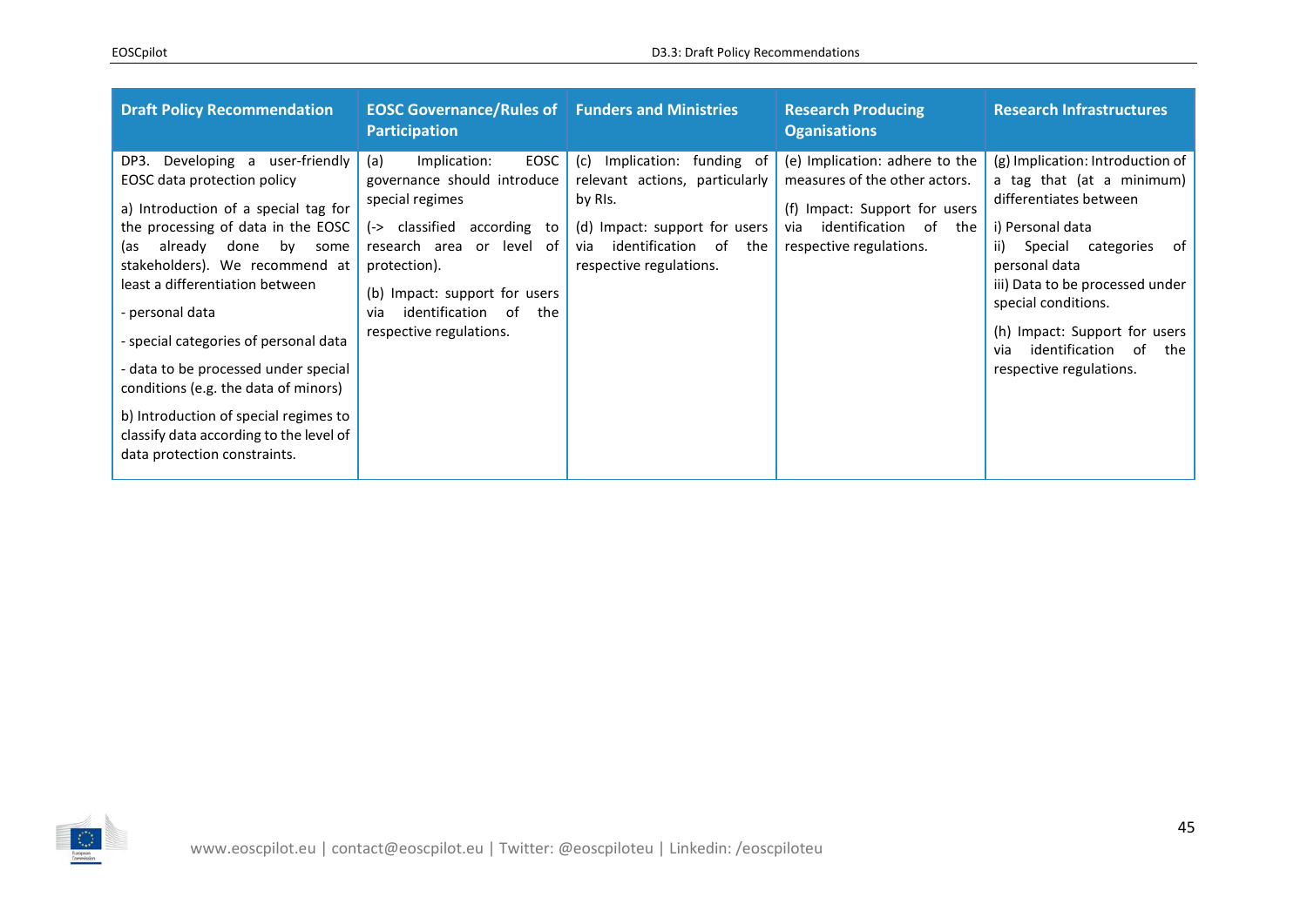| <b>Draft Policy Recommendation</b>                                                                                                                                                                                                                                                                                                                                                                                                                                                                                         | <b>EOSC Governance/Rules of Funders and Ministries</b><br><b>Participation</b>                                                                                                                                                                              |                                                                                                                                                                            | <b>Research Producing</b><br><b>Oganisations</b>                                                                                                               | <b>Research Infrastructures</b>                                                                                                                                                                                                                                                                                          |
|----------------------------------------------------------------------------------------------------------------------------------------------------------------------------------------------------------------------------------------------------------------------------------------------------------------------------------------------------------------------------------------------------------------------------------------------------------------------------------------------------------------------------|-------------------------------------------------------------------------------------------------------------------------------------------------------------------------------------------------------------------------------------------------------------|----------------------------------------------------------------------------------------------------------------------------------------------------------------------------|----------------------------------------------------------------------------------------------------------------------------------------------------------------|--------------------------------------------------------------------------------------------------------------------------------------------------------------------------------------------------------------------------------------------------------------------------------------------------------------------------|
| Developing a user-friendly<br>DP3.<br>EOSC data protection policy<br>a) Introduction of a special tag for<br>the processing of data in the EOSC<br>by some<br>already<br>done<br>las.<br>stakeholders). We recommend at<br>least a differentiation between<br>- personal data<br>- special categories of personal data<br>- data to be processed under special<br>conditions (e.g. the data of minors)<br>b) Introduction of special regimes to<br>classify data according to the level of<br>data protection constraints. | EOSC<br>(a)<br>Implication:<br>governance should introduce<br>special regimes<br>(-> classified<br>according to<br>research area or level of<br>protection).<br>(b) Impact: support for users<br>identification of<br>the<br>via<br>respective regulations. | Implication: funding of<br>(c)<br>relevant actions, particularly<br>by RIs.<br>(d) Impact: support for users<br>identification of<br>the<br>via<br>respective regulations. | (e) Implication: adhere to the<br>measures of the other actors.<br>(f) Impact: Support for users<br>identification of<br>via<br>the<br>respective regulations. | (g) Implication: Introduction of<br>a tag that (at a minimum)<br>differentiates between<br>i) Personal data<br>ii)<br>Special categories of<br>personal data<br>iii) Data to be processed under<br>special conditions.<br>(h) Impact: Support for users<br>identification<br>of<br>the<br>via<br>respective regulations. |

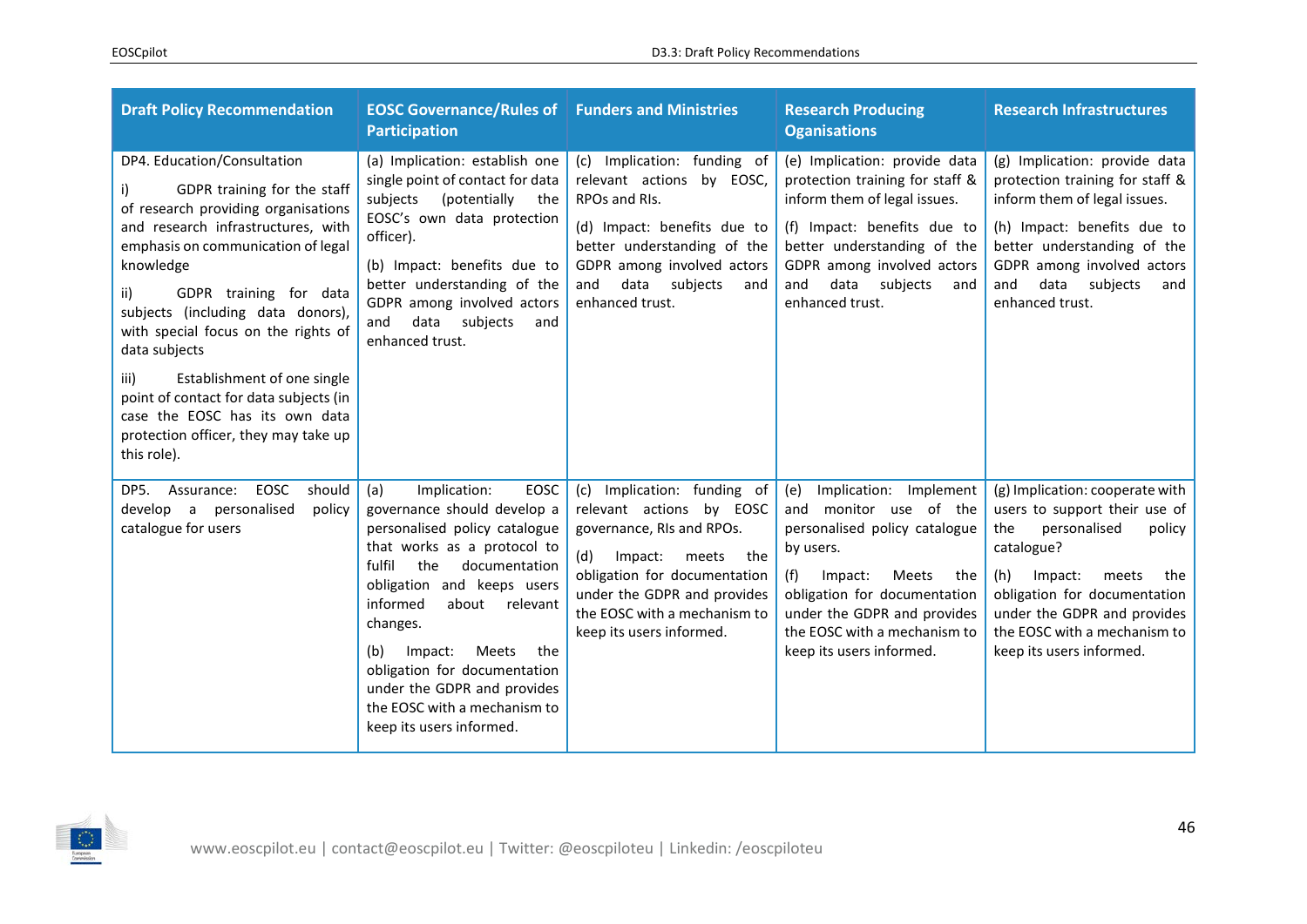| <b>Draft Policy Recommendation</b>                                                                                                                                                                                                                                                                                                                                                                                                                                                                 | <b>EOSC Governance/Rules of Funders and Ministries</b><br><b>Participation</b>                                                                                                                                                                                                                                                                                                                       |                                                                                                                                                                                                                                                   | <b>Research Producing</b><br><b>Oganisations</b>                                                                                                                                                                                                                   | <b>Research Infrastructures</b>                                                                                                                                                                                                                                              |
|----------------------------------------------------------------------------------------------------------------------------------------------------------------------------------------------------------------------------------------------------------------------------------------------------------------------------------------------------------------------------------------------------------------------------------------------------------------------------------------------------|------------------------------------------------------------------------------------------------------------------------------------------------------------------------------------------------------------------------------------------------------------------------------------------------------------------------------------------------------------------------------------------------------|---------------------------------------------------------------------------------------------------------------------------------------------------------------------------------------------------------------------------------------------------|--------------------------------------------------------------------------------------------------------------------------------------------------------------------------------------------------------------------------------------------------------------------|------------------------------------------------------------------------------------------------------------------------------------------------------------------------------------------------------------------------------------------------------------------------------|
| DP4. Education/Consultation<br>GDPR training for the staff<br>of research providing organisations<br>and research infrastructures, with<br>emphasis on communication of legal<br>knowledge<br>GDPR training for data<br>ii)<br>subjects (including data donors),<br>with special focus on the rights of<br>data subjects<br>Establishment of one single<br>iii)<br>point of contact for data subjects (in<br>case the EOSC has its own data<br>protection officer, they may take up<br>this role). | (a) Implication: establish one<br>single point of contact for data<br>(potentially<br>subjects<br>the<br>EOSC's own data protection<br>officer).<br>(b) Impact: benefits due to<br>better understanding of the<br>GDPR among involved actors<br>data<br>subjects<br>and<br>and<br>enhanced trust.                                                                                                    | (c) Implication: funding of<br>relevant actions by EOSC,<br>RPOs and RIs.<br>(d) Impact: benefits due to<br>better understanding of the<br>GDPR among involved actors<br>data subjects<br>and<br>and<br>enhanced trust.                           | (e) Implication: provide data<br>protection training for staff &<br>inform them of legal issues.<br>(f) Impact: benefits due to<br>better understanding of the<br>GDPR among involved actors<br>data subjects<br>and<br>and<br>enhanced trust.                     | (g) Implication: provide data<br>protection training for staff &<br>inform them of legal issues.<br>(h) Impact: benefits due to<br>better understanding of the<br>GDPR among involved actors<br>data subjects<br>and<br>and<br>enhanced trust.                               |
| EOSC<br>should<br>DP5.<br>Assurance:<br>personalised<br>policy<br>develop a<br>catalogue for users                                                                                                                                                                                                                                                                                                                                                                                                 | Implication:<br>(a)<br>EOSC<br>governance should develop a<br>personalised policy catalogue<br>that works as a protocol to<br>fulfil<br>the<br>documentation<br>obligation and keeps users<br>informed<br>about<br>relevant<br>changes.<br>Meets<br>the<br>(b)<br>Impact:<br>obligation for documentation<br>under the GDPR and provides<br>the EOSC with a mechanism to<br>keep its users informed. | (c) Implication: funding of<br>relevant actions by EOSC<br>governance, RIs and RPOs.<br>Impact:<br>(d)<br>meets<br>the<br>obligation for documentation<br>under the GDPR and provides<br>the EOSC with a mechanism to<br>keep its users informed. | Implication: Implement<br>(e)<br>and monitor use of the<br>personalised policy catalogue<br>by users.<br>(f)<br>Meets<br>Impact:<br>the<br>obligation for documentation<br>under the GDPR and provides<br>the EOSC with a mechanism to<br>keep its users informed. | (g) Implication: cooperate with<br>users to support their use of<br>personalised<br>the<br>policy<br>catalogue?<br>(h)<br>Impact:<br>meets<br>the<br>obligation for documentation<br>under the GDPR and provides<br>the EOSC with a mechanism to<br>keep its users informed. |

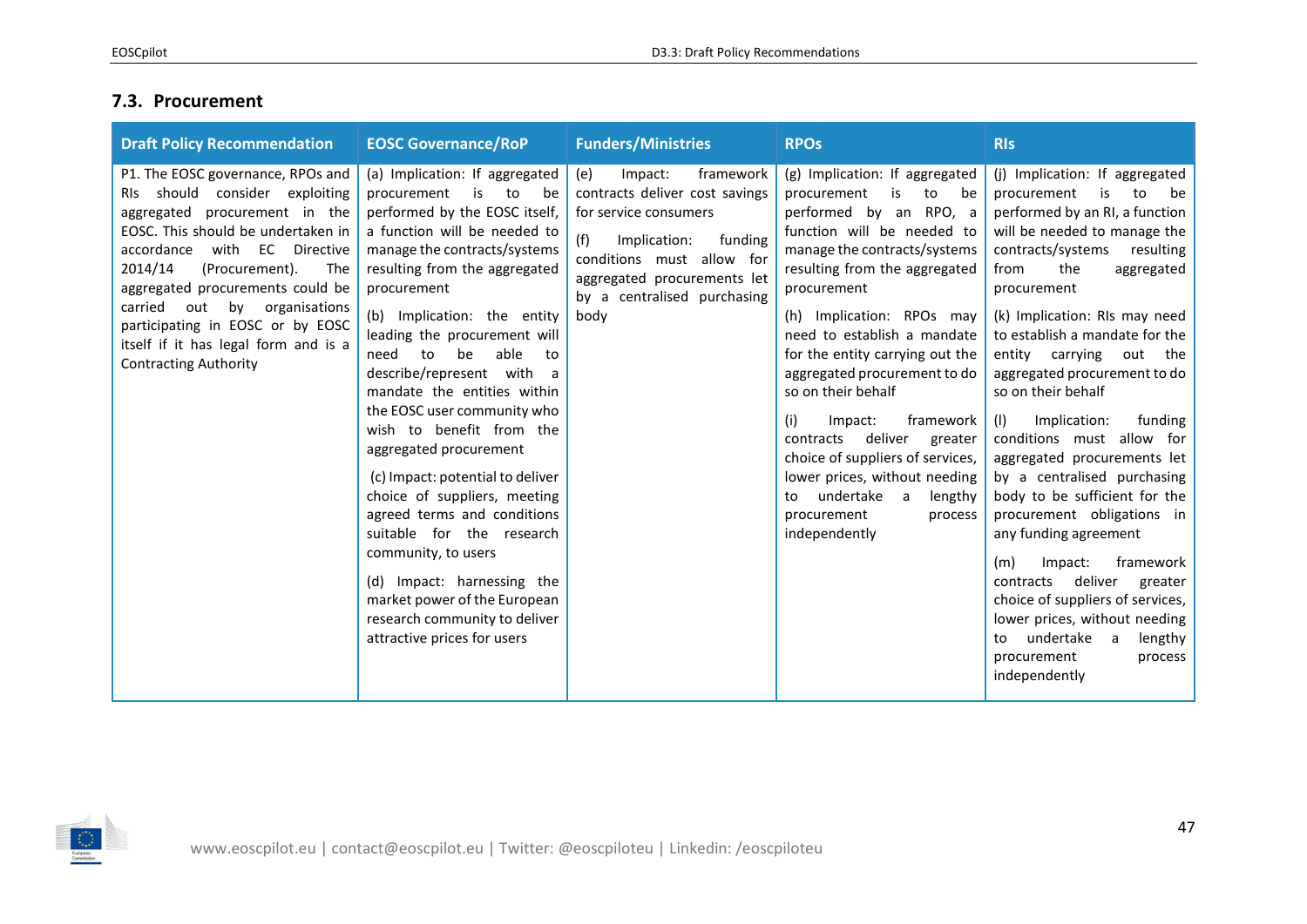## **7.3. Procurement**

<span id="page-46-0"></span>

| <b>Draft Policy Recommendation</b>                                                                                                                                                                                                                                                                                                                                                                          | <b>EOSC Governance/RoP</b>                                                                                                                                                                                                                                                                                                                                                                                                                                                                                                                                                                                                                                                                                                                              | <b>Funders/Ministries</b>                                                                                                                                                                                                   | <b>RPOs</b>                                                                                                                                                                                                                                                                                                                                                                                                                                                                                                                                                                    | <b>RIs</b>                                                                                                                                                                                                                                                                                                                                                                                                                                                                                                                                                                                                                                                                                                                                                                                                    |
|-------------------------------------------------------------------------------------------------------------------------------------------------------------------------------------------------------------------------------------------------------------------------------------------------------------------------------------------------------------------------------------------------------------|---------------------------------------------------------------------------------------------------------------------------------------------------------------------------------------------------------------------------------------------------------------------------------------------------------------------------------------------------------------------------------------------------------------------------------------------------------------------------------------------------------------------------------------------------------------------------------------------------------------------------------------------------------------------------------------------------------------------------------------------------------|-----------------------------------------------------------------------------------------------------------------------------------------------------------------------------------------------------------------------------|--------------------------------------------------------------------------------------------------------------------------------------------------------------------------------------------------------------------------------------------------------------------------------------------------------------------------------------------------------------------------------------------------------------------------------------------------------------------------------------------------------------------------------------------------------------------------------|---------------------------------------------------------------------------------------------------------------------------------------------------------------------------------------------------------------------------------------------------------------------------------------------------------------------------------------------------------------------------------------------------------------------------------------------------------------------------------------------------------------------------------------------------------------------------------------------------------------------------------------------------------------------------------------------------------------------------------------------------------------------------------------------------------------|
| P1. The EOSC governance, RPOs and<br>should consider exploiting<br>RIs.<br>aggregated procurement in the<br>EOSC. This should be undertaken in<br>with EC Directive<br>accordance<br>2014/14<br>(Procurement).<br>The<br>aggregated procurements could be<br>by organisations<br>carried<br>out<br>participating in EOSC or by EOSC<br>itself if it has legal form and is a<br><b>Contracting Authority</b> | (a) Implication: If aggregated<br>is<br>to<br>procurement<br>be<br>performed by the EOSC itself,<br>a function will be needed to<br>manage the contracts/systems<br>resulting from the aggregated<br>procurement<br>(b) Implication: the entity<br>leading the procurement will<br>able<br>need<br>be<br>to<br>to<br>describe/represent with a<br>mandate the entities within<br>the EOSC user community who<br>wish to benefit from the<br>aggregated procurement<br>(c) Impact: potential to deliver<br>choice of suppliers, meeting<br>agreed terms and conditions<br>suitable for the research<br>community, to users<br>(d) Impact: harnessing the<br>market power of the European<br>research community to deliver<br>attractive prices for users | framework<br>(e)<br>Impact:<br>contracts deliver cost savings<br>for service consumers<br>(f)<br>Implication:<br>funding<br>conditions must allow for<br>aggregated procurements let<br>by a centralised purchasing<br>body | (g) Implication: If aggregated<br>is<br>to<br>be<br>procurement<br>performed by an RPO, a<br>function will be needed to<br>manage the contracts/systems<br>resulting from the aggregated<br>procurement<br>(h) Implication: RPOs may<br>need to establish a mandate<br>for the entity carrying out the<br>aggregated procurement to do<br>so on their behalf<br>framework<br>(i)<br>Impact:<br>deliver<br>contracts<br>greater<br>choice of suppliers of services,<br>lower prices, without needing<br>undertake a<br>lengthy<br>to<br>procurement<br>process<br>independently | (j) Implication: If aggregated<br>is<br>procurement<br>to<br>be<br>performed by an RI, a function<br>will be needed to manage the<br>contracts/systems<br>resulting<br>the<br>from<br>aggregated<br>procurement<br>(k) Implication: RIs may need<br>to establish a mandate for the<br>entity carrying out the<br>aggregated procurement to do<br>so on their behalf<br>Implication:<br>funding<br>(1)<br>conditions must allow for<br>aggregated procurements let<br>by a centralised purchasing<br>body to be sufficient for the<br>procurement obligations in<br>any funding agreement<br>framework<br>(m)<br>Impact:<br>deliver<br>contracts<br>greater<br>choice of suppliers of services,<br>lower prices, without needing<br>undertake<br>lengthy<br>a<br>to<br>procurement<br>process<br>independently |

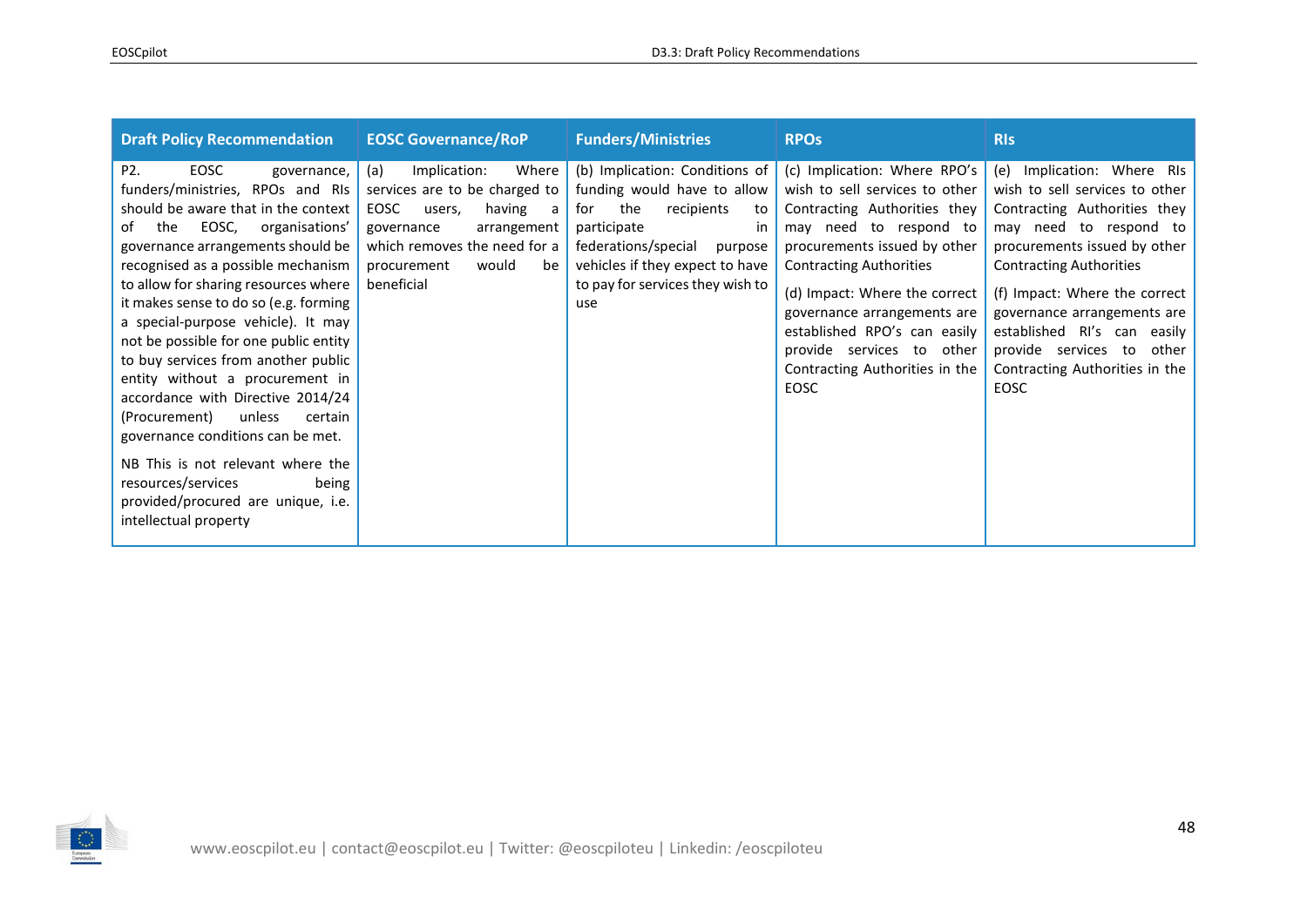| <b>Draft Policy Recommendation</b>                                                                                                                                                                                                                                                                                                                                                                                                                                                                                                                                                                                                                                                                                               | <b>EOSC Governance/RoP</b>                                                                                                                                                                              | <b>Funders/Ministries</b>                                                                                                                                                                                                                       | <b>RPO<sub>s</sub></b>                                                                                                                                                                                                                                                                                                                                            | <b>RIS</b>                                                                                                                                                                                                                                                                                                                                                           |
|----------------------------------------------------------------------------------------------------------------------------------------------------------------------------------------------------------------------------------------------------------------------------------------------------------------------------------------------------------------------------------------------------------------------------------------------------------------------------------------------------------------------------------------------------------------------------------------------------------------------------------------------------------------------------------------------------------------------------------|---------------------------------------------------------------------------------------------------------------------------------------------------------------------------------------------------------|-------------------------------------------------------------------------------------------------------------------------------------------------------------------------------------------------------------------------------------------------|-------------------------------------------------------------------------------------------------------------------------------------------------------------------------------------------------------------------------------------------------------------------------------------------------------------------------------------------------------------------|----------------------------------------------------------------------------------------------------------------------------------------------------------------------------------------------------------------------------------------------------------------------------------------------------------------------------------------------------------------------|
| P <sub>2</sub><br>EOSC<br>governance,<br>funders/ministries, RPOs and RIs<br>should be aware that in the context<br>EOSC,<br>organisations'<br>of<br>the<br>governance arrangements should be<br>recognised as a possible mechanism<br>to allow for sharing resources where<br>it makes sense to do so (e.g. forming<br>a special-purpose vehicle). It may<br>not be possible for one public entity<br>to buy services from another public<br>entity without a procurement in<br>accordance with Directive 2014/24<br>(Procurement)<br>unless<br>certain<br>governance conditions can be met.<br>NB This is not relevant where the<br>resources/services<br>being<br>provided/procured are unique, i.e.<br>intellectual property | Implication:<br>Where<br>(a)<br>services are to be charged to<br>EOSC<br>having<br>users,<br>a<br>arrangement<br>governance<br>which removes the need for a<br>would<br>procurement<br>be<br>beneficial | (b) Implication: Conditions of<br>funding would have to allow<br>the<br>for<br>recipients<br>to<br>participate<br><sub>in</sub><br>federations/special<br>purpose<br>vehicles if they expect to have<br>to pay for services they wish to<br>use | (c) Implication: Where RPO's<br>wish to sell services to other<br>Contracting Authorities they<br>may need to respond to<br>procurements issued by other<br><b>Contracting Authorities</b><br>(d) Impact: Where the correct<br>governance arrangements are<br>established RPO's can easily<br>provide services to other<br>Contracting Authorities in the<br>EOSC | (e) Implication: Where RIs<br>wish to sell services to other<br>Contracting Authorities they<br>may need to respond to<br>procurements issued by other<br><b>Contracting Authorities</b><br>(f) Impact: Where the correct<br>governance arrangements are<br>established RI's can easily<br>provide services<br>to<br>other<br>Contracting Authorities in the<br>EOSC |

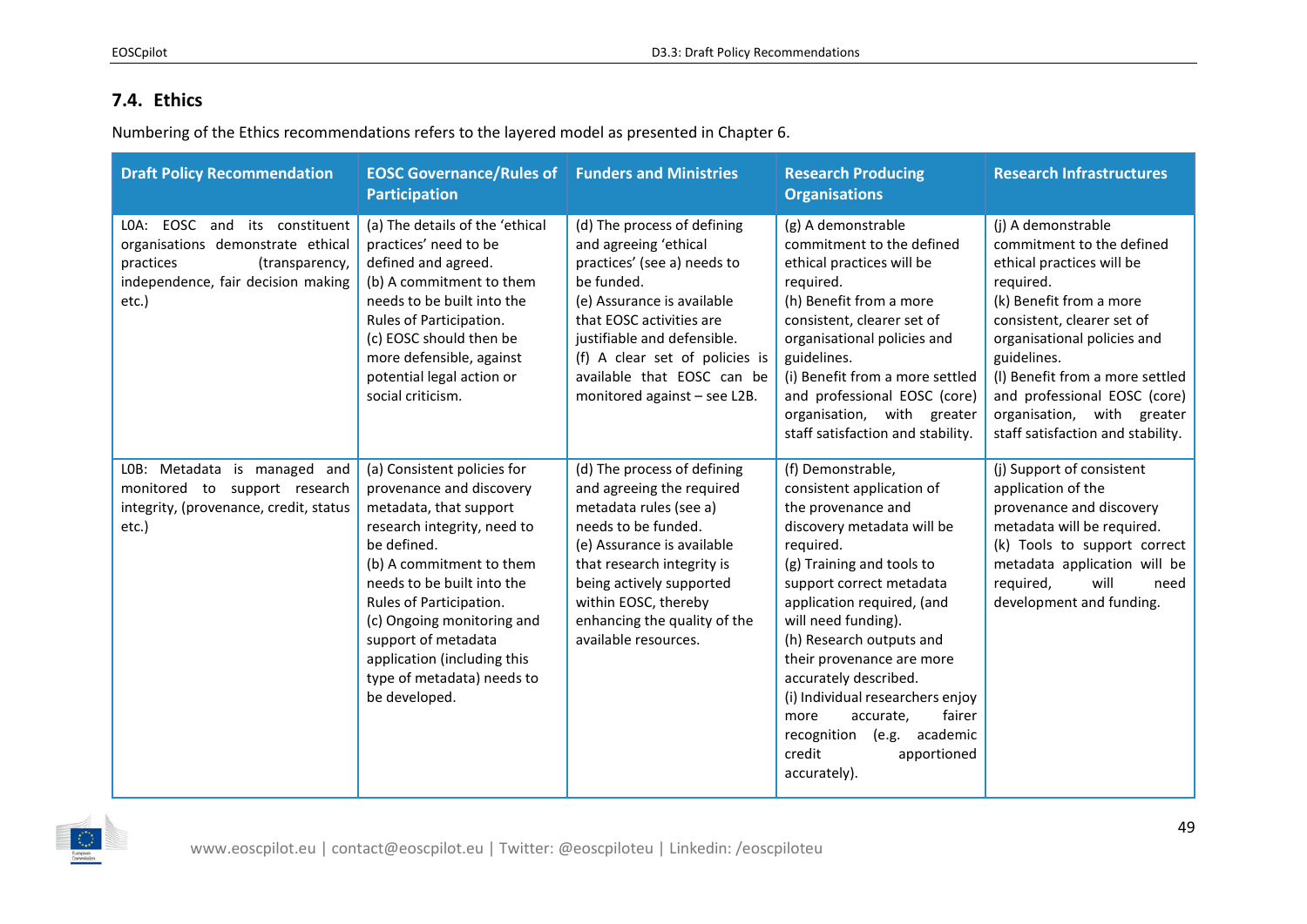## **7.4. Ethics**

Numbering of the Ethics recommendations refers to the layered model as presented in Chapter 6.

<span id="page-48-0"></span>

| <b>Draft Policy Recommendation</b>                                                                                                               | <b>EOSC Governance/Rules of Funders and Ministries</b><br><b>Participation</b>                                                                                                                                                                                                                                                                          |                                                                                                                                                                                                                                                                                            | <b>Research Producing</b><br><b>Organisations</b>                                                                                                                                                                                                                                                                                                                                                                                                            | <b>Research Infrastructures</b>                                                                                                                                                                                                                                                                                                        |
|--------------------------------------------------------------------------------------------------------------------------------------------------|---------------------------------------------------------------------------------------------------------------------------------------------------------------------------------------------------------------------------------------------------------------------------------------------------------------------------------------------------------|--------------------------------------------------------------------------------------------------------------------------------------------------------------------------------------------------------------------------------------------------------------------------------------------|--------------------------------------------------------------------------------------------------------------------------------------------------------------------------------------------------------------------------------------------------------------------------------------------------------------------------------------------------------------------------------------------------------------------------------------------------------------|----------------------------------------------------------------------------------------------------------------------------------------------------------------------------------------------------------------------------------------------------------------------------------------------------------------------------------------|
| LOA: EOSC and its constituent<br>organisations demonstrate ethical<br>practices<br>(transparency,<br>independence, fair decision making<br>etc.) | (a) The details of the 'ethical<br>practices' need to be<br>defined and agreed.<br>(b) A commitment to them<br>needs to be built into the<br>Rules of Participation.<br>(c) EOSC should then be<br>more defensible, against<br>potential legal action or<br>social criticism.                                                                           | (d) The process of defining<br>and agreeing 'ethical<br>practices' (see a) needs to<br>be funded.<br>(e) Assurance is available<br>that EOSC activities are<br>justifiable and defensible.<br>(f) A clear set of policies is<br>available that EOSC can be<br>monitored against - see L2B. | (g) A demonstrable<br>commitment to the defined<br>ethical practices will be<br>required.<br>(h) Benefit from a more<br>consistent, clearer set of<br>organisational policies and<br>guidelines.<br>(i) Benefit from a more settled<br>and professional EOSC (core)<br>organisation, with greater<br>staff satisfaction and stability.                                                                                                                       | (j) A demonstrable<br>commitment to the defined<br>ethical practices will be<br>required.<br>(k) Benefit from a more<br>consistent, clearer set of<br>organisational policies and<br>guidelines.<br>(I) Benefit from a more settled<br>and professional EOSC (core)<br>organisation, with greater<br>staff satisfaction and stability. |
| LOB: Metadata is managed and<br>monitored to support research<br>integrity, (provenance, credit, status<br>etc.)                                 | (a) Consistent policies for<br>provenance and discovery<br>metadata, that support<br>research integrity, need to<br>be defined.<br>(b) A commitment to them<br>needs to be built into the<br>Rules of Participation.<br>(c) Ongoing monitoring and<br>support of metadata<br>application (including this<br>type of metadata) needs to<br>be developed. | (d) The process of defining<br>and agreeing the required<br>metadata rules (see a)<br>needs to be funded.<br>(e) Assurance is available<br>that research integrity is<br>being actively supported<br>within EOSC, thereby<br>enhancing the quality of the<br>available resources.          | (f) Demonstrable,<br>consistent application of<br>the provenance and<br>discovery metadata will be<br>required.<br>(g) Training and tools to<br>support correct metadata<br>application required, (and<br>will need funding).<br>(h) Research outputs and<br>their provenance are more<br>accurately described.<br>(i) Individual researchers enjoy<br>accurate,<br>fairer<br>more<br>(e.g. academic<br>recognition<br>credit<br>apportioned<br>accurately). | (j) Support of consistent<br>application of the<br>provenance and discovery<br>metadata will be required.<br>(k) Tools to support correct<br>metadata application will be<br>will<br>required,<br>need<br>development and funding.                                                                                                     |

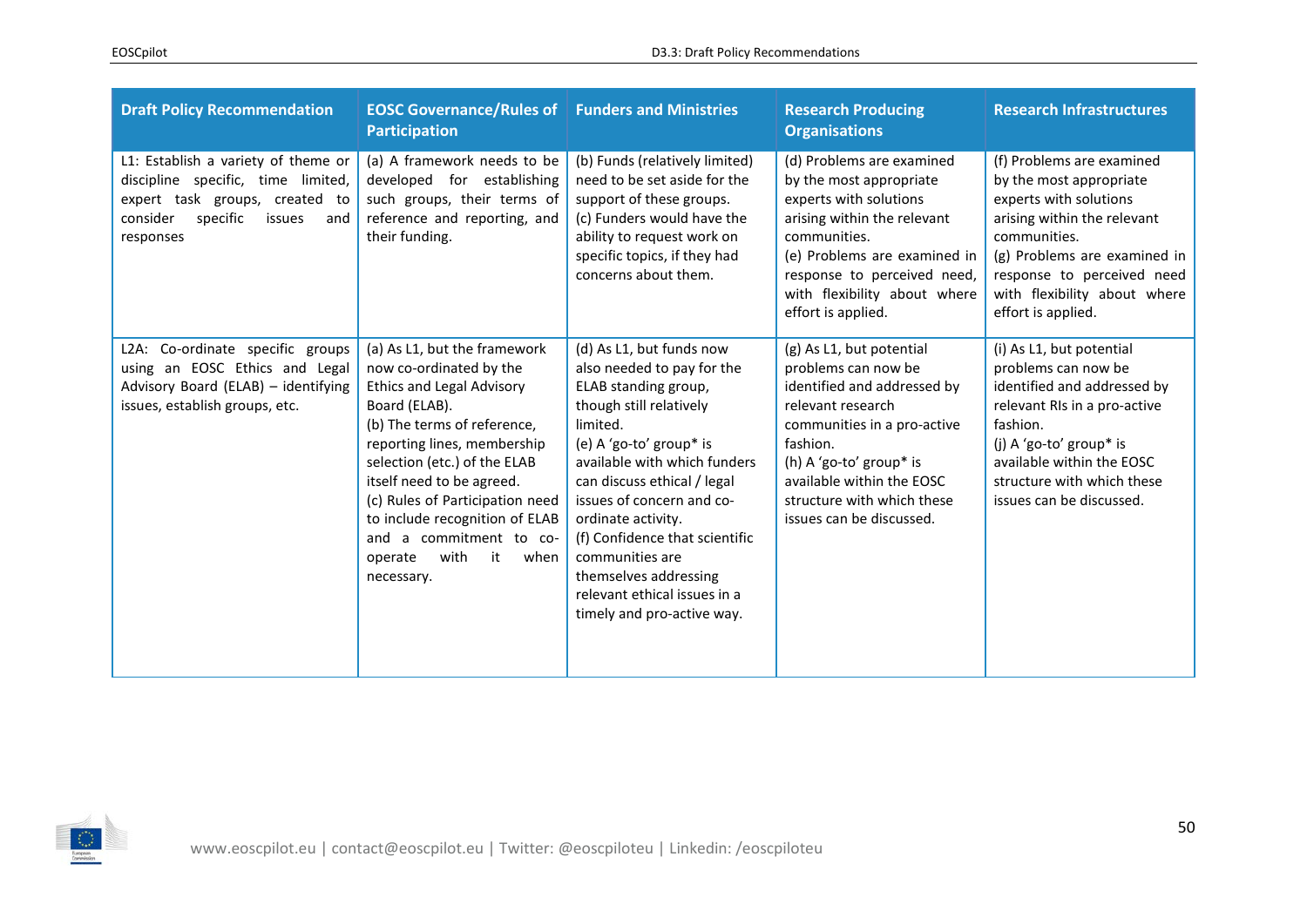| <b>Draft Policy Recommendation</b>                                                                                                                                | <b>EOSC Governance/Rules of Funders and Ministries</b><br><b>Participation</b>                                                                                                                                                                                                                                                                                                         |                                                                                                                                                                                                                                                                                                                                                                                                                | <b>Research Producing</b><br><b>Organisations</b>                                                                                                                                                                                                                | <b>Research Infrastructures</b>                                                                                                                                                                                                                   |
|-------------------------------------------------------------------------------------------------------------------------------------------------------------------|----------------------------------------------------------------------------------------------------------------------------------------------------------------------------------------------------------------------------------------------------------------------------------------------------------------------------------------------------------------------------------------|----------------------------------------------------------------------------------------------------------------------------------------------------------------------------------------------------------------------------------------------------------------------------------------------------------------------------------------------------------------------------------------------------------------|------------------------------------------------------------------------------------------------------------------------------------------------------------------------------------------------------------------------------------------------------------------|---------------------------------------------------------------------------------------------------------------------------------------------------------------------------------------------------------------------------------------------------|
| L1: Establish a variety of theme or<br>discipline specific, time limited,<br>expert task groups, created to<br>specific<br>consider<br>issues<br>and<br>responses | (a) A framework needs to be<br>developed for establishing<br>such groups, their terms of<br>reference and reporting, and<br>their funding.                                                                                                                                                                                                                                             | (b) Funds (relatively limited)<br>need to be set aside for the<br>support of these groups.<br>(c) Funders would have the<br>ability to request work on<br>specific topics, if they had<br>concerns about them.                                                                                                                                                                                                 | (d) Problems are examined<br>by the most appropriate<br>experts with solutions<br>arising within the relevant<br>communities.<br>(e) Problems are examined in<br>response to perceived need,<br>with flexibility about where<br>effort is applied.               | (f) Problems are examined<br>by the most appropriate<br>experts with solutions<br>arising within the relevant<br>communities.<br>(g) Problems are examined in<br>response to perceived need<br>with flexibility about where<br>effort is applied. |
| L2A: Co-ordinate specific groups<br>using an EOSC Ethics and Legal<br>Advisory Board (ELAB) - identifying<br>issues, establish groups, etc.                       | (a) As L1, but the framework<br>now co-ordinated by the<br><b>Ethics and Legal Advisory</b><br>Board (ELAB).<br>(b) The terms of reference,<br>reporting lines, membership<br>selection (etc.) of the ELAB<br>itself need to be agreed.<br>(c) Rules of Participation need<br>to include recognition of ELAB<br>and a commitment to co-<br>with<br>it<br>operate<br>when<br>necessary. | (d) As L1, but funds now<br>also needed to pay for the<br>ELAB standing group,<br>though still relatively<br>limited.<br>(e) A 'go-to' group* is<br>available with which funders<br>can discuss ethical / legal<br>issues of concern and co-<br>ordinate activity.<br>(f) Confidence that scientific<br>communities are<br>themselves addressing<br>relevant ethical issues in a<br>timely and pro-active way. | (g) As L1, but potential<br>problems can now be<br>identified and addressed by<br>relevant research<br>communities in a pro-active<br>fashion.<br>(h) A 'go-to' group* is<br>available within the EOSC<br>structure with which these<br>issues can be discussed. | (i) As L1, but potential<br>problems can now be<br>identified and addressed by<br>relevant RIs in a pro-active<br>fashion.<br>(j) A 'go-to' group* is<br>available within the EOSC<br>structure with which these<br>issues can be discussed.      |

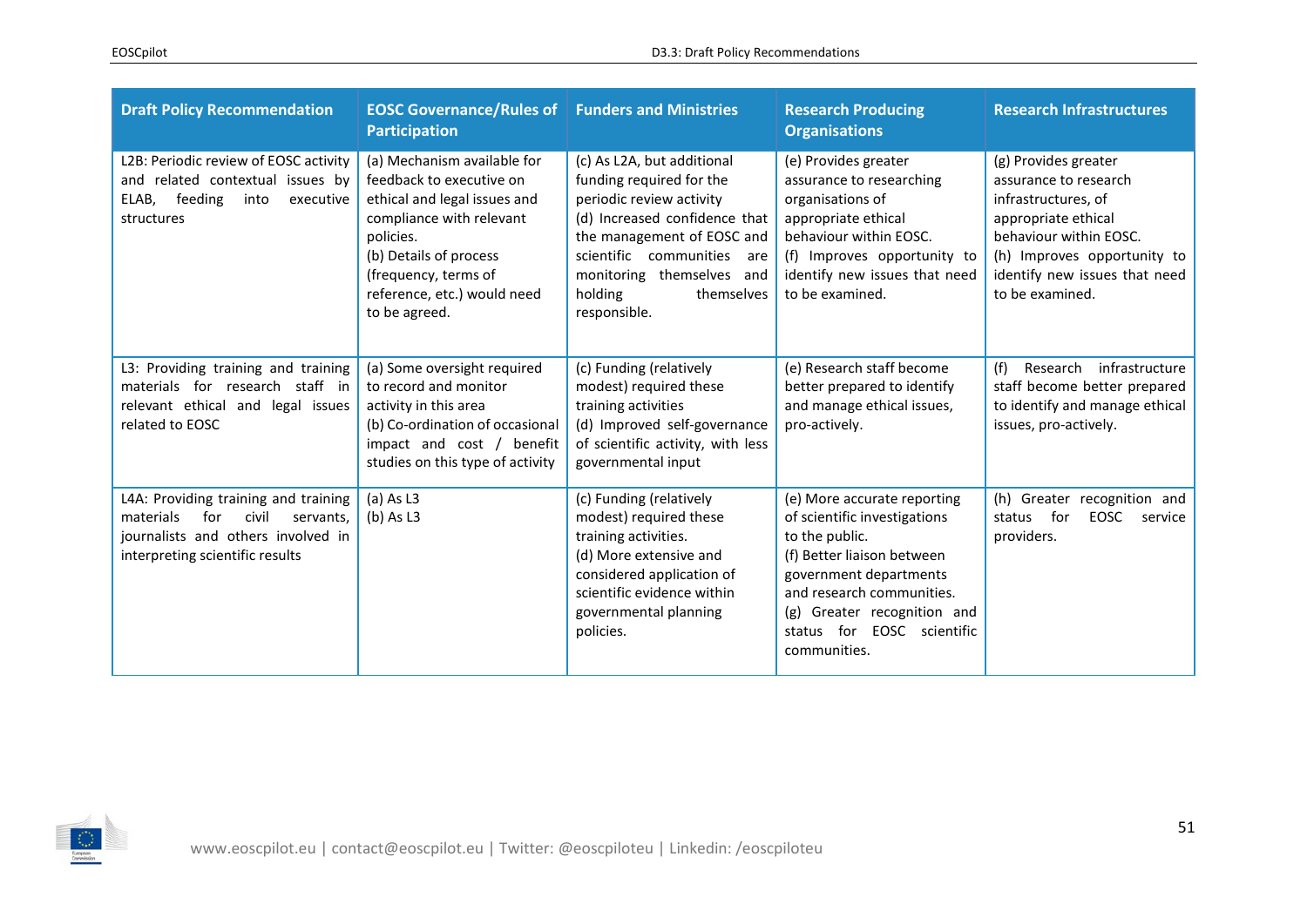| <b>Draft Policy Recommendation</b>                                                                                                                      | <b>EOSC Governance/Rules of</b><br><b>Participation</b>                                                                                                                                                                            | <b>Funders and Ministries</b>                                                                                                                                                                                                                         | <b>Research Producing</b><br><b>Organisations</b>                                                                                                                                                                                               | <b>Research Infrastructures</b>                                                                                                                                                                          |
|---------------------------------------------------------------------------------------------------------------------------------------------------------|------------------------------------------------------------------------------------------------------------------------------------------------------------------------------------------------------------------------------------|-------------------------------------------------------------------------------------------------------------------------------------------------------------------------------------------------------------------------------------------------------|-------------------------------------------------------------------------------------------------------------------------------------------------------------------------------------------------------------------------------------------------|----------------------------------------------------------------------------------------------------------------------------------------------------------------------------------------------------------|
| L2B: Periodic review of EOSC activity<br>and related contextual issues by<br>ELAB,<br>feeding<br>into<br>executive<br>structures                        | (a) Mechanism available for<br>feedback to executive on<br>ethical and legal issues and<br>compliance with relevant<br>policies.<br>(b) Details of process<br>(frequency, terms of<br>reference, etc.) would need<br>to be agreed. | (c) As L2A, but additional<br>funding required for the<br>periodic review activity<br>(d) Increased confidence that<br>the management of EOSC and<br>scientific communities are<br>monitoring themselves and<br>holding<br>themselves<br>responsible. | (e) Provides greater<br>assurance to researching<br>organisations of<br>appropriate ethical<br>behaviour within EOSC.<br>(f) Improves opportunity to<br>identify new issues that need<br>to be examined.                                        | (g) Provides greater<br>assurance to research<br>infrastructures, of<br>appropriate ethical<br>behaviour within EOSC.<br>(h) Improves opportunity to<br>identify new issues that need<br>to be examined. |
| L3: Providing training and training<br>materials for research staff in<br>relevant ethical and legal issues<br>related to EOSC                          | (a) Some oversight required<br>to record and monitor<br>activity in this area<br>(b) Co-ordination of occasional<br>impact and cost / benefit<br>studies on this type of activity                                                  | (c) Funding (relatively<br>modest) required these<br>training activities<br>(d) Improved self-governance<br>of scientific activity, with less<br>governmental input                                                                                   | (e) Research staff become<br>better prepared to identify<br>and manage ethical issues,<br>pro-actively.                                                                                                                                         | Research infrastructure<br>(f)<br>staff become better prepared<br>to identify and manage ethical<br>issues, pro-actively.                                                                                |
| L4A: Providing training and training<br>materials<br>for<br>civil<br>servants.<br>journalists and others involved in<br>interpreting scientific results | $(a)$ As L3<br>$(b)$ As L3                                                                                                                                                                                                         | (c) Funding (relatively<br>modest) required these<br>training activities.<br>(d) More extensive and<br>considered application of<br>scientific evidence within<br>governmental planning<br>policies.                                                  | (e) More accurate reporting<br>of scientific investigations<br>to the public.<br>(f) Better liaison between<br>government departments<br>and research communities.<br>(g) Greater recognition and<br>status for EOSC scientific<br>communities. | (h)<br>Greater recognition and<br>for<br>EOSC<br>status<br>service<br>providers.                                                                                                                         |

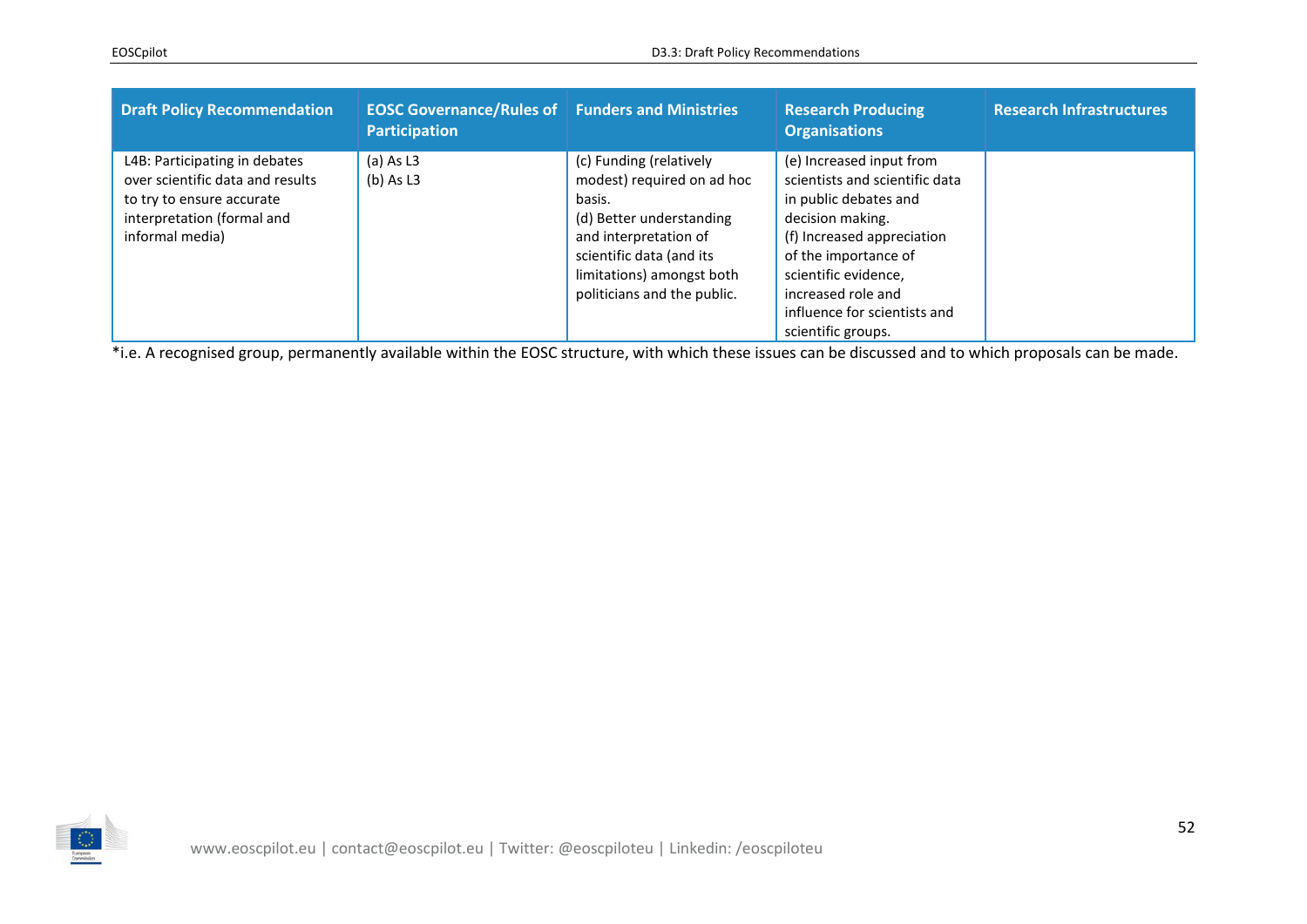| <b>Draft Policy Recommendation</b>                                                                                                              | <b>EOSC Governance/Rules of Funders and Ministries</b><br><b>Participation</b> |                                                                                                                                                                                                              | <b>Research Producing</b><br><b>Organisations</b>                                                                                                                                                                                           | <b>Research Infrastructures</b> |
|-------------------------------------------------------------------------------------------------------------------------------------------------|--------------------------------------------------------------------------------|--------------------------------------------------------------------------------------------------------------------------------------------------------------------------------------------------------------|---------------------------------------------------------------------------------------------------------------------------------------------------------------------------------------------------------------------------------------------|---------------------------------|
| L4B: Participating in debates<br>over scientific data and results<br>to try to ensure accurate<br>interpretation (formal and<br>informal media) | $(a)$ As L3<br>$(b)$ As L3                                                     | (c) Funding (relatively<br>modest) required on ad hoc<br>basis.<br>(d) Better understanding<br>and interpretation of<br>scientific data (and its<br>limitations) amongst both<br>politicians and the public. | (e) Increased input from<br>scientists and scientific data<br>in public debates and<br>decision making.<br>(f) Increased appreciation<br>of the importance of<br>scientific evidence,<br>increased role and<br>influence for scientists and |                                 |
|                                                                                                                                                 |                                                                                |                                                                                                                                                                                                              | scientific groups.                                                                                                                                                                                                                          |                                 |

\*i.e. A recognised group, permanently available within the EOSC structure, with which these issues can be discussed and to which proposals can be made.

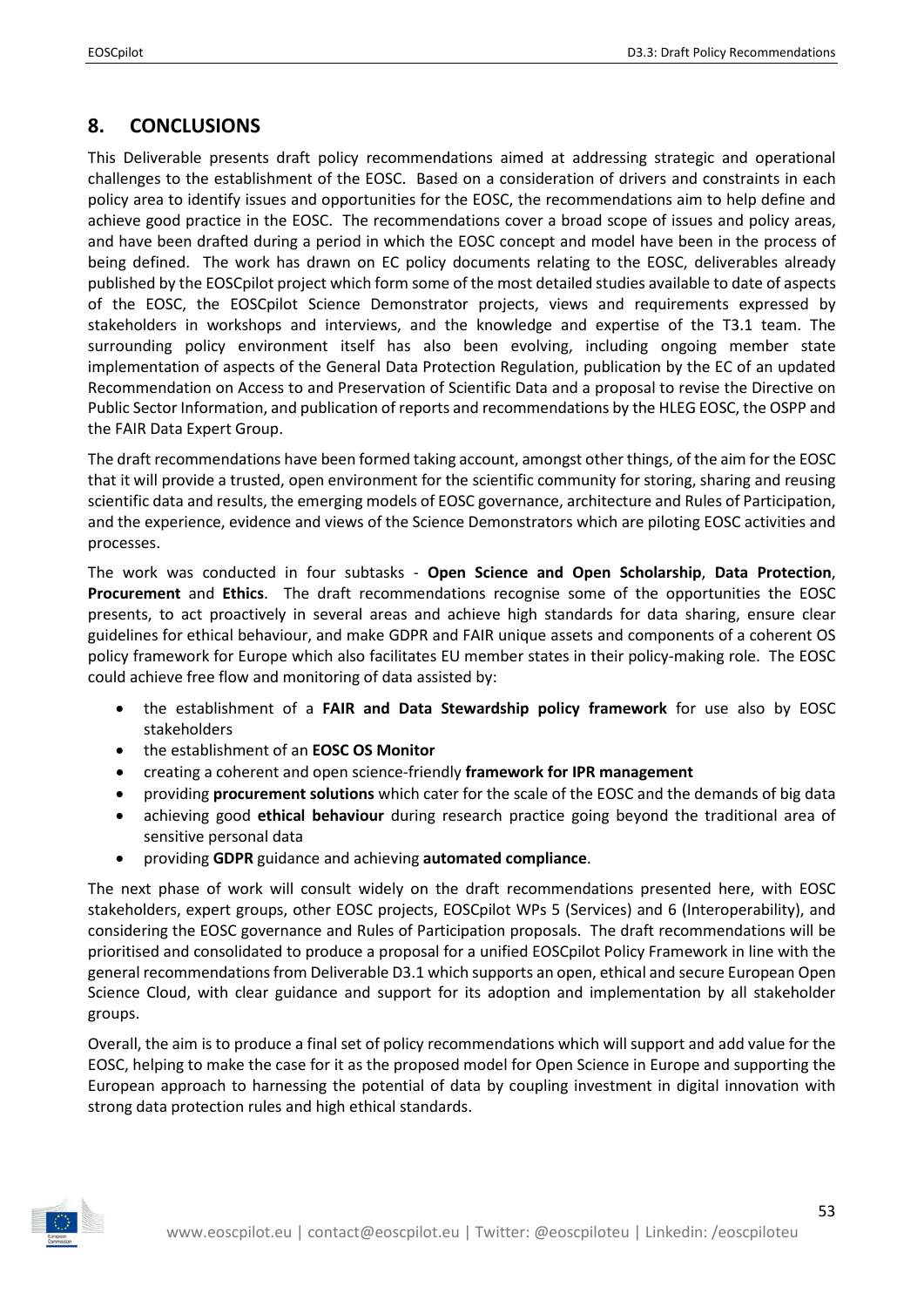## <span id="page-52-0"></span>**8. CONCLUSIONS**

This Deliverable presents draft policy recommendations aimed at addressing strategic and operational challenges to the establishment of the EOSC. Based on a consideration of drivers and constraints in each policy area to identify issues and opportunities for the EOSC, the recommendations aim to help define and achieve good practice in the EOSC. The recommendations cover a broad scope of issues and policy areas, and have been drafted during a period in which the EOSC concept and model have been in the process of being defined. The work has drawn on EC policy documents relating to the EOSC, deliverables already published by the EOSCpilot project which form some of the most detailed studies available to date of aspects of the EOSC, the EOSCpilot Science Demonstrator projects, views and requirements expressed by stakeholders in workshops and interviews, and the knowledge and expertise of the T3.1 team. The surrounding policy environment itself has also been evolving, including ongoing member state implementation of aspects of the General Data Protection Regulation, publication by the EC of an updated Recommendation on Access to and Preservation of Scientific Data and a proposal to revise the Directive on Public Sector Information, and publication of reports and recommendations by the HLEG EOSC, the OSPP and the FAIR Data Expert Group.

The draft recommendations have been formed taking account, amongst other things, of the aim for the EOSC that it will provide a trusted, open environment for the scientific community for storing, sharing and reusing scientific data and results, the emerging models of EOSC governance, architecture and Rules of Participation, and the experience, evidence and views of the Science Demonstrators which are piloting EOSC activities and processes.

The work was conducted in four subtasks - **Open Science and Open Scholarship**, **Data Protection**, **Procurement** and **Ethics**. The draft recommendations recognise some of the opportunities the EOSC presents, to act proactively in several areas and achieve high standards for data sharing, ensure clear guidelines for ethical behaviour, and make GDPR and FAIR unique assets and components of a coherent OS policy framework for Europe which also facilitates EU member states in their policy-making role. The EOSC could achieve free flow and monitoring of data assisted by:

- the establishment of a **FAIR and Data Stewardship policy framework** for use also by EOSC stakeholders
- the establishment of an **EOSC OS Monitor**
- creating a coherent and open science-friendly **framework for IPR management**
- providing **procurement solutions** which cater for the scale of the EOSC and the demands of big data
- achieving good **ethical behaviour** during research practice going beyond the traditional area of sensitive personal data
- providing **GDPR** guidance and achieving **automated compliance**.

The next phase of work will consult widely on the draft recommendations presented here, with EOSC stakeholders, expert groups, other EOSC projects, EOSCpilot WPs 5 (Services) and 6 (Interoperability), and considering the EOSC governance and Rules of Participation proposals. The draft recommendations will be prioritised and consolidated to produce a proposal for a unified EOSCpilot Policy Framework in line with the general recommendations from Deliverable D3.1 which supports an open, ethical and secure European Open Science Cloud, with clear guidance and support for its adoption and implementation by all stakeholder groups.

Overall, the aim is to produce a final set of policy recommendations which will support and add value for the EOSC, helping to make the case for it as the proposed model for Open Science in Europe and supporting the European approach to harnessing the potential of data by coupling investment in digital innovation with strong data protection rules and high ethical standards.

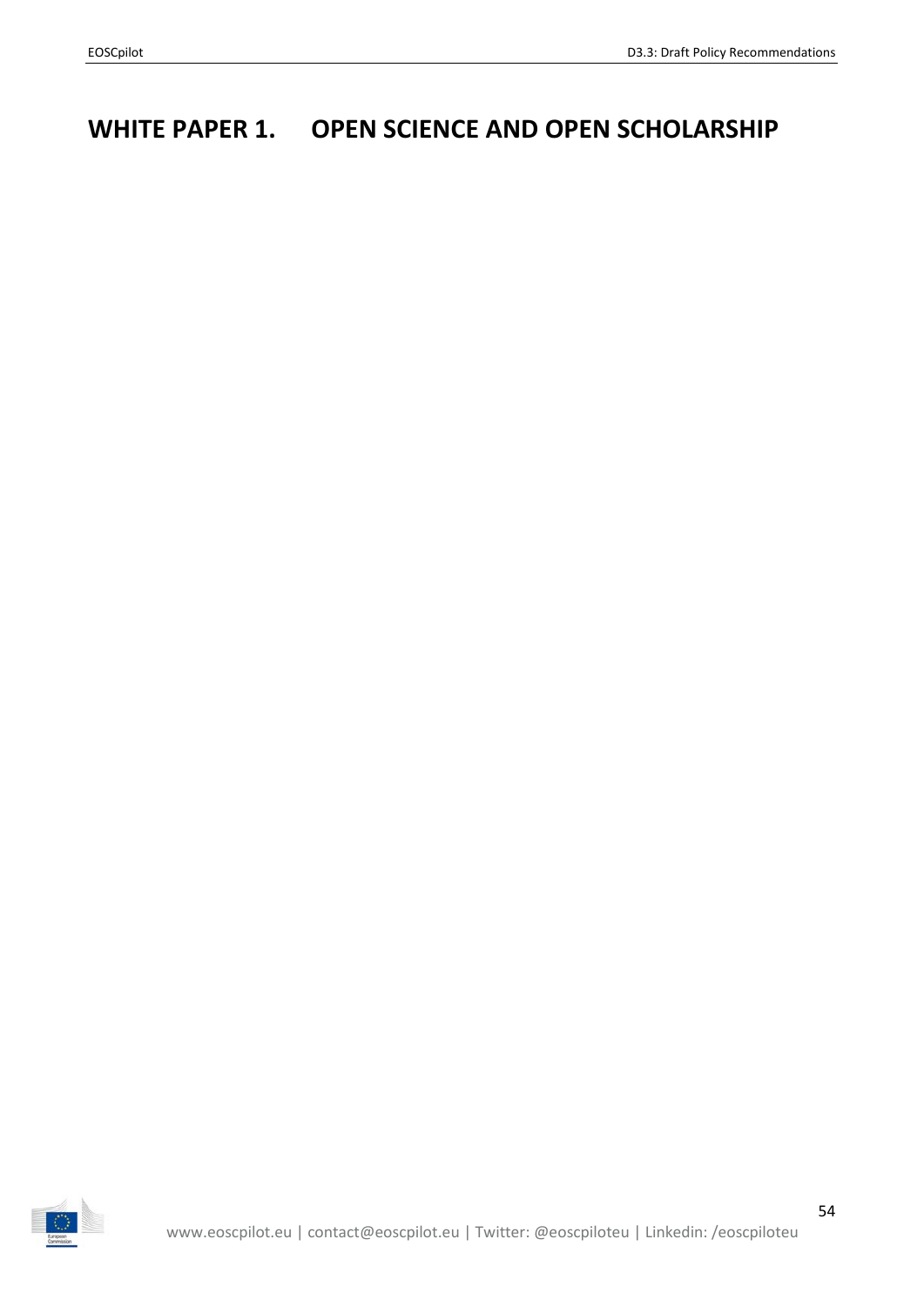# <span id="page-53-0"></span>**WHITE PAPER 1. OPEN SCIENCE AND OPEN SCHOLARSHIP**

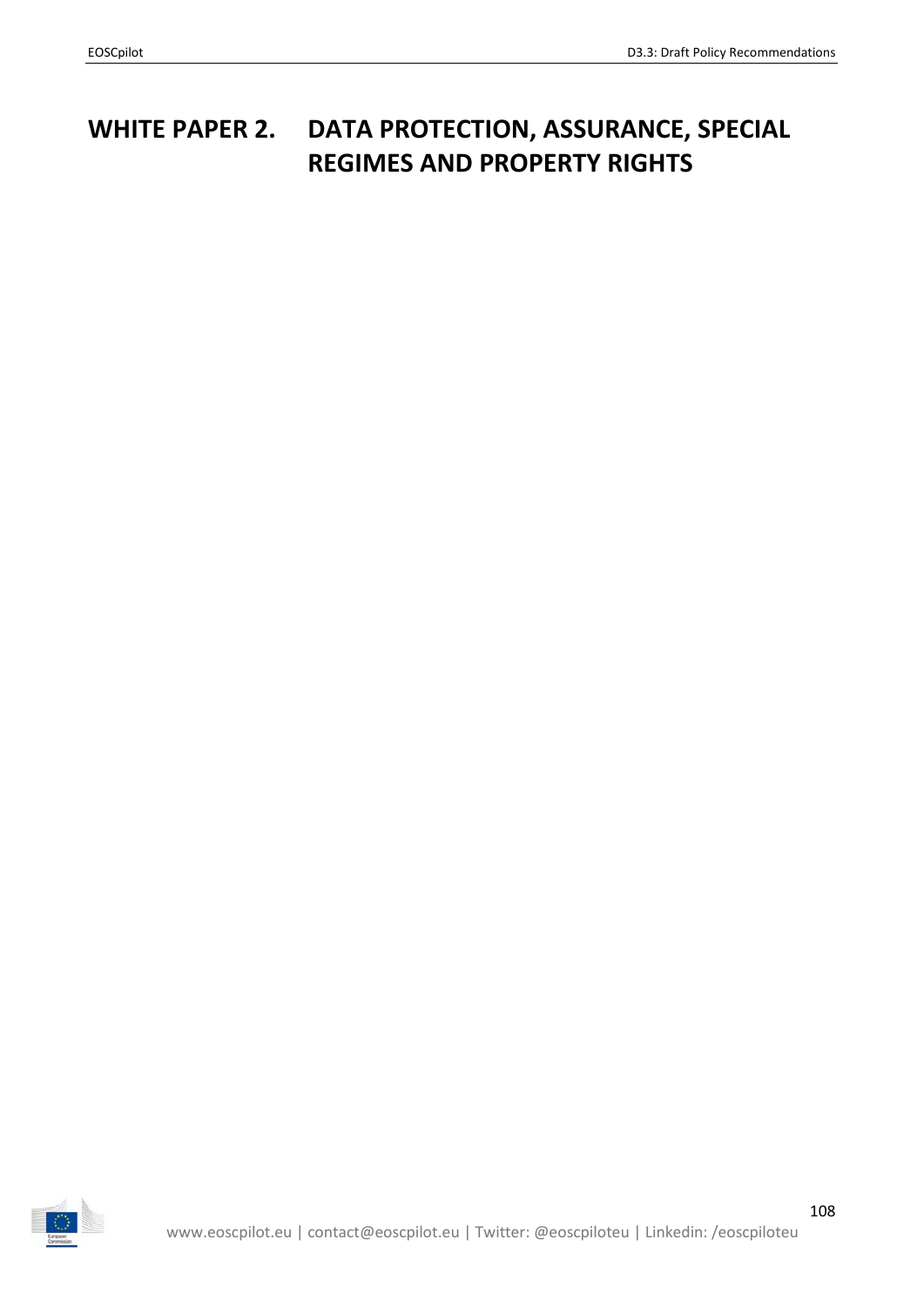# <span id="page-54-0"></span>**WHITE PAPER 2. DATA PROTECTION, ASSURANCE, SPECIAL REGIMES AND PROPERTY RIGHTS**

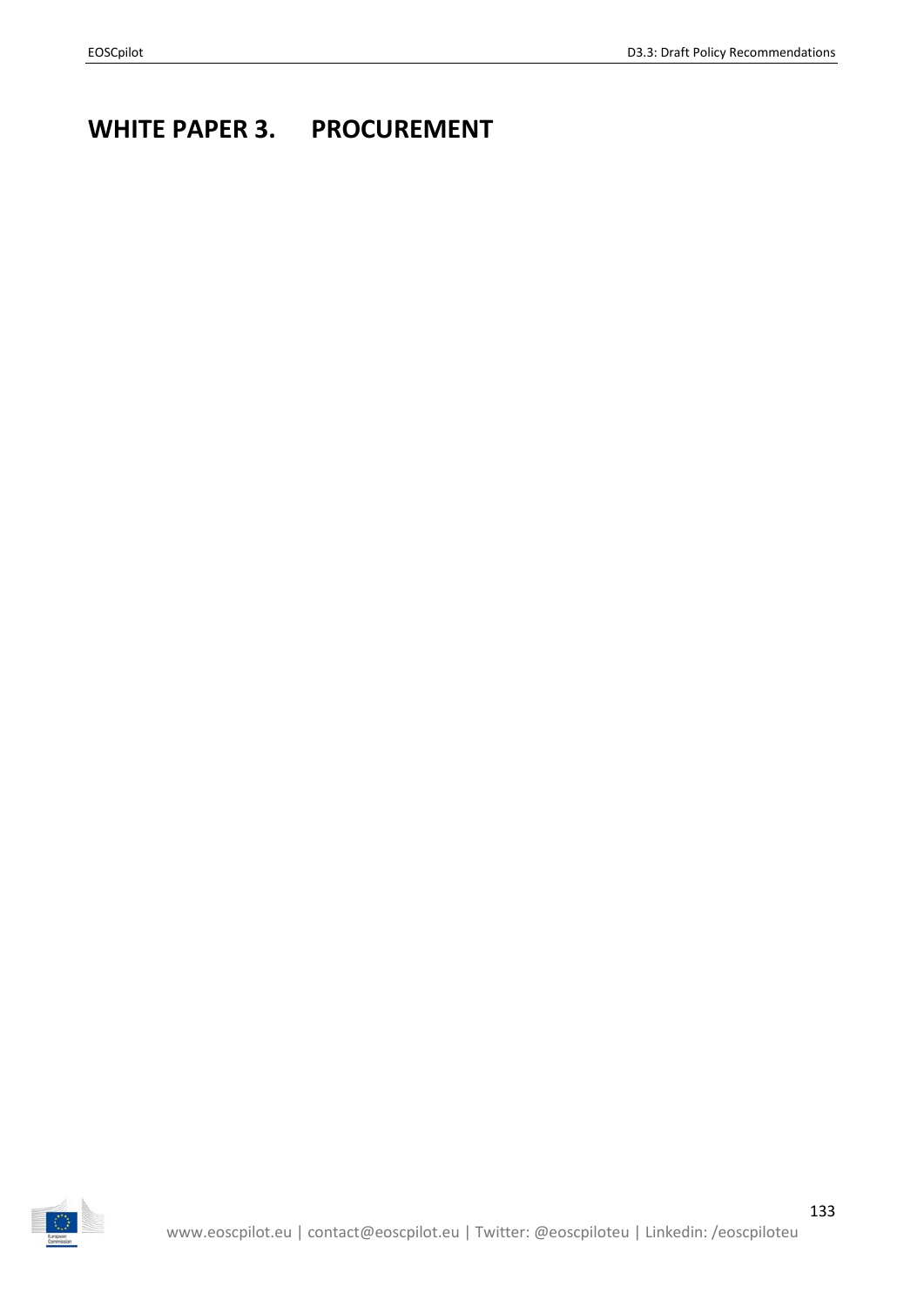# <span id="page-55-0"></span>**WHITE PAPER 3. PROCUREMENT**